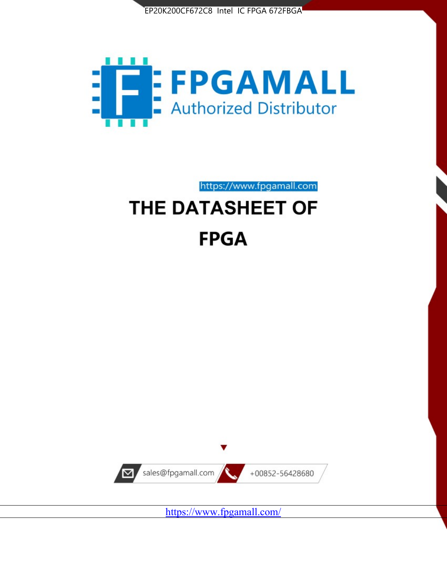



https://www.fpgamall.com

# THE DATASHEET OF **FPGA**



<https://www.fpgamall.com/>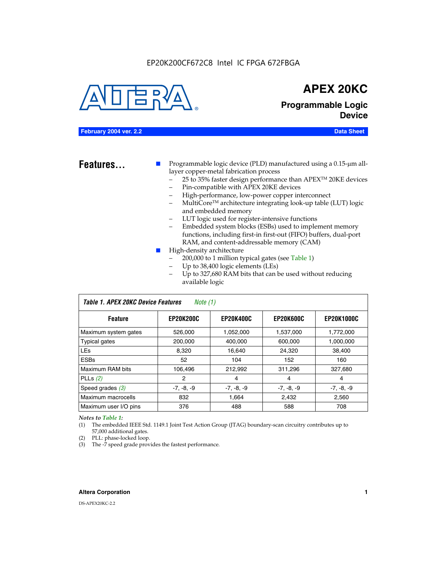

## **APEX 20KC**

### **Programmable Logic Device**

#### **February 2004 ver. 2.2 Data Sheet**

**Features...** ■ Programmable logic device (PLD) manufactured using a 0.15-µm alllayer copper-metal fabrication process

- 25 to 35% faster design performance than APEX<sup>™</sup> 20KE devices
- Pin-compatible with APEX 20KE devices
- High-performance, low-power copper interconnect
- MultiCoreTM architecture integrating look-up table (LUT) logic and embedded memory
- LUT logic used for register-intensive functions
- Embedded system blocks (ESBs) used to implement memory functions, including first-in first-out (FIFO) buffers, dual-port RAM, and content-addressable memory (CAM)
- High-density architecture
	- 200,000 to 1 million typical gates (see Table 1)
	- Up to 38,400 logic elements (LEs)
	- Up to 327,680 RAM bits that can be used without reducing available logic

| Table 1. APEX 20KC Device Features<br>Note (1) |                  |                  |                  |                   |  |  |  |
|------------------------------------------------|------------------|------------------|------------------|-------------------|--|--|--|
| <b>Feature</b>                                 | <b>EP20K200C</b> | <b>EP20K400C</b> | <b>EP20K600C</b> | <b>EP20K1000C</b> |  |  |  |
| Maximum system gates                           | 526,000          | 1,052,000        | 1,537,000        | 1,772,000         |  |  |  |
| <b>Typical gates</b>                           | 200,000          | 400.000          | 600,000          | 1,000,000         |  |  |  |
| <b>LEs</b>                                     | 8.320            | 16,640           | 24,320           | 38,400            |  |  |  |
| <b>ESBs</b>                                    | 52               | 104              | 152              | 160               |  |  |  |
| Maximum RAM bits                               | 106,496          | 212,992          | 311,296          | 327,680           |  |  |  |
| PLLs $(2)$                                     | 2                | 4                | 4                | 4                 |  |  |  |
| Speed grades $(3)$                             | $-7, -8, -9$     | $-7, -8, -9$     | $-7, -8, -9$     | $-7, -8, -9$      |  |  |  |
| Maximum macrocells                             | 832              | 1,664            | 2,432            | 2,560             |  |  |  |
| Maximum user I/O pins                          | 376              | 488              | 588              | 708               |  |  |  |

#### *Notes to Table 1:*

(1) The embedded IEEE Std. 1149.1 Joint Test Action Group (JTAG) boundary-scan circuitry contributes up to 57,000 additional gates.

- (2) PLL: phase-locked loop.
- (3) The -7 speed grade provides the fastest performance.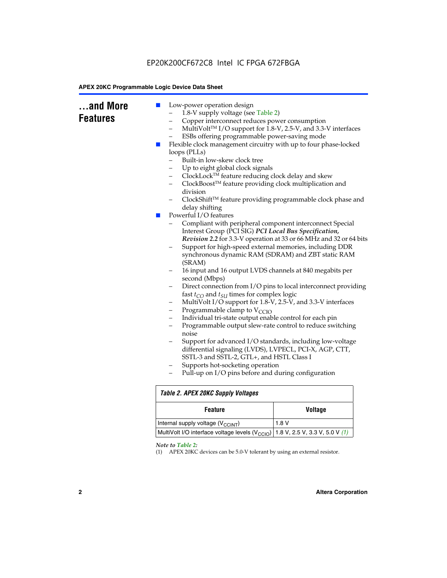### EP20K200CF672C8 Intel IC FPGA 672FBGA

#### **APEX 20KC Programmable Logic Device Data Sheet**

|  | ×<br>loops (PLLs)<br>Built-in low-skew clock tree<br>Up to eight global clock signals<br>ClockLock™ feature reducing clock delay and skew<br>—<br>ClockBoost™ feature providing clock multiplication and<br>division<br>delay shifting<br>Powerful I/O features<br><b>COL</b><br>Compliant with peripheral component interconnect Special<br>Interest Group (PCI SIG) PCI Local Bus Specification,<br>Support for high-speed external memories, including DDR<br>synchronous dynamic RAM (SDRAM) and ZBT static RAM<br>(SRAM)<br>16 input and 16 output LVDS channels at 840 megabits per<br>second (Mbps)<br>fast $t_{CO}$ and $t_{SU}$ times for complex logic<br>MultiVolt I/O support for 1.8-V, 2.5-V, and 3.3-V interfaces<br>-<br>Programmable clamp to $V_{\text{CCIO}}$<br>-<br>Individual tri-state output enable control for each pin<br>-<br>$\overline{\phantom{0}}$<br>noise<br>differential signaling (LVDS), LVPECL, PCI-X, AGP, CTT,<br>SSTL-3 and SSTL-2, GTL+, and HSTL Class I<br>Supports hot-socketing operation<br>Pull-up on I/O pins before and during configuration | Flexible clock management circuitry with up to four phase-locked<br>ClockShift™ feature providing programmable clock phase and<br>Revision 2.2 for 3.3-V operation at 33 or 66 MHz and 32 or 64 bits<br>Direct connection from I/O pins to local interconnect providing<br>Programmable output slew-rate control to reduce switching<br>Support for advanced I/O standards, including low-voltage |  |  |
|--|-----------------------------------------------------------------------------------------------------------------------------------------------------------------------------------------------------------------------------------------------------------------------------------------------------------------------------------------------------------------------------------------------------------------------------------------------------------------------------------------------------------------------------------------------------------------------------------------------------------------------------------------------------------------------------------------------------------------------------------------------------------------------------------------------------------------------------------------------------------------------------------------------------------------------------------------------------------------------------------------------------------------------------------------------------------------------------------------------|---------------------------------------------------------------------------------------------------------------------------------------------------------------------------------------------------------------------------------------------------------------------------------------------------------------------------------------------------------------------------------------------------|--|--|
|  | Table 2. APEX 20KC Supply Voltages                                                                                                                                                                                                                                                                                                                                                                                                                                                                                                                                                                                                                                                                                                                                                                                                                                                                                                                                                                                                                                                            |                                                                                                                                                                                                                                                                                                                                                                                                   |  |  |
|  | <b>Feature</b>                                                                                                                                                                                                                                                                                                                                                                                                                                                                                                                                                                                                                                                                                                                                                                                                                                                                                                                                                                                                                                                                                | <b>Voltage</b>                                                                                                                                                                                                                                                                                                                                                                                    |  |  |
|  | Internal supply voltage (V <sub>CCINT</sub> )                                                                                                                                                                                                                                                                                                                                                                                                                                                                                                                                                                                                                                                                                                                                                                                                                                                                                                                                                                                                                                                 | 1.8V<br>1.8 V, 2.5 V, 3.3 V, 5.0 V $(1)$                                                                                                                                                                                                                                                                                                                                                          |  |  |
|  | MultiVolt I/O interface voltage levels (V <sub>CCIO</sub> )                                                                                                                                                                                                                                                                                                                                                                                                                                                                                                                                                                                                                                                                                                                                                                                                                                                                                                                                                                                                                                   |                                                                                                                                                                                                                                                                                                                                                                                                   |  |  |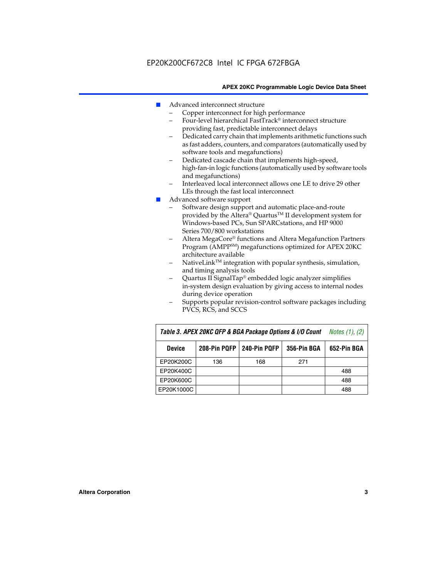- Advanced interconnect structure
	- Copper interconnect for high performance
	- Four-level hierarchical FastTrack® interconnect structure providing fast, predictable interconnect delays
	- Dedicated carry chain that implements arithmetic functions such as fast adders, counters, and comparators (automatically used by software tools and megafunctions)
	- Dedicated cascade chain that implements high-speed, high-fan-in logic functions (automatically used by software tools and megafunctions)
	- Interleaved local interconnect allows one LE to drive 29 other LEs through the fast local interconnect
- Advanced software support
	- Software design support and automatic place-and-route provided by the Altera® Quartus™ II development system for Windows-based PCs, Sun SPARCstations, and HP 9000 Series 700/800 workstations
	- Altera MegaCore® functions and Altera Megafunction Partners Program (AMPPSM) megafunctions optimized for APEX 20KC architecture available
	- $N$ ativeLink<sup>TM</sup> integration with popular synthesis, simulation, and timing analysis tools
	- Quartus II SignalTap® embedded logic analyzer simplifies in-system design evaluation by giving access to internal nodes during device operation
	- Supports popular revision-control software packages including PVCS, RCS, and SCCS

| Table 3. APEX 20KC QFP & BGA Package Options & I/O Count | <i>Notes <math>(1)</math>, <math>(2)</math></i> |     |     |     |
|----------------------------------------------------------|-------------------------------------------------|-----|-----|-----|
| <b>Device</b>                                            | 240-Pin PQFP<br>208-Pin PQFP<br>356-Pin BGA     |     |     |     |
| EP20K200C                                                | 136                                             | 168 | 271 |     |
| EP20K400C                                                |                                                 |     |     | 488 |
| EP20K600C                                                |                                                 |     |     | 488 |
| EP20K1000C                                               |                                                 |     |     | 488 |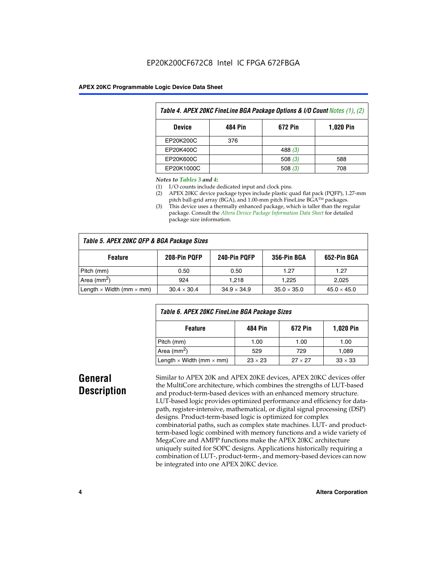| Table 4. APEX 20KC FineLine BGA Package Options & I/O Count Notes (1), (2) |     |           |     |  |  |  |
|----------------------------------------------------------------------------|-----|-----------|-----|--|--|--|
| 484 Pin<br>672 Pin<br><b>1,020 Pin</b><br><b>Device</b>                    |     |           |     |  |  |  |
| EP20K200C                                                                  | 376 |           |     |  |  |  |
| EP20K400C                                                                  |     | 488 $(3)$ |     |  |  |  |
| EP20K600C                                                                  |     | 508 $(3)$ | 588 |  |  |  |
| EP20K1000C                                                                 |     | 508 $(3)$ | 708 |  |  |  |

#### *Notes to Tables 3 and 4:*

- (1) I/O counts include dedicated input and clock pins.
- (2) APEX 20KC device package types include plastic quad flat pack (PQFP), 1.27-mm pitch ball-grid array (BGA), and 1.00-mm pitch FineLine BGA™ packages.
- (3) This device uses a thermally enhanced package, which is taller than the regular package. Consult the *Altera Device Package Information Data Sheet* for detailed package size information.

| Table 5. APEX 20KC QFP & BGA Package Sizes |                    |                    |                    |                    |  |  |  |
|--------------------------------------------|--------------------|--------------------|--------------------|--------------------|--|--|--|
| <b>Feature</b>                             | 208-Pin PQFP       | 240-Pin PQFP       | 356-Pin BGA        | 652-Pin BGA        |  |  |  |
| Pitch (mm)                                 | 0.50               | 0.50               | 1.27               | 1.27               |  |  |  |
| Area ( $mm2$ )                             | 924                | 1.218              | 1.225              | 2.025              |  |  |  |
| Length $\times$ Width (mm $\times$ mm)     | $30.4 \times 30.4$ | $34.9 \times 34.9$ | $35.0 \times 35.0$ | $45.0 \times 45.0$ |  |  |  |

| Table 6. APEX 20KC FineLine BGA Package Sizes            |                |                |                |  |  |  |
|----------------------------------------------------------|----------------|----------------|----------------|--|--|--|
| <b>1,020 Pin</b><br>484 Pin<br>672 Pin<br><b>Feature</b> |                |                |                |  |  |  |
| Pitch (mm)                                               | 1.00           | 1.00           | 1.00           |  |  |  |
| Area ( $mm2$ )                                           | 529            | 729            | 1.089          |  |  |  |
| Length $\times$ Width (mm $\times$ mm)                   | $23 \times 23$ | $27 \times 27$ | $33 \times 33$ |  |  |  |

### **General Description**

Similar to APEX 20K and APEX 20KE devices, APEX 20KC devices offer the MultiCore architecture, which combines the strengths of LUT-based and product-term-based devices with an enhanced memory structure. LUT-based logic provides optimized performance and efficiency for datapath, register-intensive, mathematical, or digital signal processing (DSP) designs. Product-term-based logic is optimized for complex combinatorial paths, such as complex state machines. LUT- and productterm-based logic combined with memory functions and a wide variety of MegaCore and AMPP functions make the APEX 20KC architecture uniquely suited for SOPC designs. Applications historically requiring a combination of LUT-, product-term-, and memory-based devices can now be integrated into one APEX 20KC device.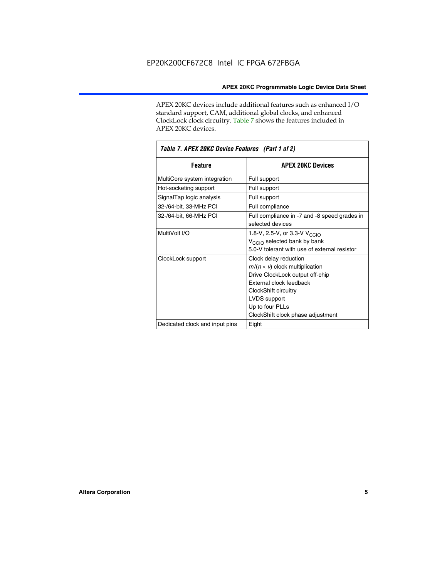APEX 20KC devices include additional features such as enhanced I/O standard support, CAM, additional global clocks, and enhanced ClockLock clock circuitry. Table 7 shows the features included in APEX 20KC devices.

| Table 7. APEX 20KC Device Features (Part 1 of 2) |                                                                                                                                                                                                                              |  |  |  |  |
|--------------------------------------------------|------------------------------------------------------------------------------------------------------------------------------------------------------------------------------------------------------------------------------|--|--|--|--|
| <b>Feature</b>                                   | <b>APEX 20KC Devices</b>                                                                                                                                                                                                     |  |  |  |  |
| MultiCore system integration                     | Full support                                                                                                                                                                                                                 |  |  |  |  |
| Hot-socketing support                            | Full support                                                                                                                                                                                                                 |  |  |  |  |
| SignalTap logic analysis                         | Full support                                                                                                                                                                                                                 |  |  |  |  |
| 32-/64-bit, 33-MHz PCI                           | Full compliance                                                                                                                                                                                                              |  |  |  |  |
| 32-/64-bit, 66-MHz PCI                           | Full compliance in -7 and -8 speed grades in<br>selected devices                                                                                                                                                             |  |  |  |  |
| MultiVolt I/O                                    | 1.8-V, 2.5-V, or 3.3-V V <sub>CCIO</sub><br>V <sub>CCIO</sub> selected bank by bank<br>5.0-V tolerant with use of external resistor                                                                                          |  |  |  |  |
| ClockLock support                                | Clock delay reduction<br>$m/(n \times v)$ clock multiplication<br>Drive ClockLock output off-chip<br>External clock feedback<br>ClockShift circuitry<br>LVDS support<br>Up to four PLLs<br>ClockShift clock phase adjustment |  |  |  |  |
| Dedicated clock and input pins                   | Eight                                                                                                                                                                                                                        |  |  |  |  |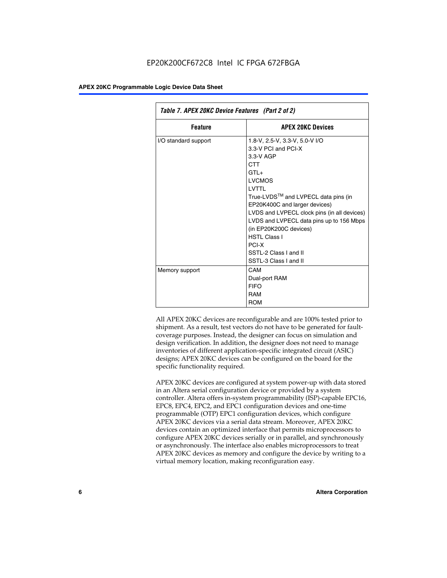| Table 7. APEX 20KC Device Features (Part 2 of 2) |                                                                                                                                                                                                                                                                                                                                                                                                         |  |  |  |  |
|--------------------------------------------------|---------------------------------------------------------------------------------------------------------------------------------------------------------------------------------------------------------------------------------------------------------------------------------------------------------------------------------------------------------------------------------------------------------|--|--|--|--|
| <b>Feature</b>                                   | <b>APEX 20KC Devices</b>                                                                                                                                                                                                                                                                                                                                                                                |  |  |  |  |
| I/O standard support                             | 1.8-V, 2.5-V, 3.3-V, 5.0-V I/O<br>3.3-V PCI and PCI-X<br>$3.3-V$ AGP<br><b>CTT</b><br>$GTI +$<br><b>LVCMOS</b><br>I VTTI<br>True-LVDS™ and LVPECL data pins (in<br>EP20K400C and larger devices)<br>LVDS and LVPECL clock pins (in all devices)<br>LVDS and LVPECL data pins up to 156 Mbps<br>(in EP20K200C devices)<br><b>HSTL Class I</b><br>PCI-X<br>SSTL-2 Class I and II<br>SSTL-3 Class I and II |  |  |  |  |
| Memory support                                   | CAM<br>Dual-port RAM<br><b>FIFO</b><br><b>RAM</b><br><b>ROM</b>                                                                                                                                                                                                                                                                                                                                         |  |  |  |  |

All APEX 20KC devices are reconfigurable and are 100% tested prior to shipment. As a result, test vectors do not have to be generated for faultcoverage purposes. Instead, the designer can focus on simulation and design verification. In addition, the designer does not need to manage inventories of different application-specific integrated circuit (ASIC) designs; APEX 20KC devices can be configured on the board for the specific functionality required.

APEX 20KC devices are configured at system power-up with data stored in an Altera serial configuration device or provided by a system controller. Altera offers in-system programmability (ISP)-capable EPC16, EPC8, EPC4, EPC2, and EPC1 configuration devices and one-time programmable (OTP) EPC1 configuration devices, which configure APEX 20KC devices via a serial data stream. Moreover, APEX 20KC devices contain an optimized interface that permits microprocessors to configure APEX 20KC devices serially or in parallel, and synchronously or asynchronously. The interface also enables microprocessors to treat APEX 20KC devices as memory and configure the device by writing to a virtual memory location, making reconfiguration easy.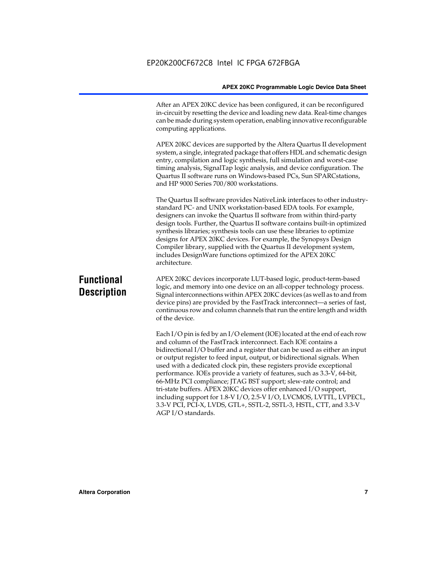After an APEX 20KC device has been configured, it can be reconfigured in-circuit by resetting the device and loading new data. Real-time changes can be made during system operation, enabling innovative reconfigurable computing applications.

APEX 20KC devices are supported by the Altera Quartus II development system, a single, integrated package that offers HDL and schematic design entry, compilation and logic synthesis, full simulation and worst-case timing analysis, SignalTap logic analysis, and device configuration. The Quartus II software runs on Windows-based PCs, Sun SPARCstations, and HP 9000 Series 700/800 workstations.

The Quartus II software provides NativeLink interfaces to other industrystandard PC- and UNIX workstation-based EDA tools. For example, designers can invoke the Quartus II software from within third-party design tools. Further, the Quartus II software contains built-in optimized synthesis libraries; synthesis tools can use these libraries to optimize designs for APEX 20KC devices. For example, the Synopsys Design Compiler library, supplied with the Quartus II development system, includes DesignWare functions optimized for the APEX 20KC architecture.

### **Functional Description**

APEX 20KC devices incorporate LUT-based logic, product-term-based logic, and memory into one device on an all-copper technology process. Signal interconnections within APEX 20KC devices (as well as to and from device pins) are provided by the FastTrack interconnect—a series of fast, continuous row and column channels that run the entire length and width of the device.

Each I/O pin is fed by an I/O element (IOE) located at the end of each row and column of the FastTrack interconnect. Each IOE contains a bidirectional I/O buffer and a register that can be used as either an input or output register to feed input, output, or bidirectional signals. When used with a dedicated clock pin, these registers provide exceptional performance. IOEs provide a variety of features, such as 3.3-V, 64-bit, 66-MHz PCI compliance; JTAG BST support; slew-rate control; and tri-state buffers. APEX 20KC devices offer enhanced I/O support, including support for 1.8-V I/O, 2.5-V I/O, LVCMOS, LVTTL, LVPECL, 3.3-V PCI, PCI-X, LVDS, GTL+, SSTL-2, SSTL-3, HSTL, CTT, and 3.3-V AGP I/O standards.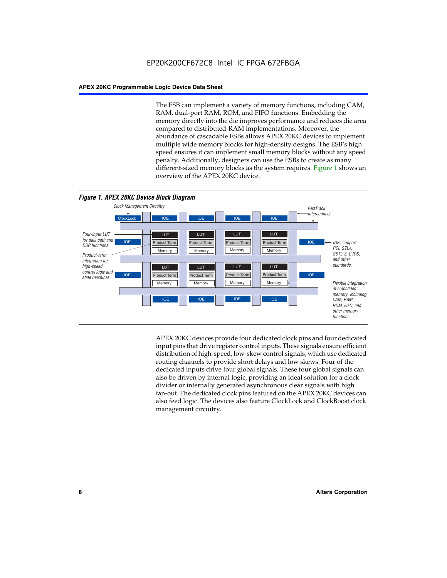The ESB can implement a variety of memory functions, including CAM, RAM, dual-port RAM, ROM, and FIFO functions. Embedding the memory directly into the die improves performance and reduces die area compared to distributed-RAM implementations. Moreover, the abundance of cascadable ESBs allows APEX 20KC devices to implement multiple wide memory blocks for high-density designs. The ESB's high speed ensures it can implement small memory blocks without any speed penalty. Additionally, designers can use the ESBs to create as many different-sized memory blocks as the system requires. Figure 1 shows an overview of the APEX 20KC device.



APEX 20KC devices provide four dedicated clock pins and four dedicated input pins that drive register control inputs. These signals ensure efficient distribution of high-speed, low-skew control signals, which use dedicated routing channels to provide short delays and low skews. Four of the dedicated inputs drive four global signals. These four global signals can also be driven by internal logic, providing an ideal solution for a clock divider or internally generated asynchronous clear signals with high fan-out. The dedicated clock pins featured on the APEX 20KC devices can also feed logic. The devices also feature ClockLock and ClockBoost clock management circuitry.

#### **8 Altera Corporation**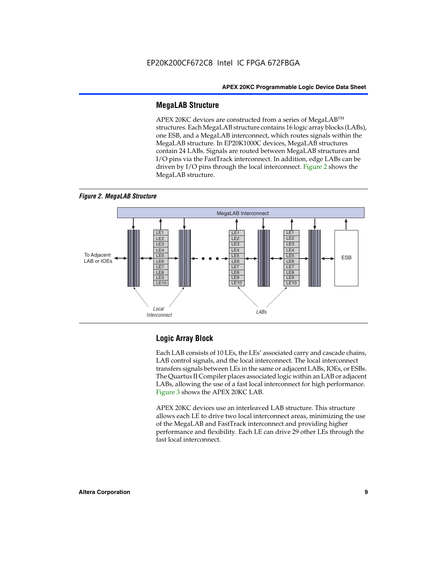#### **MegaLAB Structure**

APEX 20KC devices are constructed from a series of MegaLAB™ structures. Each MegaLAB structure contains 16 logic array blocks (LABs), one ESB, and a MegaLAB interconnect, which routes signals within the MegaLAB structure. In EP20K1000C devices, MegaLAB structures contain 24 LABs. Signals are routed between MegaLAB structures and I/O pins via the FastTrack interconnect. In addition, edge LABs can be driven by I/O pins through the local interconnect. Figure 2 shows the MegaLAB structure.





#### **Logic Array Block**

Each LAB consists of 10 LEs, the LEs' associated carry and cascade chains, LAB control signals, and the local interconnect. The local interconnect transfers signals between LEs in the same or adjacent LABs, IOEs, or ESBs. The Quartus II Compiler places associated logic within an LAB or adjacent LABs, allowing the use of a fast local interconnect for high performance. Figure 3 shows the APEX 20KC LAB.

APEX 20KC devices use an interleaved LAB structure. This structure allows each LE to drive two local interconnect areas, minimizing the use of the MegaLAB and FastTrack interconnect and providing higher performance and flexibility. Each LE can drive 29 other LEs through the fast local interconnect.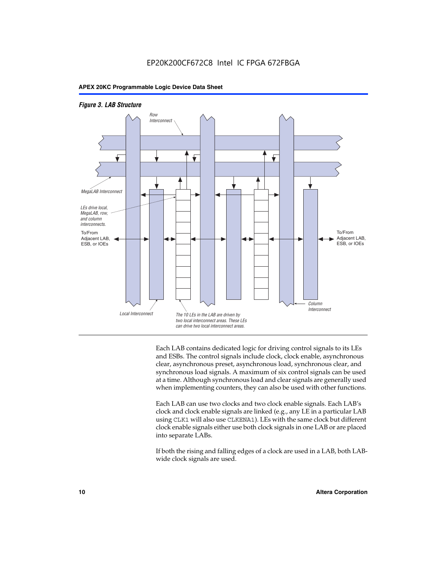



Each LAB contains dedicated logic for driving control signals to its LEs and ESBs. The control signals include clock, clock enable, asynchronous clear, asynchronous preset, asynchronous load, synchronous clear, and synchronous load signals. A maximum of six control signals can be used at a time. Although synchronous load and clear signals are generally used when implementing counters, they can also be used with other functions.

Each LAB can use two clocks and two clock enable signals. Each LAB's clock and clock enable signals are linked (e.g., any LE in a particular LAB using CLK1 will also use CLKENA1). LEs with the same clock but different clock enable signals either use both clock signals in one LAB or are placed into separate LABs.

If both the rising and falling edges of a clock are used in a LAB, both LABwide clock signals are used.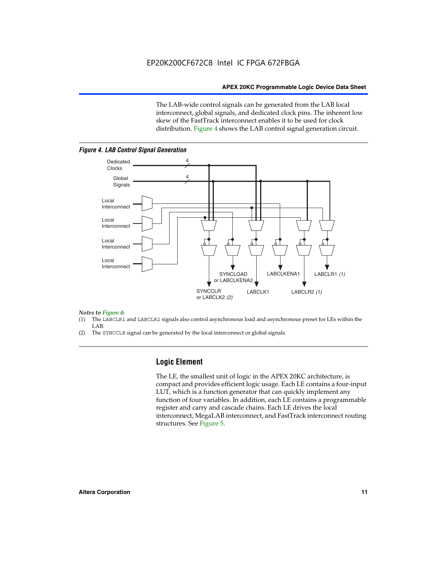The LAB-wide control signals can be generated from the LAB local interconnect, global signals, and dedicated clock pins. The inherent low skew of the FastTrack interconnect enables it to be used for clock distribution. Figure 4 shows the LAB control signal generation circuit.



#### *Figure 4. LAB Control Signal Generation*

## *Notes to Figure 4:*

- (1) The LABCLR1 and LABCLR2 signals also control asynchronous load and asynchronous preset for LEs within the LAB.
- (2) The SYNCCLR signal can be generated by the local interconnect or global signals.

#### **Logic Element**

The LE, the smallest unit of logic in the APEX 20KC architecture, is compact and provides efficient logic usage. Each LE contains a four-input LUT, which is a function generator that can quickly implement any function of four variables. In addition, each LE contains a programmable register and carry and cascade chains. Each LE drives the local interconnect, MegaLAB interconnect, and FastTrack interconnect routing structures. See Figure 5.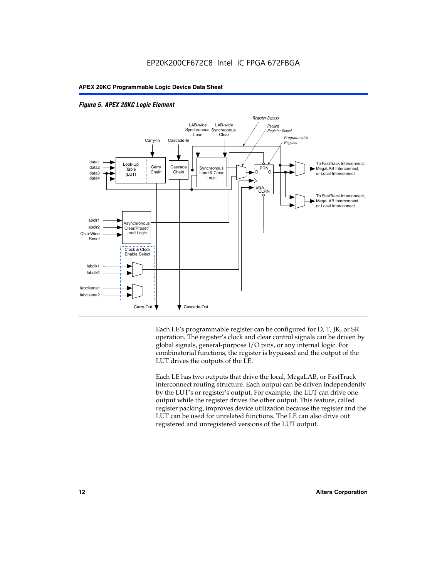

#### *Figure 5. APEX 20KC Logic Element*

Each LE's programmable register can be configured for D, T, JK, or SR operation. The register's clock and clear control signals can be driven by global signals, general-purpose I/O pins, or any internal logic. For combinatorial functions, the register is bypassed and the output of the LUT drives the outputs of the LE.

Each LE has two outputs that drive the local, MegaLAB, or FastTrack interconnect routing structure. Each output can be driven independently by the LUT's or register's output. For example, the LUT can drive one output while the register drives the other output. This feature, called register packing, improves device utilization because the register and the LUT can be used for unrelated functions. The LE can also drive out registered and unregistered versions of the LUT output.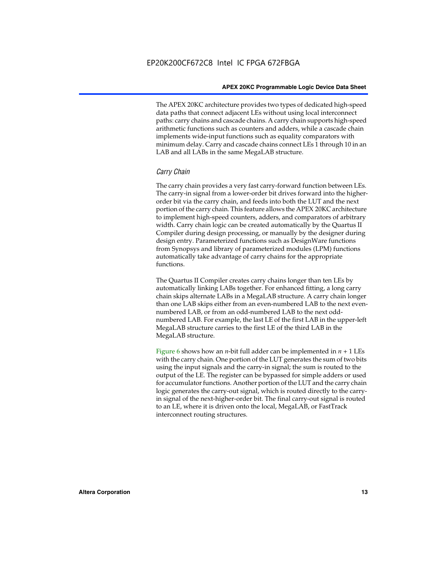The APEX 20KC architecture provides two types of dedicated high-speed data paths that connect adjacent LEs without using local interconnect paths: carry chains and cascade chains. A carry chain supports high-speed arithmetic functions such as counters and adders, while a cascade chain implements wide-input functions such as equality comparators with minimum delay. Carry and cascade chains connect LEs 1 through 10 in an LAB and all LABs in the same MegaLAB structure.

#### *Carry Chain*

The carry chain provides a very fast carry-forward function between LEs. The carry-in signal from a lower-order bit drives forward into the higherorder bit via the carry chain, and feeds into both the LUT and the next portion of the carry chain. This feature allows the APEX 20KC architecture to implement high-speed counters, adders, and comparators of arbitrary width. Carry chain logic can be created automatically by the Quartus II Compiler during design processing, or manually by the designer during design entry. Parameterized functions such as DesignWare functions from Synopsys and library of parameterized modules (LPM) functions automatically take advantage of carry chains for the appropriate functions.

The Quartus II Compiler creates carry chains longer than ten LEs by automatically linking LABs together. For enhanced fitting, a long carry chain skips alternate LABs in a MegaLAB structure. A carry chain longer than one LAB skips either from an even-numbered LAB to the next evennumbered LAB, or from an odd-numbered LAB to the next oddnumbered LAB. For example, the last LE of the first LAB in the upper-left MegaLAB structure carries to the first LE of the third LAB in the MegaLAB structure.

Figure 6 shows how an *n*-bit full adder can be implemented in  $n + 1$  LEs with the carry chain. One portion of the LUT generates the sum of two bits using the input signals and the carry-in signal; the sum is routed to the output of the LE. The register can be bypassed for simple adders or used for accumulator functions. Another portion of the LUT and the carry chain logic generates the carry-out signal, which is routed directly to the carryin signal of the next-higher-order bit. The final carry-out signal is routed to an LE, where it is driven onto the local, MegaLAB, or FastTrack interconnect routing structures.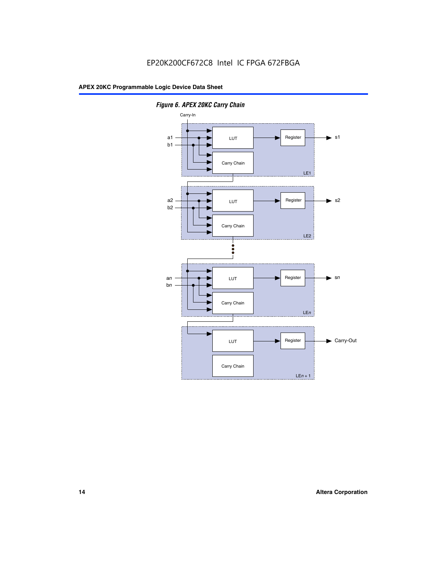

*Figure 6. APEX 20KC Carry Chain*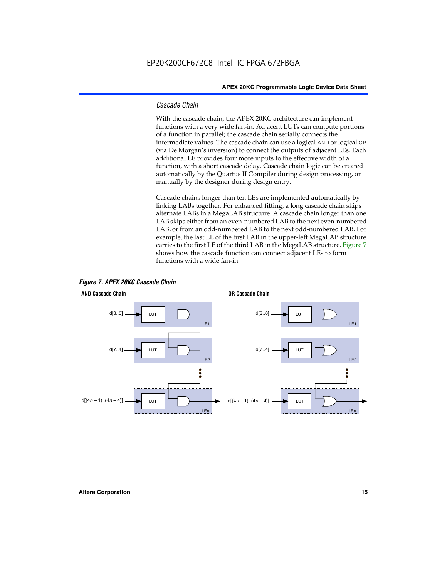#### *Cascade Chain*

With the cascade chain, the APEX 20KC architecture can implement functions with a very wide fan-in. Adjacent LUTs can compute portions of a function in parallel; the cascade chain serially connects the intermediate values. The cascade chain can use a logical AND or logical OR (via De Morgan's inversion) to connect the outputs of adjacent LEs. Each additional LE provides four more inputs to the effective width of a function, with a short cascade delay. Cascade chain logic can be created automatically by the Quartus II Compiler during design processing, or manually by the designer during design entry.

Cascade chains longer than ten LEs are implemented automatically by linking LABs together. For enhanced fitting, a long cascade chain skips alternate LABs in a MegaLAB structure. A cascade chain longer than one LAB skips either from an even-numbered LAB to the next even-numbered LAB, or from an odd-numbered LAB to the next odd-numbered LAB. For example, the last LE of the first LAB in the upper-left MegaLAB structure carries to the first LE of the third LAB in the MegaLAB structure. Figure 7 shows how the cascade function can connect adjacent LEs to form functions with a wide fan-in.



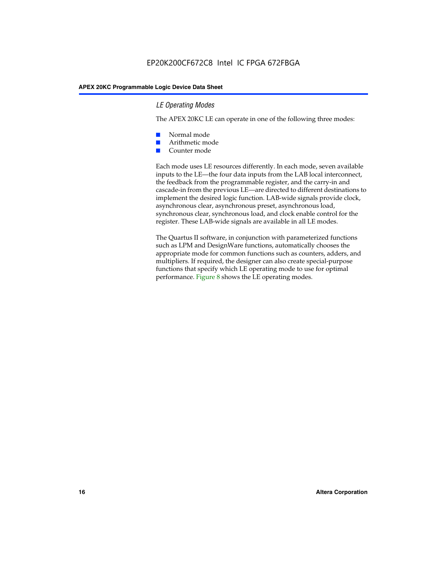#### *LE Operating Modes*

The APEX 20KC LE can operate in one of the following three modes:

- Normal mode
- Arithmetic mode
- Counter mode

Each mode uses LE resources differently. In each mode, seven available inputs to the LE—the four data inputs from the LAB local interconnect, the feedback from the programmable register, and the carry-in and cascade-in from the previous LE—are directed to different destinations to implement the desired logic function. LAB-wide signals provide clock, asynchronous clear, asynchronous preset, asynchronous load, synchronous clear, synchronous load, and clock enable control for the register. These LAB-wide signals are available in all LE modes.

The Quartus II software, in conjunction with parameterized functions such as LPM and DesignWare functions, automatically chooses the appropriate mode for common functions such as counters, adders, and multipliers. If required, the designer can also create special-purpose functions that specify which LE operating mode to use for optimal performance. Figure 8 shows the LE operating modes.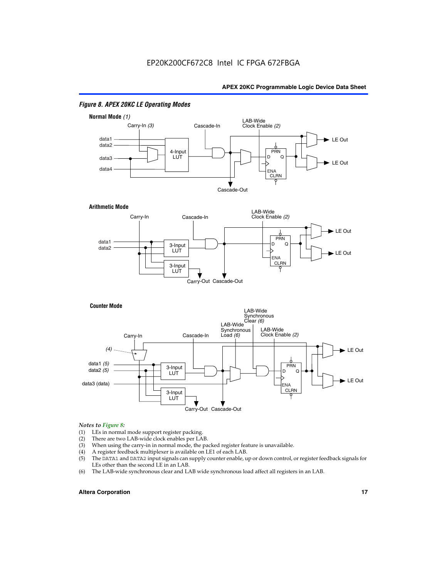

#### *Figure 8. APEX 20KC LE Operating Modes*

### *Notes to Figure 8:*

- (1) LEs in normal mode support register packing.<br>(2) There are two LAB-wide clock enables per LA
- (2) There are two LAB-wide clock enables per LAB.<br>(3) When using the carry-in in normal mode, the pa
- When using the carry-in in normal mode, the packed register feature is unavailable.
- (4) A register feedback multiplexer is available on LE1 of each LAB.
- (5) The DATA1 and DATA2 input signals can supply counter enable, up or down control, or register feedback signals for LEs other than the second LE in an LAB.
- (6) The LAB-wide synchronous clear and LAB wide synchronous load affect all registers in an LAB.

#### **Altera Corporation 17 17**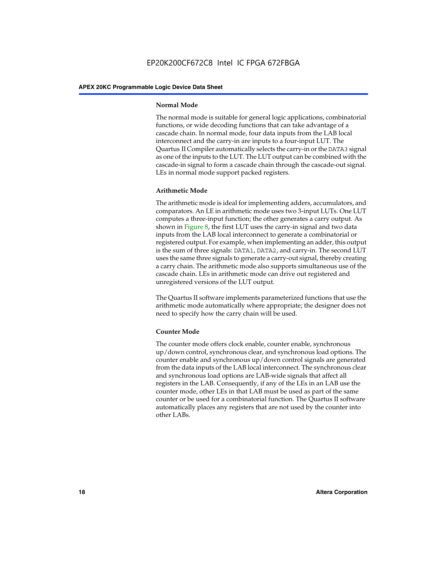#### **Normal Mode**

The normal mode is suitable for general logic applications, combinatorial functions, or wide decoding functions that can take advantage of a cascade chain. In normal mode, four data inputs from the LAB local interconnect and the carry-in are inputs to a four-input LUT. The Quartus II Compiler automatically selects the carry-in or the DATA3 signal as one of the inputs to the LUT. The LUT output can be combined with the cascade-in signal to form a cascade chain through the cascade-out signal. LEs in normal mode support packed registers.

#### **Arithmetic Mode**

The arithmetic mode is ideal for implementing adders, accumulators, and comparators. An LE in arithmetic mode uses two 3-input LUTs. One LUT computes a three-input function; the other generates a carry output. As shown in Figure 8, the first LUT uses the carry-in signal and two data inputs from the LAB local interconnect to generate a combinatorial or registered output. For example, when implementing an adder, this output is the sum of three signals: DATA1, DATA2, and carry-in. The second LUT uses the same three signals to generate a carry-out signal, thereby creating a carry chain. The arithmetic mode also supports simultaneous use of the cascade chain. LEs in arithmetic mode can drive out registered and unregistered versions of the LUT output.

The Quartus II software implements parameterized functions that use the arithmetic mode automatically where appropriate; the designer does not need to specify how the carry chain will be used.

#### **Counter Mode**

The counter mode offers clock enable, counter enable, synchronous up/down control, synchronous clear, and synchronous load options. The counter enable and synchronous up/down control signals are generated from the data inputs of the LAB local interconnect. The synchronous clear and synchronous load options are LAB-wide signals that affect all registers in the LAB. Consequently, if any of the LEs in an LAB use the counter mode, other LEs in that LAB must be used as part of the same counter or be used for a combinatorial function. The Quartus II software automatically places any registers that are not used by the counter into other LABs.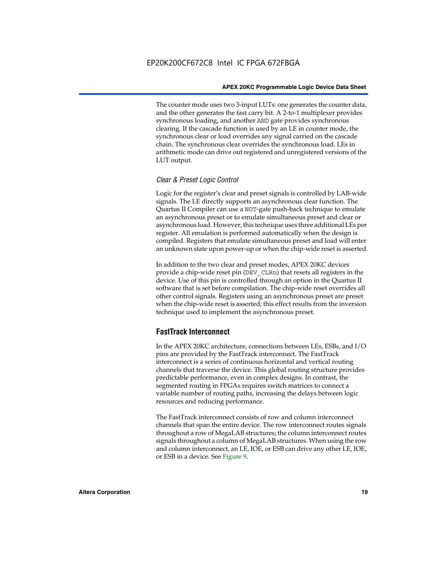The counter mode uses two 3-input LUTs: one generates the counter data, and the other generates the fast carry bit. A 2-to-1 multiplexer provides synchronous loading, and another AND gate provides synchronous clearing. If the cascade function is used by an LE in counter mode, the synchronous clear or load overrides any signal carried on the cascade chain. The synchronous clear overrides the synchronous load. LEs in arithmetic mode can drive out registered and unregistered versions of the LUT output.

#### *Clear & Preset Logic Control*

Logic for the register's clear and preset signals is controlled by LAB-wide signals. The LE directly supports an asynchronous clear function. The Quartus II Compiler can use a NOT-gate push-back technique to emulate an asynchronous preset or to emulate simultaneous preset and clear or asynchronous load. However, this technique uses three additional LEs per register. All emulation is performed automatically when the design is compiled. Registers that emulate simultaneous preset and load will enter an unknown state upon power-up or when the chip-wide reset is asserted.

In addition to the two clear and preset modes, APEX 20KC devices provide a chip-wide reset pin (DEV\_CLRn) that resets all registers in the device. Use of this pin is controlled through an option in the Quartus II software that is set before compilation. The chip-wide reset overrides all other control signals. Registers using an asynchronous preset are preset when the chip-wide reset is asserted; this effect results from the inversion technique used to implement the asynchronous preset.

#### **FastTrack Interconnect**

In the APEX 20KC architecture, connections between LEs, ESBs, and I/O pins are provided by the FastTrack interconnect. The FastTrack interconnect is a series of continuous horizontal and vertical routing channels that traverse the device. This global routing structure provides predictable performance, even in complex designs. In contrast, the segmented routing in FPGAs requires switch matrices to connect a variable number of routing paths, increasing the delays between logic resources and reducing performance.

The FastTrack interconnect consists of row and column interconnect channels that span the entire device. The row interconnect routes signals throughout a row of MegaLAB structures; the column interconnect routes signals throughout a column of MegaLAB structures. When using the row and column interconnect, an LE, IOE, or ESB can drive any other LE, IOE, or ESB in a device. See Figure 9.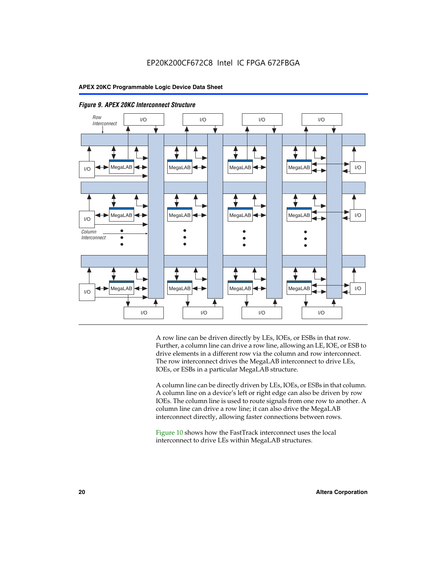



A row line can be driven directly by LEs, IOEs, or ESBs in that row. Further, a column line can drive a row line, allowing an LE, IOE, or ESB to drive elements in a different row via the column and row interconnect. The row interconnect drives the MegaLAB interconnect to drive LEs, IOEs, or ESBs in a particular MegaLAB structure.

A column line can be directly driven by LEs, IOEs, or ESBs in that column. A column line on a device's left or right edge can also be driven by row IOEs. The column line is used to route signals from one row to another. A column line can drive a row line; it can also drive the MegaLAB interconnect directly, allowing faster connections between rows.

Figure 10 shows how the FastTrack interconnect uses the local interconnect to drive LEs within MegaLAB structures.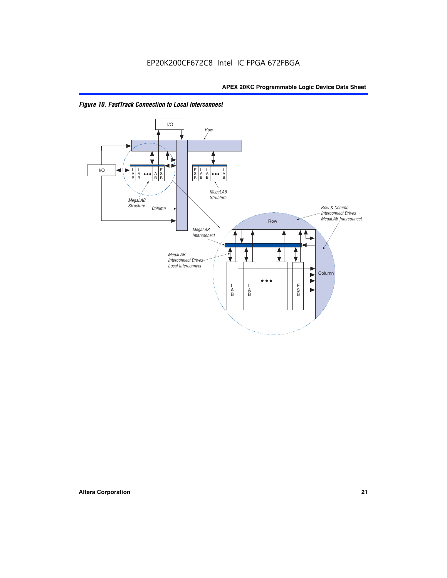

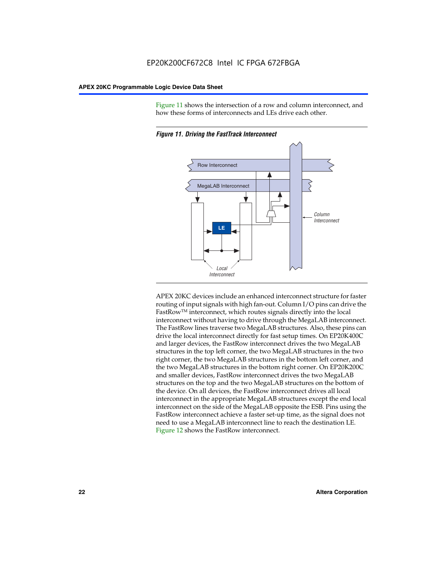Figure 11 shows the intersection of a row and column interconnect, and how these forms of interconnects and LEs drive each other.



*Figure 11. Driving the FastTrack Interconnect*

APEX 20KC devices include an enhanced interconnect structure for faster routing of input signals with high fan-out. Column I/O pins can drive the FastRowTM interconnect, which routes signals directly into the local interconnect without having to drive through the MegaLAB interconnect. The FastRow lines traverse two MegaLAB structures. Also, these pins can drive the local interconnect directly for fast setup times. On EP20K400C and larger devices, the FastRow interconnect drives the two MegaLAB structures in the top left corner, the two MegaLAB structures in the two right corner, the two MegaLAB structures in the bottom left corner, and the two MegaLAB structures in the bottom right corner. On EP20K200C and smaller devices, FastRow interconnect drives the two MegaLAB structures on the top and the two MegaLAB structures on the bottom of the device. On all devices, the FastRow interconnect drives all local interconnect in the appropriate MegaLAB structures except the end local interconnect on the side of the MegaLAB opposite the ESB. Pins using the FastRow interconnect achieve a faster set-up time, as the signal does not need to use a MegaLAB interconnect line to reach the destination LE. Figure 12 shows the FastRow interconnect.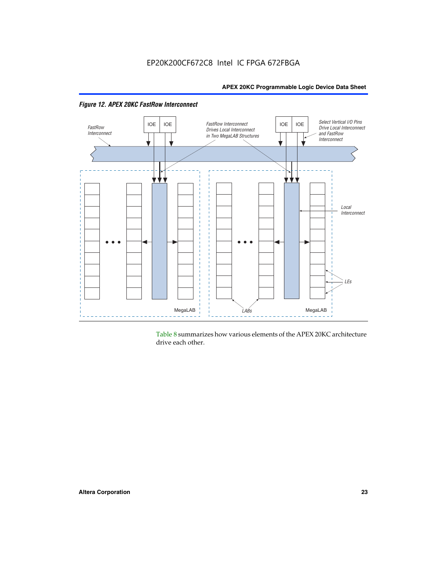



Table 8 summarizes how various elements of the APEX 20KC architecture drive each other.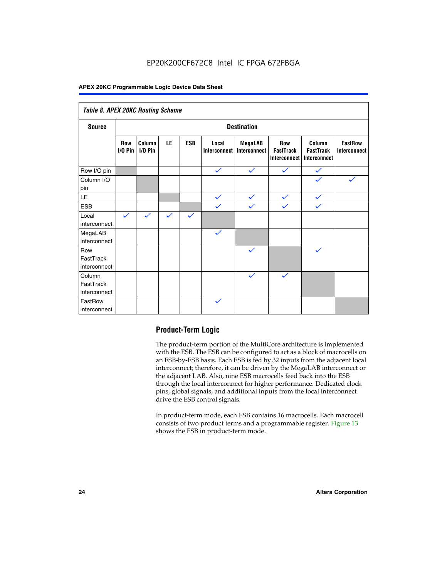#### EP20K200CF672C8 Intel IC FPGA 672FBGA

#### **APEX 20KC Programmable Logic Device Data Sheet**

| Table 8. APEX 20KC Routing Scheme   |                         |                     |              |              |                              |                                       |                                                       |                                                   |                                       |
|-------------------------------------|-------------------------|---------------------|--------------|--------------|------------------------------|---------------------------------------|-------------------------------------------------------|---------------------------------------------------|---------------------------------------|
| <b>Source</b>                       | <b>Destination</b>      |                     |              |              |                              |                                       |                                                       |                                                   |                                       |
|                                     | <b>Row</b><br>$1/0$ Pin | Column<br>$I/O$ Pin | LE           | <b>ESB</b>   | Local<br><b>Interconnect</b> | <b>MegaLAB</b><br><b>Interconnect</b> | <b>Row</b><br><b>FastTrack</b><br><b>Interconnect</b> | Column<br><b>FastTrack</b><br><b>Interconnect</b> | <b>FastRow</b><br><b>Interconnect</b> |
| Row I/O pin                         |                         |                     |              |              | $\checkmark$                 | $\checkmark$                          | $\checkmark$                                          | $\checkmark$                                      |                                       |
| Column I/O<br>pin                   |                         |                     |              |              |                              |                                       |                                                       | $\checkmark$                                      | $\checkmark$                          |
| <b>LE</b>                           |                         |                     |              |              | $\checkmark$                 | $\checkmark$                          | $\checkmark$                                          | $\checkmark$                                      |                                       |
| <b>ESB</b>                          |                         |                     |              |              | $\checkmark$                 | $\checkmark$                          | $\checkmark$                                          | $\checkmark$                                      |                                       |
| Local<br>interconnect               | $\checkmark$            | $\checkmark$        | $\checkmark$ | $\checkmark$ |                              |                                       |                                                       |                                                   |                                       |
| MegaLAB<br>interconnect             |                         |                     |              |              | $\checkmark$                 |                                       |                                                       |                                                   |                                       |
| Row<br>FastTrack<br>interconnect    |                         |                     |              |              |                              | $\checkmark$                          |                                                       | $\checkmark$                                      |                                       |
| Column<br>FastTrack<br>interconnect |                         |                     |              |              |                              | $\checkmark$                          | $\checkmark$                                          |                                                   |                                       |
| FastRow<br>interconnect             |                         |                     |              |              | $\checkmark$                 |                                       |                                                       |                                                   |                                       |

#### **Product-Term Logic**

The product-term portion of the MultiCore architecture is implemented with the ESB. The ESB can be configured to act as a block of macrocells on an ESB-by-ESB basis. Each ESB is fed by 32 inputs from the adjacent local interconnect; therefore, it can be driven by the MegaLAB interconnect or the adjacent LAB. Also, nine ESB macrocells feed back into the ESB through the local interconnect for higher performance. Dedicated clock pins, global signals, and additional inputs from the local interconnect drive the ESB control signals.

In product-term mode, each ESB contains 16 macrocells. Each macrocell consists of two product terms and a programmable register. Figure 13 shows the ESB in product-term mode.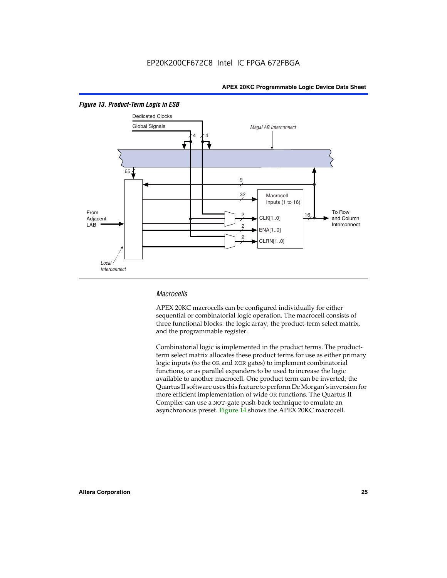

#### *Figure 13. Product-Term Logic in ESB*

#### *Macrocells*

APEX 20KC macrocells can be configured individually for either sequential or combinatorial logic operation. The macrocell consists of three functional blocks: the logic array, the product-term select matrix, and the programmable register.

Combinatorial logic is implemented in the product terms. The productterm select matrix allocates these product terms for use as either primary logic inputs (to the OR and XOR gates) to implement combinatorial functions, or as parallel expanders to be used to increase the logic available to another macrocell. One product term can be inverted; the Quartus II software uses this feature to perform De Morgan's inversion for more efficient implementation of wide OR functions. The Quartus II Compiler can use a NOT-gate push-back technique to emulate an asynchronous preset. Figure 14 shows the APEX 20KC macrocell.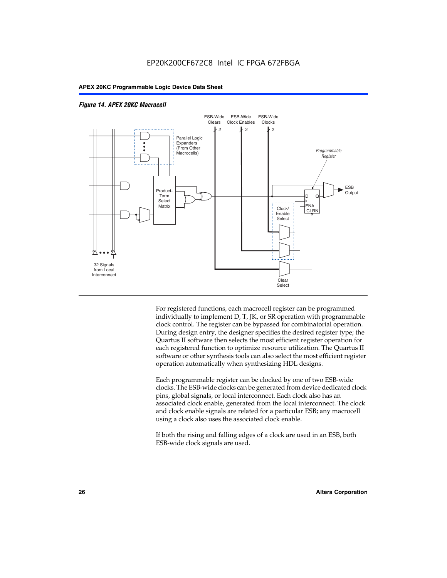

#### *Figure 14. APEX 20KC Macrocell*

For registered functions, each macrocell register can be programmed individually to implement D, T, JK, or SR operation with programmable clock control. The register can be bypassed for combinatorial operation. During design entry, the designer specifies the desired register type; the Quartus II software then selects the most efficient register operation for each registered function to optimize resource utilization. The Quartus II software or other synthesis tools can also select the most efficient register operation automatically when synthesizing HDL designs.

Each programmable register can be clocked by one of two ESB-wide clocks. The ESB-wide clocks can be generated from device dedicated clock pins, global signals, or local interconnect. Each clock also has an associated clock enable, generated from the local interconnect. The clock and clock enable signals are related for a particular ESB; any macrocell using a clock also uses the associated clock enable.

If both the rising and falling edges of a clock are used in an ESB, both ESB-wide clock signals are used.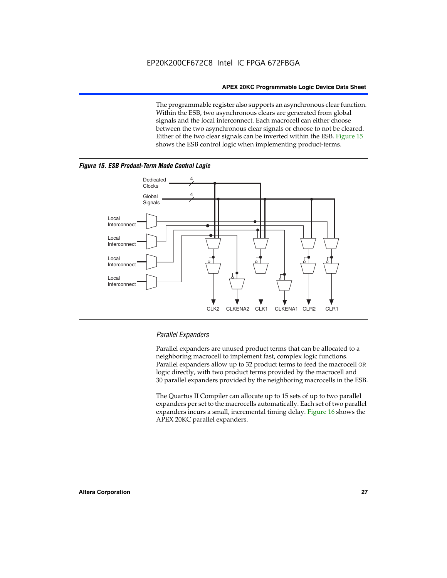The programmable register also supports an asynchronous clear function. Within the ESB, two asynchronous clears are generated from global signals and the local interconnect. Each macrocell can either choose between the two asynchronous clear signals or choose to not be cleared. Either of the two clear signals can be inverted within the ESB. Figure 15 shows the ESB control logic when implementing product-terms.





#### *Parallel Expanders*

Parallel expanders are unused product terms that can be allocated to a neighboring macrocell to implement fast, complex logic functions. Parallel expanders allow up to 32 product terms to feed the macrocell OR logic directly, with two product terms provided by the macrocell and 30 parallel expanders provided by the neighboring macrocells in the ESB.

The Quartus II Compiler can allocate up to 15 sets of up to two parallel expanders per set to the macrocells automatically. Each set of two parallel expanders incurs a small, incremental timing delay. Figure 16 shows the APEX 20KC parallel expanders.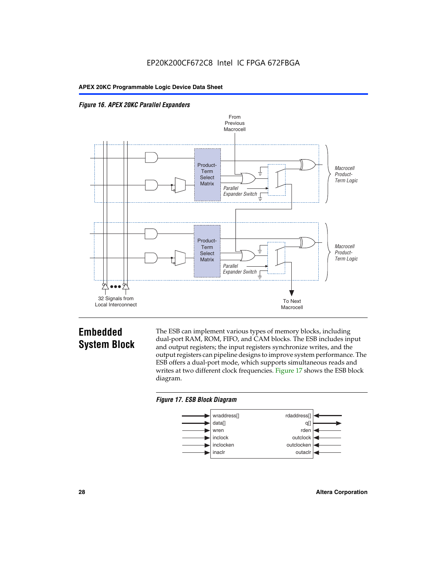



### **Embedded System Block**

The ESB can implement various types of memory blocks, including dual-port RAM, ROM, FIFO, and CAM blocks. The ESB includes input and output registers; the input registers synchronize writes, and the output registers can pipeline designs to improve system performance. The ESB offers a dual-port mode, which supports simultaneous reads and writes at two different clock frequencies. Figure 17 shows the ESB block diagram.



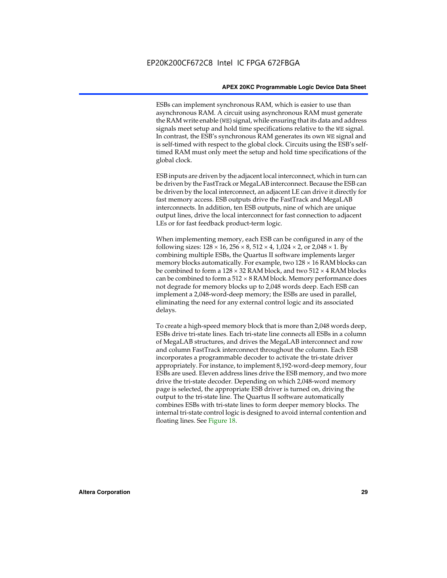ESBs can implement synchronous RAM, which is easier to use than asynchronous RAM. A circuit using asynchronous RAM must generate the RAM write enable (WE) signal, while ensuring that its data and address signals meet setup and hold time specifications relative to the WE signal. In contrast, the ESB's synchronous RAM generates its own WE signal and is self-timed with respect to the global clock. Circuits using the ESB's selftimed RAM must only meet the setup and hold time specifications of the global clock.

ESB inputs are driven by the adjacent local interconnect, which in turn can be driven by the FastTrack or MegaLAB interconnect. Because the ESB can be driven by the local interconnect, an adjacent LE can drive it directly for fast memory access. ESB outputs drive the FastTrack and MegaLAB interconnects. In addition, ten ESB outputs, nine of which are unique output lines, drive the local interconnect for fast connection to adjacent LEs or for fast feedback product-term logic.

When implementing memory, each ESB can be configured in any of the following sizes:  $128 \times 16$ ,  $256 \times 8$ ,  $512 \times 4$ ,  $1,024 \times 2$ , or  $2,048 \times 1$ . By combining multiple ESBs, the Quartus II software implements larger memory blocks automatically. For example, two  $128 \times 16$  RAM blocks can be combined to form a  $128 \times 32$  RAM block, and two  $512 \times 4$  RAM blocks can be combined to form a  $512 \times 8$  RAM block. Memory performance does not degrade for memory blocks up to 2,048 words deep. Each ESB can implement a 2,048-word-deep memory; the ESBs are used in parallel, eliminating the need for any external control logic and its associated delays.

To create a high-speed memory block that is more than 2,048 words deep, ESBs drive tri-state lines. Each tri-state line connects all ESBs in a column of MegaLAB structures, and drives the MegaLAB interconnect and row and column FastTrack interconnect throughout the column. Each ESB incorporates a programmable decoder to activate the tri-state driver appropriately. For instance, to implement 8,192-word-deep memory, four ESBs are used. Eleven address lines drive the ESB memory, and two more drive the tri-state decoder. Depending on which 2,048-word memory page is selected, the appropriate ESB driver is turned on, driving the output to the tri-state line. The Quartus II software automatically combines ESBs with tri-state lines to form deeper memory blocks. The internal tri-state control logic is designed to avoid internal contention and floating lines. See Figure 18.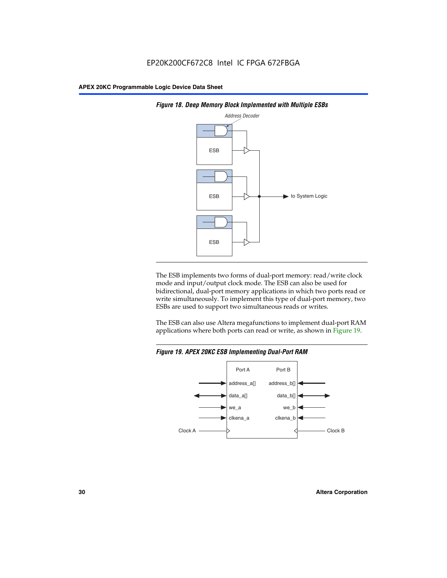



The ESB implements two forms of dual-port memory: read/write clock mode and input/output clock mode. The ESB can also be used for bidirectional, dual-port memory applications in which two ports read or write simultaneously. To implement this type of dual-port memory, two ESBs are used to support two simultaneous reads or writes.

The ESB can also use Altera megafunctions to implement dual-port RAM applications where both ports can read or write, as shown in Figure 19.



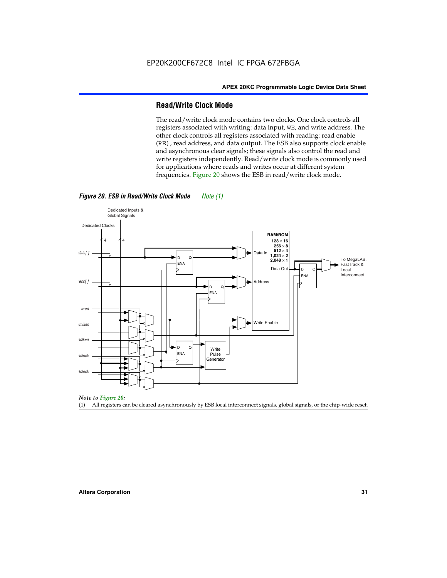#### **Read/Write Clock Mode**

The read/write clock mode contains two clocks. One clock controls all registers associated with writing: data input, WE, and write address. The other clock controls all registers associated with reading: read enable (RE), read address, and data output. The ESB also supports clock enable and asynchronous clear signals; these signals also control the read and write registers independently. Read/write clock mode is commonly used for applications where reads and writes occur at different system frequencies. Figure 20 shows the ESB in read/write clock mode.



*Figure 20. ESB in Read/Write Clock Mode Note (1)*



(1) All registers can be cleared asynchronously by ESB local interconnect signals, global signals, or the chip-wide reset.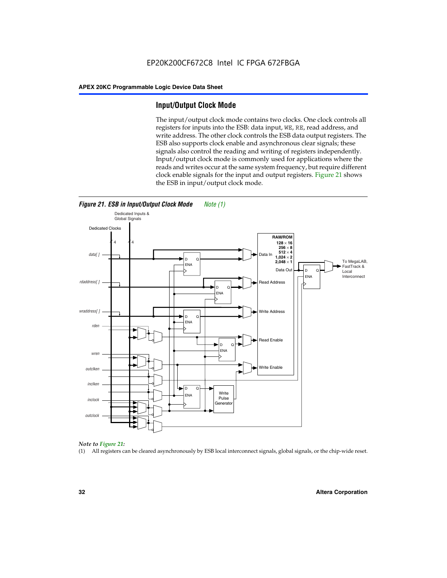#### **Input/Output Clock Mode**

The input/output clock mode contains two clocks. One clock controls all registers for inputs into the ESB: data input, WE, RE, read address, and write address. The other clock controls the ESB data output registers. The ESB also supports clock enable and asynchronous clear signals; these signals also control the reading and writing of registers independently. Input/output clock mode is commonly used for applications where the reads and writes occur at the same system frequency, but require different clock enable signals for the input and output registers. Figure 21 shows the ESB in input/output clock mode.





#### *Note to Figure 21:*

(1) All registers can be cleared asynchronously by ESB local interconnect signals, global signals, or the chip-wide reset.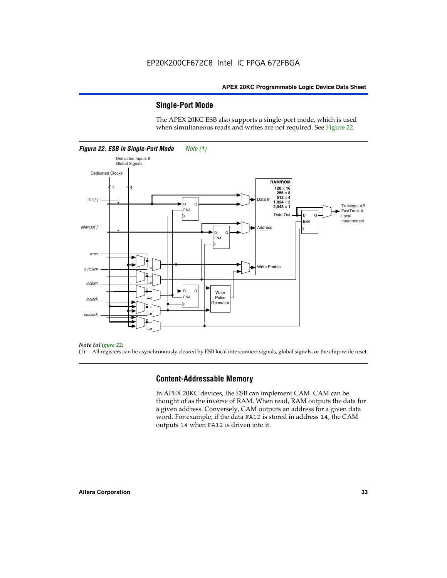#### **Single-Port Mode**

The APEX 20KC ESB also supports a single-port mode, which is used when simultaneous reads and writes are not required. See Figure 22.



#### *Note toFigure 22:*

(1) All registers can be asynchronously cleared by ESB local interconnect signals, global signals, or the chip-wide reset.

#### **Content-Addressable Memory**

In APEX 20KC devices, the ESB can implement CAM. CAM can be thought of as the inverse of RAM. When read, RAM outputs the data for a given address. Conversely, CAM outputs an address for a given data word. For example, if the data FA12 is stored in address 14, the CAM outputs 14 when FA12 is driven into it.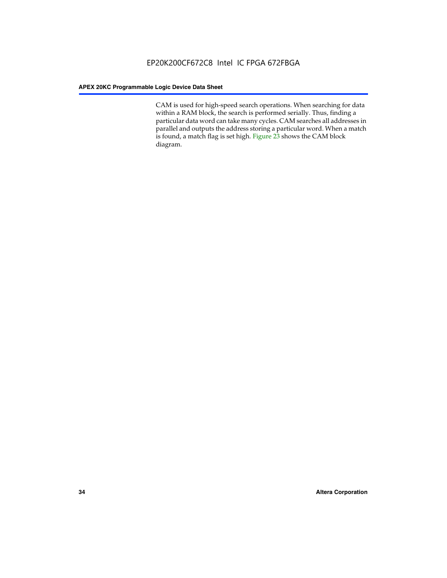CAM is used for high-speed search operations. When searching for data within a RAM block, the search is performed serially. Thus, finding a particular data word can take many cycles. CAM searches all addresses in parallel and outputs the address storing a particular word. When a match is found, a match flag is set high. Figure 23 shows the CAM block diagram.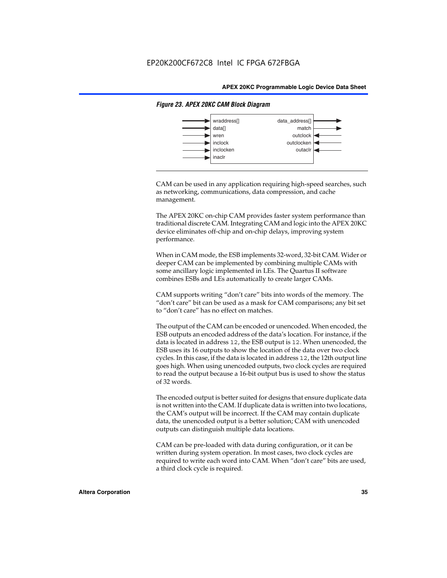

#### *Figure 23. APEX 20KC CAM Block Diagram*

CAM can be used in any application requiring high-speed searches, such as networking, communications, data compression, and cache management.

The APEX 20KC on-chip CAM provides faster system performance than traditional discrete CAM. Integrating CAM and logic into the APEX 20KC device eliminates off-chip and on-chip delays, improving system performance.

When in CAM mode, the ESB implements 32-word, 32-bit CAM. Wider or deeper CAM can be implemented by combining multiple CAMs with some ancillary logic implemented in LEs. The Quartus II software combines ESBs and LEs automatically to create larger CAMs.

CAM supports writing "don't care" bits into words of the memory. The "don't care" bit can be used as a mask for CAM comparisons; any bit set to "don't care" has no effect on matches.

The output of the CAM can be encoded or unencoded. When encoded, the ESB outputs an encoded address of the data's location. For instance, if the data is located in address 12, the ESB output is 12. When unencoded, the ESB uses its 16 outputs to show the location of the data over two clock cycles. In this case, if the data is located in address 12, the 12th output line goes high. When using unencoded outputs, two clock cycles are required to read the output because a 16-bit output bus is used to show the status of 32 words.

The encoded output is better suited for designs that ensure duplicate data is not written into the CAM. If duplicate data is written into two locations, the CAM's output will be incorrect. If the CAM may contain duplicate data, the unencoded output is a better solution; CAM with unencoded outputs can distinguish multiple data locations.

CAM can be pre-loaded with data during configuration, or it can be written during system operation. In most cases, two clock cycles are required to write each word into CAM. When "don't care" bits are used, a third clock cycle is required.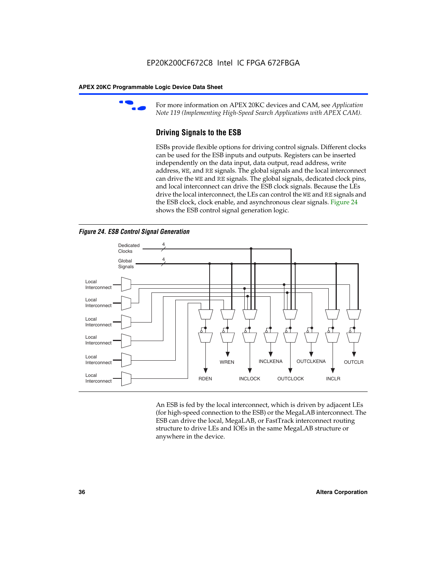

For more information on APEX 20KC devices and CAM, see *Application Note 119 (Implementing High-Speed Search Applications with APEX CAM).*

# **Driving Signals to the ESB**

ESBs provide flexible options for driving control signals. Different clocks can be used for the ESB inputs and outputs. Registers can be inserted independently on the data input, data output, read address, write address, WE, and RE signals. The global signals and the local interconnect can drive the WE and RE signals. The global signals, dedicated clock pins, and local interconnect can drive the ESB clock signals. Because the LEs drive the local interconnect, the LEs can control the WE and RE signals and the ESB clock, clock enable, and asynchronous clear signals. Figure 24 shows the ESB control signal generation logic.





An ESB is fed by the local interconnect, which is driven by adjacent LEs (for high-speed connection to the ESB) or the MegaLAB interconnect. The ESB can drive the local, MegaLAB, or FastTrack interconnect routing structure to drive LEs and IOEs in the same MegaLAB structure or anywhere in the device.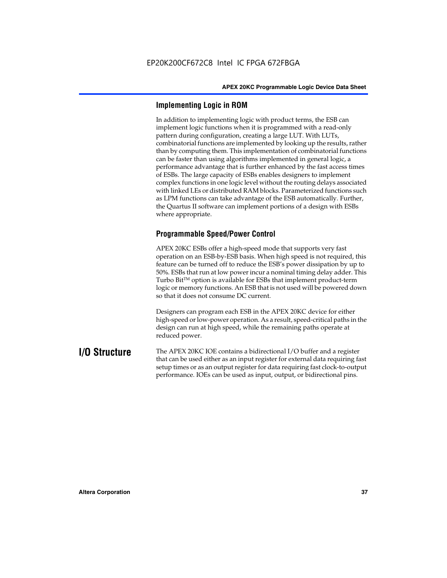# **Implementing Logic in ROM**

In addition to implementing logic with product terms, the ESB can implement logic functions when it is programmed with a read-only pattern during configuration, creating a large LUT. With LUTs, combinatorial functions are implemented by looking up the results, rather than by computing them. This implementation of combinatorial functions can be faster than using algorithms implemented in general logic, a performance advantage that is further enhanced by the fast access times of ESBs. The large capacity of ESBs enables designers to implement complex functions in one logic level without the routing delays associated with linked LEs or distributed RAM blocks. Parameterized functions such as LPM functions can take advantage of the ESB automatically. Further, the Quartus II software can implement portions of a design with ESBs where appropriate.

# **Programmable Speed/Power Control**

APEX 20KC ESBs offer a high-speed mode that supports very fast operation on an ESB-by-ESB basis. When high speed is not required, this feature can be turned off to reduce the ESB's power dissipation by up to 50%. ESBs that run at low power incur a nominal timing delay adder. This Turbo  $Bit^{TM}$  option is available for ESBs that implement product-term logic or memory functions. An ESB that is not used will be powered down so that it does not consume DC current.

Designers can program each ESB in the APEX 20KC device for either high-speed or low-power operation. As a result, speed-critical paths in the design can run at high speed, while the remaining paths operate at reduced power.

**I/O Structure** The APEX 20KC IOE contains a bidirectional I/O buffer and a register that can be used either as an input register for external data requiring fast setup times or as an output register for data requiring fast clock-to-output performance. IOEs can be used as input, output, or bidirectional pins.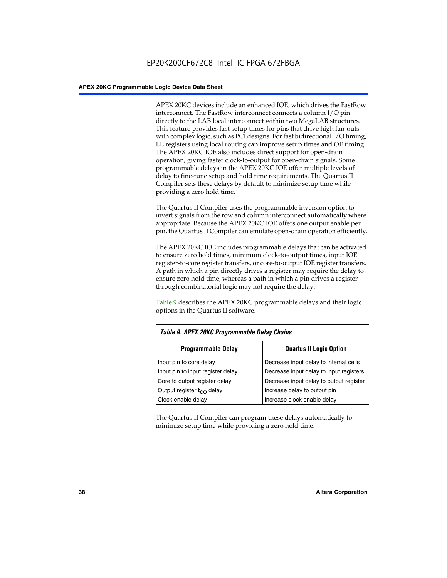APEX 20KC devices include an enhanced IOE, which drives the FastRow interconnect. The FastRow interconnect connects a column I/O pin directly to the LAB local interconnect within two MegaLAB structures. This feature provides fast setup times for pins that drive high fan-outs with complex logic, such as PCI designs. For fast bidirectional I/O timing, LE registers using local routing can improve setup times and OE timing. The APEX 20KC IOE also includes direct support for open-drain operation, giving faster clock-to-output for open-drain signals. Some programmable delays in the APEX 20KC IOE offer multiple levels of delay to fine-tune setup and hold time requirements. The Quartus II Compiler sets these delays by default to minimize setup time while providing a zero hold time.

The Quartus II Compiler uses the programmable inversion option to invert signals from the row and column interconnect automatically where appropriate. Because the APEX 20KC IOE offers one output enable per pin, the Quartus II Compiler can emulate open-drain operation efficiently.

The APEX 20KC IOE includes programmable delays that can be activated to ensure zero hold times, minimum clock-to-output times, input IOE register-to-core register transfers, or core-to-output IOE register transfers. A path in which a pin directly drives a register may require the delay to ensure zero hold time, whereas a path in which a pin drives a register through combinatorial logic may not require the delay.

Table 9 describes the APEX 20KC programmable delays and their logic options in the Quartus II software.

| Table 9. APEX 20KC Programmable Delay Chains |                                         |  |  |  |  |
|----------------------------------------------|-----------------------------------------|--|--|--|--|
| <b>Programmable Delay</b>                    | <b>Quartus II Logic Option</b>          |  |  |  |  |
| Input pin to core delay                      | Decrease input delay to internal cells  |  |  |  |  |
| Input pin to input register delay            | Decrease input delay to input registers |  |  |  |  |
| Core to output register delay                | Decrease input delay to output register |  |  |  |  |
| Output register t <sub>co</sub> delay        | Increase delay to output pin            |  |  |  |  |
| Clock enable delay                           | Increase clock enable delay             |  |  |  |  |

The Quartus II Compiler can program these delays automatically to minimize setup time while providing a zero hold time.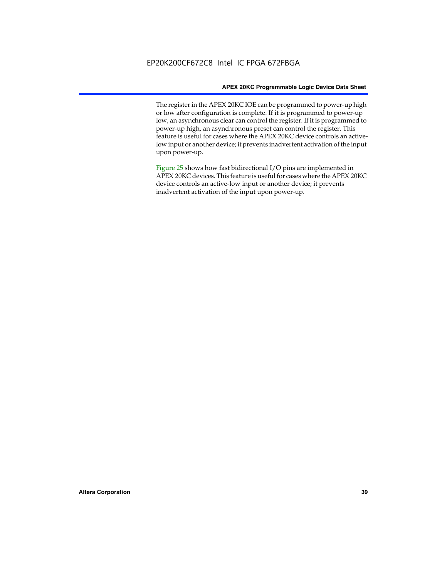The register in the APEX 20KC IOE can be programmed to power-up high or low after configuration is complete. If it is programmed to power-up low, an asynchronous clear can control the register. If it is programmed to power-up high, an asynchronous preset can control the register. This feature is useful for cases where the APEX 20KC device controls an activelow input or another device; it prevents inadvertent activation of the input upon power-up.

Figure 25 shows how fast bidirectional I/O pins are implemented in APEX 20KC devices. This feature is useful for cases where the APEX 20KC device controls an active-low input or another device; it prevents inadvertent activation of the input upon power-up.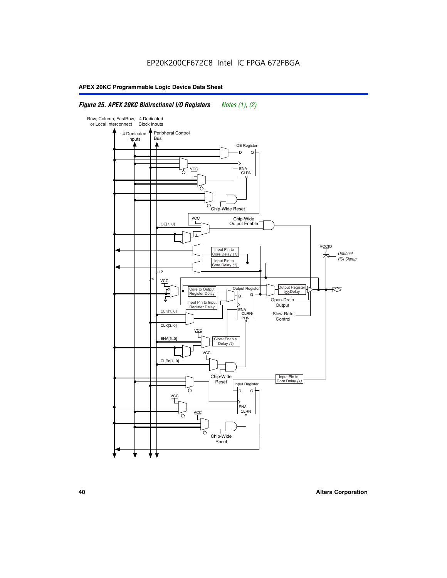# *Figure 25. APEX 20KC Bidirectional I/O Registers Notes (1), (2)*

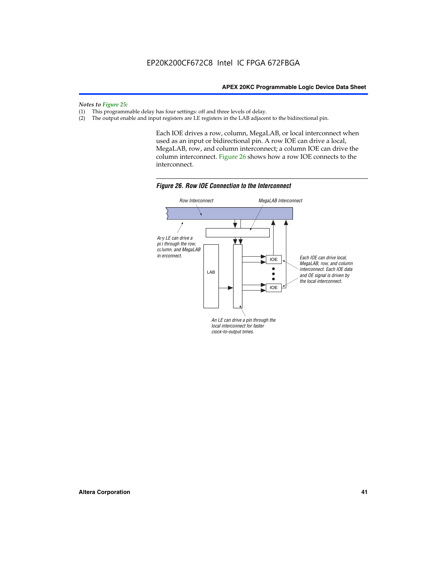# *Notes to Figure 25:*

- (1) This programmable delay has four settings: off and three levels of delay.<br>(2) The output enable and input registers are LE registers in the LAB adjacer
- The output enable and input registers are LE registers in the LAB adjacent to the bidirectional pin.

Each IOE drives a row, column, MegaLAB, or local interconnect when used as an input or bidirectional pin. A row IOE can drive a local, MegaLAB, row, and column interconnect; a column IOE can drive the column interconnect. Figure 26 shows how a row IOE connects to the interconnect.



*Figure 26. Row IOE Connection to the Interconnect*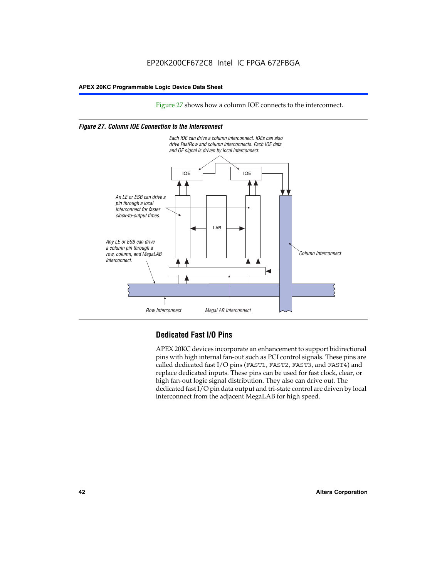Figure 27 shows how a column IOE connects to the interconnect.

### *Figure 27. Column IOE Connection to the Interconnect*



# **Dedicated Fast I/O Pins**

APEX 20KC devices incorporate an enhancement to support bidirectional pins with high internal fan-out such as PCI control signals. These pins are called dedicated fast I/O pins (FAST1, FAST2, FAST3, and FAST4) and replace dedicated inputs. These pins can be used for fast clock, clear, or high fan-out logic signal distribution. They also can drive out. The dedicated fast I/O pin data output and tri-state control are driven by local interconnect from the adjacent MegaLAB for high speed.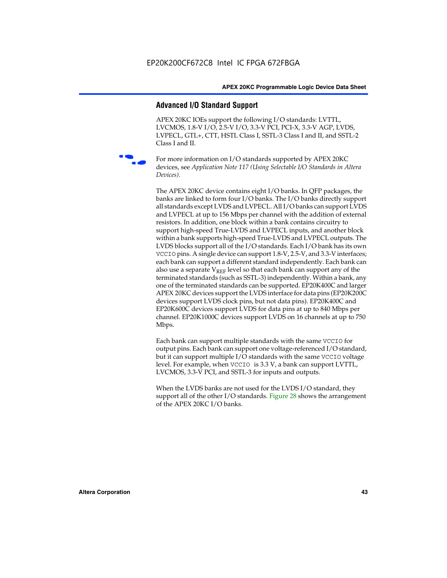# **Advanced I/O Standard Support**

APEX 20KC IOEs support the following I/O standards: LVTTL, LVCMOS, 1.8-V I/O, 2.5-V I/O, 3.3-V PCI, PCI-X, 3.3-V AGP, LVDS, LVPECL, GTL+, CTT, HSTL Class I, SSTL-3 Class I and II, and SSTL-2 Class I and II.



For more information on I/O standards supported by APEX 20KC devices, see *Application Note 117 (Using Selectable I/O Standards in Altera Devices)*.

The APEX 20KC device contains eight I/O banks. In QFP packages, the banks are linked to form four I/O banks. The I/O banks directly support all standards except LVDS and LVPECL. All I/O banks can support LVDS and LVPECL at up to 156 Mbps per channel with the addition of external resistors. In addition, one block within a bank contains circuitry to support high-speed True-LVDS and LVPECL inputs, and another block within a bank supports high-speed True-LVDS and LVPECL outputs. The LVDS blocks support all of the I/O standards. Each I/O bank has its own VCCIO pins. A single device can support 1.8-V, 2.5-V, and 3.3-V interfaces; each bank can support a different standard independently. Each bank can also use a separate  $V_{REF}$  level so that each bank can support any of the terminated standards (such as SSTL-3) independently. Within a bank, any one of the terminated standards can be supported. EP20K400C and larger APEX 20KC devices support the LVDS interface for data pins (EP20K200C devices support LVDS clock pins, but not data pins). EP20K400C and EP20K600C devices support LVDS for data pins at up to 840 Mbps per channel. EP20K1000C devices support LVDS on 16 channels at up to 750 Mbps.

Each bank can support multiple standards with the same VCCIO for output pins. Each bank can support one voltage-referenced I/O standard, but it can support multiple I/O standards with the same VCCIO voltage level. For example, when VCCIO is 3.3 V, a bank can support LVTTL, LVCMOS, 3.3-V PCI, and SSTL-3 for inputs and outputs.

When the LVDS banks are not used for the LVDS I/O standard, they support all of the other I/O standards. Figure 28 shows the arrangement of the APEX 20KC I/O banks.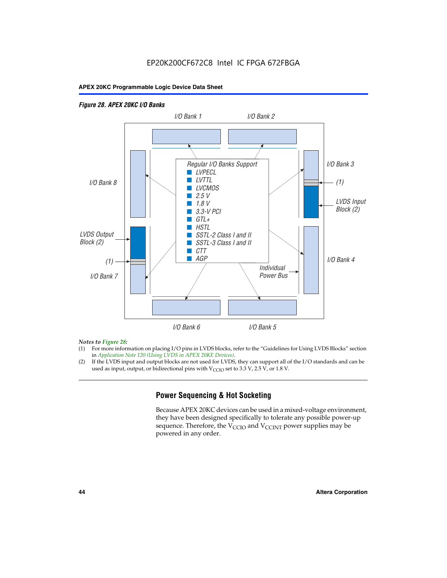# EP20K200CF672C8 Intel IC FPGA 672FBGA

### **APEX 20KC Programmable Logic Device Data Sheet**

### *Figure 28. APEX 20KC I/O Banks LVDS Input Block (2) (1) LVDS Output Block (2) (1) Individual Power Bus I/O Bank 8 I/O Bank 1 I/O Bank 2 I/O Bank 3 I/O Bank 4 I/O Bank 6 I/O Bank 5 I/O Bank 7 Regular I/O Banks Support* ■ *LVPECL* ■ *LVTTL* ■ *LVCMOS* ■ *2.5 V* ■ *1.8 V* ■ *3.3-V PCI* ■ *GTL+* ■ *HSTL* ■ *SSTL-2 Class I and II* ■ *SSTL-3 Class I and II* ■ *CTT* ■ *AGP*

### *Notes to Figure 28:*

- (1) For more information on placing I/O pins in LVDS blocks, refer to the "Guidelines for Using LVDS Blocks" section in *Application Note 120 (Using LVDS in APEX 20KE Devices)*.
- (2) If the LVDS input and output blocks are not used for LVDS, they can support all of the I/O standards and can be used as input, output, or bidirectional pins with  $V_{\text{CCIO}}$  set to 3.3 V, 2.5 V, or 1.8 V.

# **Power Sequencing & Hot Socketing**

Because APEX 20KC devices can be used in a mixed-voltage environment, they have been designed specifically to tolerate any possible power-up sequence. Therefore, the  $V_{\text{CCIO}}$  and  $V_{\text{CCINT}}$  power supplies may be powered in any order.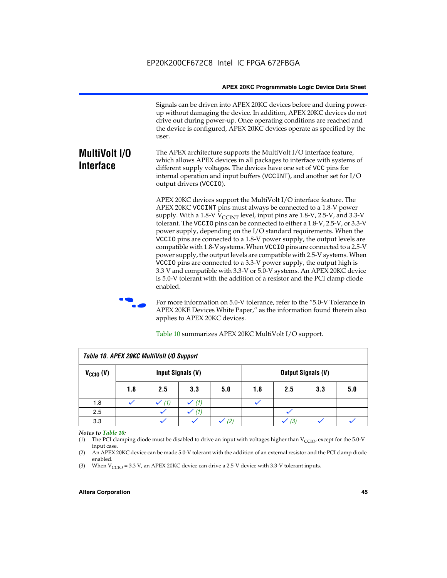Signals can be driven into APEX 20KC devices before and during powerup without damaging the device. In addition, APEX 20KC devices do not drive out during power-up. Once operating conditions are reached and the device is configured, APEX 20KC devices operate as specified by the user.

#### **MultiVolt I/O Interface** The APEX architecture supports the MultiVolt I/O interface feature, which allows APEX devices in all packages to interface with systems of different supply voltages. The devices have one set of VCC pins for internal operation and input buffers (VCCINT), and another set for I/O output drivers (VCCIO).

APEX 20KC devices support the MultiVolt I/O interface feature. The APEX 20KC VCCINT pins must always be connected to a 1.8-V power supply. With a 1.8-V  $V_{\text{CCTNT}}$  level, input pins are 1.8-V, 2.5-V, and 3.3-V tolerant. The VCCIO pins can be connected to either a 1.8-V, 2.5-V, or 3.3-V power supply, depending on the I/O standard requirements. When the VCCIO pins are connected to a 1.8-V power supply, the output levels are compatible with 1.8-V systems. When VCCIO pins are connected to a 2.5-V power supply, the output levels are compatible with 2.5-V systems. When VCCIO pins are connected to a 3.3-V power supply, the output high is 3.3 V and compatible with 3.3-V or 5.0-V systems. An APEX 20KC device is 5.0-V tolerant with the addition of a resistor and the PCI clamp diode enabled.

For more information on 5.0-V tolerance, refer to the "5.0-V Tolerance in APEX 20KE Devices White Paper," as the information found therein also applies to APEX 20KC devices.

| Table 10. APEX 20KC MultiVolt I/O Support |                                                |     |     |     |     |     |     |     |
|-------------------------------------------|------------------------------------------------|-----|-----|-----|-----|-----|-----|-----|
| $V_{\text{CCIO}}(V)$                      | Input Signals (V)<br><b>Output Signals (V)</b> |     |     |     |     |     |     |     |
|                                           | 1.8                                            | 2.5 | 3.3 | 5.0 | 1.8 | 2.5 | 3.3 | 5.0 |
| 1.8                                       |                                                | (1) | (1) |     |     |     |     |     |
| 2.5                                       |                                                |     | (1) |     |     |     |     |     |
| 3.3                                       |                                                |     |     | (2) |     | (3) |     |     |

Table 10 summarizes APEX 20KC MultiVolt I/O support.

### *Notes to Table 10:*

(1) The PCI clamping diode must be disabled to drive an input with voltages higher than  $V_{C CIO}$ , except for the 5.0-V input case.

(2) An APEX 20KC device can be made 5.0-V tolerant with the addition of an external resistor and the PCI clamp diode enabled.

(3) When  $V_{\text{CCIO}} = 3.3 \text{ V}$ , an APEX 20KC device can drive a 2.5-V device with 3.3-V tolerant inputs.

### **Altera Corporation 45**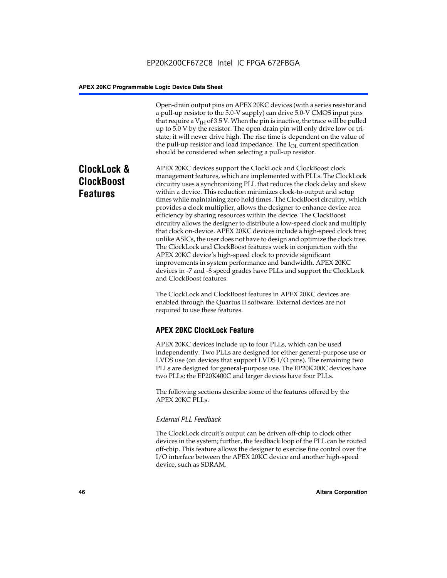Open-drain output pins on APEX 20KC devices (with a series resistor and a pull-up resistor to the 5.0-V supply) can drive 5.0-V CMOS input pins that require a  $V<sub>IH</sub>$  of 3.5 V. When the pin is inactive, the trace will be pulled up to 5.0 V by the resistor. The open-drain pin will only drive low or tristate; it will never drive high. The rise time is dependent on the value of the pull-up resistor and load impedance. The  $I_{OL}$  current specification should be considered when selecting a pull-up resistor.

# **ClockLock & ClockBoost Features**

APEX 20KC devices support the ClockLock and ClockBoost clock management features, which are implemented with PLLs. The ClockLock circuitry uses a synchronizing PLL that reduces the clock delay and skew within a device. This reduction minimizes clock-to-output and setup times while maintaining zero hold times. The ClockBoost circuitry, which provides a clock multiplier, allows the designer to enhance device area efficiency by sharing resources within the device. The ClockBoost circuitry allows the designer to distribute a low-speed clock and multiply that clock on-device. APEX 20KC devices include a high-speed clock tree; unlike ASICs, the user does not have to design and optimize the clock tree. The ClockLock and ClockBoost features work in conjunction with the APEX 20KC device's high-speed clock to provide significant improvements in system performance and bandwidth. APEX 20KC devices in -7 and -8 speed grades have PLLs and support the ClockLock and ClockBoost features.

The ClockLock and ClockBoost features in APEX 20KC devices are enabled through the Quartus II software. External devices are not required to use these features.

# **APEX 20KC ClockLock Feature**

APEX 20KC devices include up to four PLLs, which can be used independently. Two PLLs are designed for either general-purpose use or LVDS use (on devices that support LVDS I/O pins). The remaining two PLLs are designed for general-purpose use. The EP20K200C devices have two PLLs; the EP20K400C and larger devices have four PLLs.

The following sections describe some of the features offered by the APEX 20KC PLLs.

### *External PLL Feedback*

The ClockLock circuit's output can be driven off-chip to clock other devices in the system; further, the feedback loop of the PLL can be routed off-chip. This feature allows the designer to exercise fine control over the I/O interface between the APEX 20KC device and another high-speed device, such as SDRAM.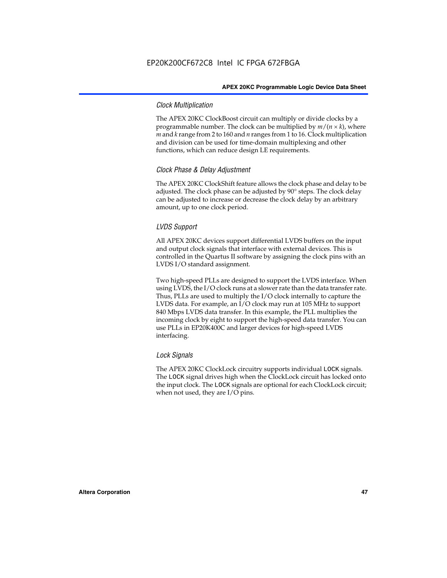### *Clock Multiplication*

The APEX 20KC ClockBoost circuit can multiply or divide clocks by a programmable number. The clock can be multiplied by  $m/(n \times k)$ , where *m* and *k* range from 2 to 160 and *n* ranges from 1 to 16. Clock multiplication and division can be used for time-domain multiplexing and other functions, which can reduce design LE requirements.

### *Clock Phase & Delay Adjustment*

The APEX 20KC ClockShift feature allows the clock phase and delay to be adjusted. The clock phase can be adjusted by 90° steps. The clock delay can be adjusted to increase or decrease the clock delay by an arbitrary amount, up to one clock period.

### *LVDS Support*

All APEX 20KC devices support differential LVDS buffers on the input and output clock signals that interface with external devices. This is controlled in the Quartus II software by assigning the clock pins with an LVDS I/O standard assignment.

Two high-speed PLLs are designed to support the LVDS interface. When using LVDS, the I/O clock runs at a slower rate than the data transfer rate. Thus, PLLs are used to multiply the I/O clock internally to capture the LVDS data. For example, an I/O clock may run at 105 MHz to support 840 Mbps LVDS data transfer. In this example, the PLL multiplies the incoming clock by eight to support the high-speed data transfer. You can use PLLs in EP20K400C and larger devices for high-speed LVDS interfacing.

### *Lock Signals*

The APEX 20KC ClockLock circuitry supports individual LOCK signals. The LOCK signal drives high when the ClockLock circuit has locked onto the input clock. The LOCK signals are optional for each ClockLock circuit; when not used, they are I/O pins.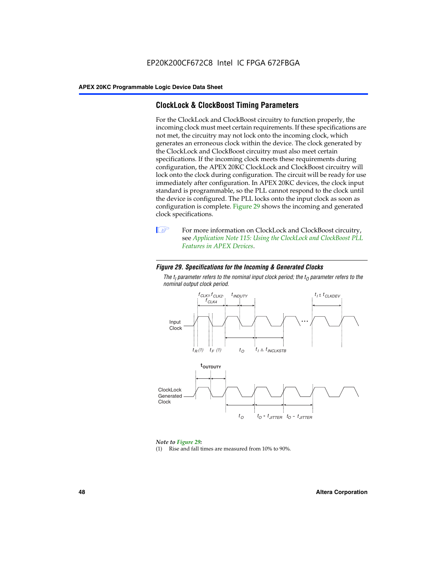# **ClockLock & ClockBoost Timing Parameters**

For the ClockLock and ClockBoost circuitry to function properly, the incoming clock must meet certain requirements. If these specifications are not met, the circuitry may not lock onto the incoming clock, which generates an erroneous clock within the device. The clock generated by the ClockLock and ClockBoost circuitry must also meet certain specifications. If the incoming clock meets these requirements during configuration, the APEX 20KC ClockLock and ClockBoost circuitry will lock onto the clock during configuration. The circuit will be ready for use immediately after configuration. In APEX 20KC devices, the clock input standard is programmable, so the PLL cannot respond to the clock until the device is configured. The PLL locks onto the input clock as soon as configuration is complete. Figure 29 shows the incoming and generated clock specifications.



**1** For more information on ClockLock and ClockBoost circuitry, see *Application Note 115: Using the ClockLock and ClockBoost PLL Features in APEX Devices*.

### *Figure 29. Specifications for the Incoming & Generated Clocks*

The  $t_{\mathfrak l}$  parameter refers to the nominal input clock period; the  $t_{\mathfrak l}$  parameter refers to the *nominal output clock period.*



### *Note to Figure 29:*

(1) Rise and fall times are measured from 10% to 90%.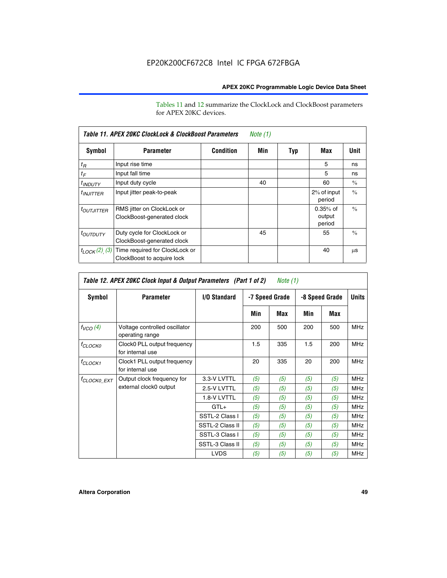Tables 11 and 12 summarize the ClockLock and ClockBoost parameters for APEX 20KC devices.

| Table 11. APEX 20KC ClockLock & ClockBoost Parameters<br>Note (1) |                                                              |                  |     |     |                                |               |  |  |  |
|-------------------------------------------------------------------|--------------------------------------------------------------|------------------|-----|-----|--------------------------------|---------------|--|--|--|
| Symbol                                                            | <b>Parameter</b>                                             | <b>Condition</b> | Min | Typ | Max                            | Unit          |  |  |  |
| $t_R$                                                             | Input rise time                                              |                  |     |     | 5                              | ns            |  |  |  |
| $t_F$                                                             | Input fall time                                              |                  |     |     | 5                              | ns            |  |  |  |
| <sup>t</sup> INDUTY                                               | Input duty cycle                                             |                  | 40  |     | 60                             | $\frac{0}{0}$ |  |  |  |
| $t_{INJITTER}$                                                    | Input jitter peak-to-peak                                    |                  |     |     | 2% of input<br>period          | $\frac{0}{0}$ |  |  |  |
| <b><i>LOUTJITTER</i></b>                                          | RMS jitter on ClockLock or<br>ClockBoost-generated clock     |                  |     |     | $0.35%$ of<br>output<br>period | $\frac{0}{0}$ |  |  |  |
| <i>t<sub>OUTDUTY</sub></i>                                        | Duty cycle for ClockLock or<br>ClockBoost-generated clock    |                  | 45  |     | 55                             | $\frac{0}{0}$ |  |  |  |
| $t_{LOCK}(2)$ (3)                                                 | Time required for ClockLock or<br>ClockBoost to acquire lock |                  |     |     | 40                             | μS            |  |  |  |

| Table 12. APEX 20KC Clock Input & Output Parameters (Part 1 of 2)<br>Note (1) |                                                  |                 |     |                |     |              |            |  |
|-------------------------------------------------------------------------------|--------------------------------------------------|-----------------|-----|----------------|-----|--------------|------------|--|
| Symbol<br><b>I/O Standard</b><br><b>Parameter</b><br>-7 Speed Grade           |                                                  |                 |     | -8 Speed Grade |     | <b>Units</b> |            |  |
|                                                                               |                                                  |                 | Min | Max            | Min | Max          |            |  |
| $f_{VCO}(4)$                                                                  | Voltage controlled oscillator<br>operating range |                 | 200 | 500            | 200 | 500          | <b>MHz</b> |  |
| <sup>f</sup> CLOCK0                                                           | Clock0 PLL output frequency<br>for internal use  |                 | 1.5 | 335            | 1.5 | 200          | <b>MHz</b> |  |
| f <sub>CLOCK1</sub>                                                           | Clock1 PLL output frequency<br>for internal use  |                 | 20  | 335            | 20  | 200          | <b>MHz</b> |  |
| <sup>f</sup> clock0 ext                                                       | Output clock frequency for                       | 3.3-V LVTTL     | (5) | (5)            | (5) | (5)          | <b>MHz</b> |  |
|                                                                               | external clock0 output                           | 2.5-V LVTTL     | (5) | (5)            | (5) | (5)          | <b>MHz</b> |  |
|                                                                               |                                                  | 1.8-V LVTTL     | (5) | (5)            | (5) | (5)          | <b>MHz</b> |  |
|                                                                               |                                                  | $GTL+$          | (5) | (5)            | (5) | (5)          | <b>MHz</b> |  |
|                                                                               |                                                  | SSTL-2 Class I  | (5) | (5)            | (5) | (5)          | <b>MHz</b> |  |
|                                                                               |                                                  | SSTL-2 Class II | (5) | (5)            | (5) | (5)          | <b>MHz</b> |  |
|                                                                               |                                                  | SSTL-3 Class I  | (5) | (5)            | (5) | (5)          | <b>MHz</b> |  |
|                                                                               |                                                  | SSTL-3 Class II | (5) | (5)            | (5) | (5)          | <b>MHz</b> |  |
|                                                                               |                                                  | <b>LVDS</b>     | (5) | (5)            | (5) | (5)          | <b>MHz</b> |  |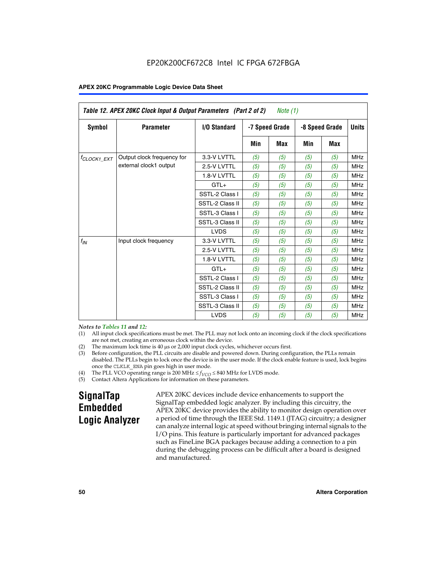| Table 12. APEX 20KC Clock Input & Output Parameters (Part 2 of 2)<br>Note (1) |                            |                 |                |            |                |            |            |              |
|-------------------------------------------------------------------------------|----------------------------|-----------------|----------------|------------|----------------|------------|------------|--------------|
| Symbol                                                                        | <b>Parameter</b>           | I/O Standard    | -7 Speed Grade |            | -8 Speed Grade |            |            | <b>Units</b> |
|                                                                               |                            |                 | Min            | <b>Max</b> | Min            | <b>Max</b> |            |              |
| $t_{\text{CLOCK1\_EXT}}$                                                      | Output clock frequency for | 3.3-V LVTTL     | (5)            | (5)        | (5)            | (5)        | <b>MHz</b> |              |
|                                                                               | external clock1 output     | 2.5-V LVTTL     | (5)            | (5)        | (5)            | (5)        | <b>MHz</b> |              |
|                                                                               |                            | 1.8-V LVTTL     | (5)            | (5)        | (5)            | (5)        | <b>MHz</b> |              |
|                                                                               |                            | $GTL+$          | (5)            | (5)        | (5)            | (5)        | <b>MHz</b> |              |
|                                                                               |                            | SSTL-2 Class I  | (5)            | (5)        | (5)            | (5)        | <b>MHz</b> |              |
|                                                                               |                            | SSTL-2 Class II | (5)            | (5)        | (5)            | (5)        | <b>MHz</b> |              |
|                                                                               |                            | SSTL-3 Class I  | (5)            | (5)        | (5)            | (5)        | <b>MHz</b> |              |
|                                                                               |                            | SSTL-3 Class II | (5)            | (5)        | (5)            | (5)        | <b>MHz</b> |              |
|                                                                               |                            | <b>LVDS</b>     | (5)            | (5)        | (5)            | (5)        | <b>MHz</b> |              |
| $f_{IN}$                                                                      | Input clock frequency      | 3.3-V LVTTL     | (5)            | (5)        | (5)            | (5)        | <b>MHz</b> |              |
|                                                                               |                            | 2.5-V LVTTL     | (5)            | (5)        | (5)            | (5)        | <b>MHz</b> |              |
|                                                                               |                            | 1.8-V LVTTL     | (5)            | (5)        | (5)            | (5)        | <b>MHz</b> |              |
|                                                                               |                            | $GTL+$          | (5)            | (5)        | (5)            | (5)        | <b>MHz</b> |              |
|                                                                               |                            | SSTL-2 Class I  | (5)            | (5)        | (5)            | (5)        | <b>MHz</b> |              |
|                                                                               |                            | SSTL-2 Class II | (5)            | (5)        | (5)            | (5)        | <b>MHz</b> |              |
|                                                                               |                            | SSTL-3 Class I  | (5)            | (5)        | (5)            | (5)        | <b>MHz</b> |              |
|                                                                               |                            | SSTL-3 Class II | (5)            | (5)        | (5)            | (5)        | <b>MHz</b> |              |
|                                                                               |                            | <b>LVDS</b>     | (5)            | (5)        | (5)            | (5)        | <b>MHz</b> |              |

### *Notes to Tables 11 and 12:*

- (1) All input clock specifications must be met. The PLL may not lock onto an incoming clock if the clock specifications are not met, creating an erroneous clock within the device.
- 
- (2) The maximum lock time is  $40 \mu s$  or  $2,000$  input clock cycles, whichever occurs first.<br>
(3) Before configuration, the PLL circuits are disable and powered down. During confi Before configuration, the PLL circuits are disable and powered down. During configuration, the PLLs remain disabled. The PLLs begin to lock once the device is in the user mode. If the clock enable feature is used, lock begins once the CLKLK\_ENA pin goes high in user mode.
- (4) The PLL VCO operating range is 200 MHz  $\leq f_{VCO} \leq 840$  MHz for LVDS mode.

(5) Contact Altera Applications for information on these parameters.

# **SignalTap Embedded Logic Analyzer**

APEX 20KC devices include device enhancements to support the SignalTap embedded logic analyzer. By including this circuitry, the APEX 20KC device provides the ability to monitor design operation over a period of time through the IEEE Std. 1149.1 (JTAG) circuitry; a designer can analyze internal logic at speed without bringing internal signals to the I/O pins. This feature is particularly important for advanced packages such as FineLine BGA packages because adding a connection to a pin during the debugging process can be difficult after a board is designed and manufactured.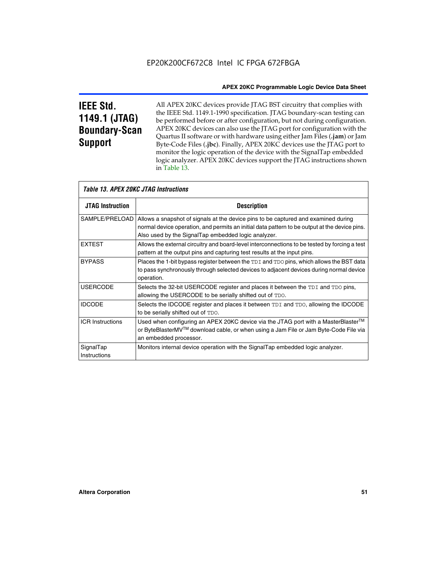# **IEEE Std. 1149.1 (JTAG) Boundary-Scan Support**

All APEX 20KC devices provide JTAG BST circuitry that complies with the IEEE Std. 1149.1-1990 specification. JTAG boundary-scan testing can be performed before or after configuration, but not during configuration. APEX 20KC devices can also use the JTAG port for configuration with the Quartus II software or with hardware using either Jam Files (**.jam**) or Jam Byte-Code Files (**.jbc**). Finally, APEX 20KC devices use the JTAG port to monitor the logic operation of the device with the SignalTap embedded logic analyzer. APEX 20KC devices support the JTAG instructions shown in Table 13.

| <i>Table 13. APEX 20KC JTAG Instructions</i> |                                                                                                                                                                                                                                                             |  |  |  |  |  |
|----------------------------------------------|-------------------------------------------------------------------------------------------------------------------------------------------------------------------------------------------------------------------------------------------------------------|--|--|--|--|--|
| <b>JTAG Instruction</b>                      | <b>Description</b>                                                                                                                                                                                                                                          |  |  |  |  |  |
|                                              | SAMPLE/PRELOAD   Allows a snapshot of signals at the device pins to be captured and examined during<br>normal device operation, and permits an initial data pattern to be output at the device pins.<br>Also used by the SignalTap embedded logic analyzer. |  |  |  |  |  |
| <b>EXTEST</b>                                | Allows the external circuitry and board-level interconnections to be tested by forcing a test<br>pattern at the output pins and capturing test results at the input pins.                                                                                   |  |  |  |  |  |
| <b>BYPASS</b>                                | Places the 1-bit bypass register between the TDI and TDO pins, which allows the BST data<br>to pass synchronously through selected devices to adjacent devices during normal device<br>operation.                                                           |  |  |  |  |  |
| <b>USERCODE</b>                              | Selects the 32-bit USERCODE register and places it between the TDI and TDO pins,<br>allowing the USERCODE to be serially shifted out of TDO.                                                                                                                |  |  |  |  |  |
| <b>IDCODE</b>                                | Selects the IDCODE register and places it between TDI and TDO, allowing the IDCODE<br>to be serially shifted out of TDO.                                                                                                                                    |  |  |  |  |  |
| <b>ICR Instructions</b>                      | Used when configuring an APEX 20KC device via the JTAG port with a MasterBlaster <sup>™</sup><br>or ByteBlasterMV™ download cable, or when using a Jam File or Jam Byte-Code File via<br>an embedded processor.                                             |  |  |  |  |  |
| SignalTap<br>Instructions                    | Monitors internal device operation with the SignalTap embedded logic analyzer.                                                                                                                                                                              |  |  |  |  |  |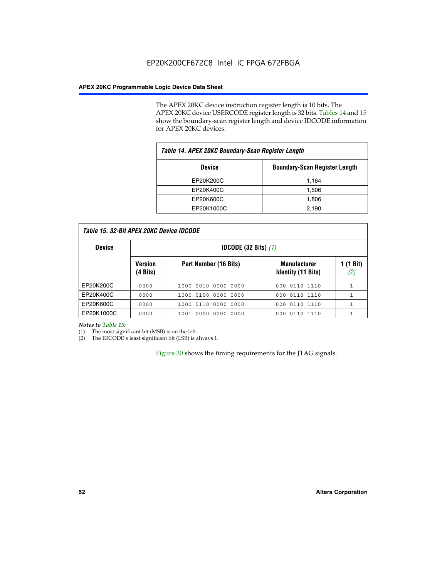The APEX 20KC device instruction register length is 10 bits. The APEX 20KC device USERCODE register length is 32 bits. Tables 14 and 15 show the boundary-scan register length and device IDCODE information for APEX 20KC devices.

| Table 14. APEX 20KC Boundary-Scan Register Length |                                      |  |  |  |  |
|---------------------------------------------------|--------------------------------------|--|--|--|--|
| <b>Device</b>                                     | <b>Boundary-Scan Register Length</b> |  |  |  |  |
| EP20K200C                                         | 1,164                                |  |  |  |  |
| EP20K400C                                         | 1,506                                |  |  |  |  |
| EP20K600C                                         | 1,806                                |  |  |  |  |
| EP20K1000C                                        | 2,190                                |  |  |  |  |

| <b>Device</b> |                            | <b>IDCODE</b> (32 Bits) $(1)$ |                                                  |                  |  |  |  |  |
|---------------|----------------------------|-------------------------------|--------------------------------------------------|------------------|--|--|--|--|
|               | <b>Version</b><br>(4 Bits) | Part Number (16 Bits)         | <b>Manufacturer</b><br><b>Identity (11 Bits)</b> | 1 (1 Bit)<br>(2) |  |  |  |  |
| EP20K200C     | 0000                       | 1000 0010 0000 0000           | 000 0110 1110                                    |                  |  |  |  |  |
| EP20K400C     | 0000                       | 1000 0100 0000 0000           | 0110 1110<br>000                                 |                  |  |  |  |  |
| EP20K600C     | 0000                       | 1000 0110 0000 0000           | 0110 1110<br>000                                 | 1                |  |  |  |  |
| EP20K1000C    | 0000                       | 1001 0000 0000 0000           | 000 0110 1110                                    |                  |  |  |  |  |

*Notes to Table 15:*

(1) The most significant bit (MSB) is on the left.

(2) The IDCODE's least significant bit (LSB) is always 1.

Figure 30 shows the timing requirements for the JTAG signals.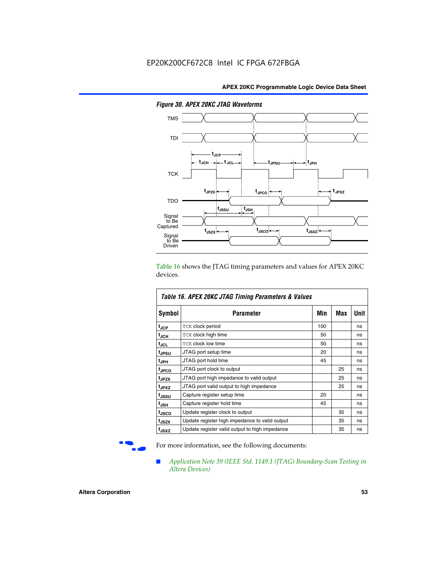

*Figure 30. APEX 20KC JTAG Waveforms*

Table 16 shows the JTAG timing parameters and values for APEX 20KC devices.

| Table 16. APEX 20KC JTAG Timing Parameters & Values |                                                |     |     |      |  |  |  |  |
|-----------------------------------------------------|------------------------------------------------|-----|-----|------|--|--|--|--|
| Symbol                                              | Parameter                                      | Min | Max | Unit |  |  |  |  |
| t <sub>JCP</sub>                                    | <b>TCK clock period</b>                        | 100 |     | ns   |  |  |  |  |
| t <sub>JCH</sub>                                    | <b>TCK clock high time</b>                     | 50  |     | ns   |  |  |  |  |
| tjcL.                                               | <b>TCK clock low time</b>                      | 50  |     | ns   |  |  |  |  |
| tjpsu                                               | JTAG port setup time                           | 20  |     | ns   |  |  |  |  |
| t <sub>JPH</sub>                                    | JTAG port hold time                            | 45  |     | ns   |  |  |  |  |
| <sup>t</sup> JPCO                                   | JTAG port clock to output                      |     | 25  | ns   |  |  |  |  |
| t <sub>JPZX</sub>                                   | JTAG port high impedance to valid output       |     | 25  | ns   |  |  |  |  |
| t <sub>JPXZ</sub>                                   | JTAG port valid output to high impedance       |     | 25  | ns   |  |  |  |  |
| t <sub>JSSU</sub>                                   | Capture register setup time                    | 20  |     | ns   |  |  |  |  |
| t <sub>JSH</sub>                                    | Capture register hold time                     | 45  |     | ns   |  |  |  |  |
| t <sub>JSCO</sub>                                   | Update register clock to output                |     | 35  | ns   |  |  |  |  |
| t <sub>JSZX</sub>                                   | Update register high impedance to valid output |     | 35  | ns   |  |  |  |  |
| t <sub>JSXZ</sub>                                   | Update register valid output to high impedance |     | 35  | ns   |  |  |  |  |

For more information, see the following documents:

■ *Application Note 39 (IEEE Std. 1149.1 (JTAG) Boundary-Scan Testing in Altera Devices)*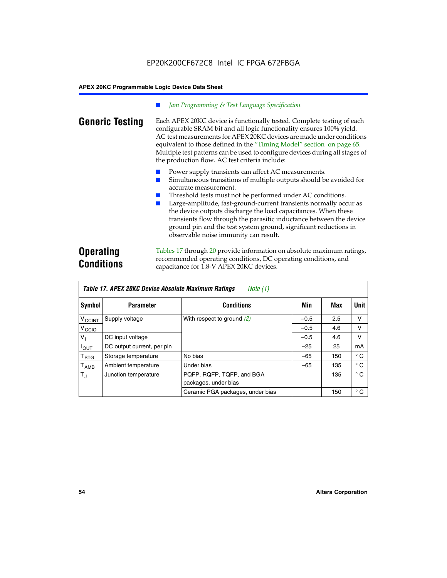### *Jam Programming & Test Language Specification*

**Generic Testing** Each APEX 20KC device is functionally tested. Complete testing of each configurable SRAM bit and all logic functionality ensures 100% yield. AC test measurements for APEX 20KC devices are made under conditions equivalent to those defined in the "Timing Model" section on page 65. Multiple test patterns can be used to configure devices during all stages of the production flow. AC test criteria include:

- Power supply transients can affect AC measurements.
- Simultaneous transitions of multiple outputs should be avoided for accurate measurement.
- Threshold tests must not be performed under AC conditions.
- Large-amplitude, fast-ground-current transients normally occur as the device outputs discharge the load capacitances. When these transients flow through the parasitic inductance between the device ground pin and the test system ground, significant reductions in observable noise immunity can result.

# **Operating Conditions**

Tables 17 through 20 provide information on absolute maximum ratings, recommended operating conditions, DC operating conditions, and capacitance for 1.8-V APEX 20KC devices.

| Table 17. APEX 20KC Device Absolute Maximum Ratings<br>Note (1) |                            |                                                   |        |     |              |  |  |  |  |
|-----------------------------------------------------------------|----------------------------|---------------------------------------------------|--------|-----|--------------|--|--|--|--|
| Symbol                                                          | <b>Parameter</b>           | <b>Conditions</b>                                 | Min    | Max | Unit         |  |  |  |  |
| $V_{\text{CCINT}}$                                              | Supply voltage             | With respect to ground $(2)$                      | $-0.5$ | 2.5 | v            |  |  |  |  |
| V <sub>CCIO</sub>                                               |                            |                                                   | $-0.5$ | 4.6 | v            |  |  |  |  |
| V,                                                              | DC input voltage           |                                                   | $-0.5$ | 4.6 | v            |  |  |  |  |
| $I_{OUT}$                                                       | DC output current, per pin |                                                   | $-25$  | 25  | mA           |  |  |  |  |
| $\mathsf{T}_{\texttt{STG}}$                                     | Storage temperature        | No bias                                           | $-65$  | 150 | $^{\circ}$ C |  |  |  |  |
| $\mathsf{T}_{\mathsf{AMB}}$                                     | Ambient temperature        | Under bias                                        | $-65$  | 135 | $^{\circ}$ C |  |  |  |  |
| $T_{J}$                                                         | Junction temperature       | PQFP, RQFP, TQFP, and BGA<br>packages, under bias |        | 135 | $^{\circ}$ C |  |  |  |  |
|                                                                 |                            | Ceramic PGA packages, under bias                  |        | 150 | $^{\circ}$ C |  |  |  |  |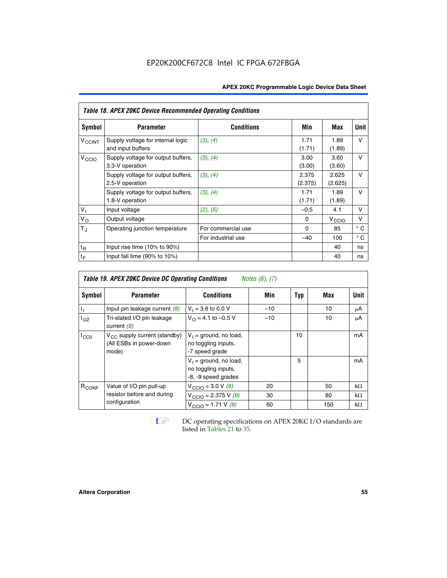| Table 18. APEX 20KC Device Recommended Operating Conditions |                                                        |                    |                  |                   |              |  |  |  |  |
|-------------------------------------------------------------|--------------------------------------------------------|--------------------|------------------|-------------------|--------------|--|--|--|--|
| Symbol                                                      | <b>Parameter</b>                                       | <b>Conditions</b>  | Min              | Max               | Unit         |  |  |  |  |
| $V_{C CINT}$                                                | Supply voltage for internal logic<br>and input buffers | (3), (4)           | 1.71<br>(1.71)   | 1.89<br>(1.89)    | $\vee$       |  |  |  |  |
| V <sub>CCIO</sub>                                           | Supply voltage for output buffers,<br>3.3-V operation  | (3), (4)           | 3.00<br>(3.00)   | 3.60<br>(3.60)    | v            |  |  |  |  |
|                                                             | Supply voltage for output buffers,<br>2.5-V operation  | (3), (4)           | 2.375<br>(2.375) | 2.625<br>(2.625)  | v            |  |  |  |  |
|                                                             | Supply voltage for output buffers,<br>1.8-V operation  | (3), (4)           | 1.71<br>(1.71)   | 1.89<br>(1.89)    | v            |  |  |  |  |
| V <sub>1</sub>                                              | Input voltage                                          | (2), (5)           | $-0.5$           | 4.1               | v            |  |  |  |  |
| $V_{\rm O}$                                                 | Output voltage                                         |                    | 0                | $V_{\text{CCIO}}$ | v            |  |  |  |  |
| $T_{\rm J}$                                                 | Operating junction temperature                         | For commercial use | $\Omega$         | 85                | $^{\circ}$ C |  |  |  |  |
|                                                             |                                                        | For industrial use | $-40$            | 100               | $^{\circ}$ C |  |  |  |  |
| $t_{R}$                                                     | Input rise time (10% to 90%)                           |                    |                  | 40                | ns           |  |  |  |  |
| $t_F$                                                       | Input fall time $(90\% \text{ to } 10\%)$              |                    |                  | 40                | ns           |  |  |  |  |

| Table 19. APEX 20KC Device DC Operating Conditions<br><i>Notes <math>(6)</math>, <math>(7)</math></i> |                                                                              |                                                                        |       |     |     |           |  |  |  |
|-------------------------------------------------------------------------------------------------------|------------------------------------------------------------------------------|------------------------------------------------------------------------|-------|-----|-----|-----------|--|--|--|
| Symbol                                                                                                | <b>Parameter</b>                                                             | <b>Conditions</b>                                                      | Min   | Typ | Max | Unit      |  |  |  |
|                                                                                                       | Input pin leakage current $(8)$                                              | $V_1 = 3.6$ to 0.0 V                                                   | $-10$ |     | 10  | μA        |  |  |  |
| loz                                                                                                   | Tri-stated I/O pin leakage<br>current $(8)$                                  | $V_{\Omega} = 4.1$ to -0.5 V                                           | $-10$ |     | 10  | μA        |  |  |  |
| $I_{CC0}$                                                                                             | V <sub>CC</sub> supply current (standby)<br>(All ESBs in power-down<br>mode) | $V_1$ = ground, no load,<br>no toggling inputs,<br>-7 speed grade      |       | 10  |     | mA        |  |  |  |
|                                                                                                       |                                                                              | $V_1$ = ground, no load,<br>no toggling inputs,<br>-8, -9 speed grades |       | 5   |     | mA        |  |  |  |
| R <sub>CONF</sub>                                                                                     | Value of I/O pin pull-up                                                     | $V_{\text{CCIO}} = 3.0 V (9)$                                          | 20    |     | 50  | $k\Omega$ |  |  |  |
|                                                                                                       | resistor before and during                                                   | $V_{\text{CCIO}} = 2.375 V (9)$                                        | 30    |     | 80  | $k\Omega$ |  |  |  |
|                                                                                                       | configuration                                                                | $V_{\text{CCIO}} = 1.71 V (9)$                                         | 60    |     | 150 | $k\Omega$ |  |  |  |

**IF DC** operating specifications on APEX 20KC I/O standards are listed in Tables 21 to 35*.*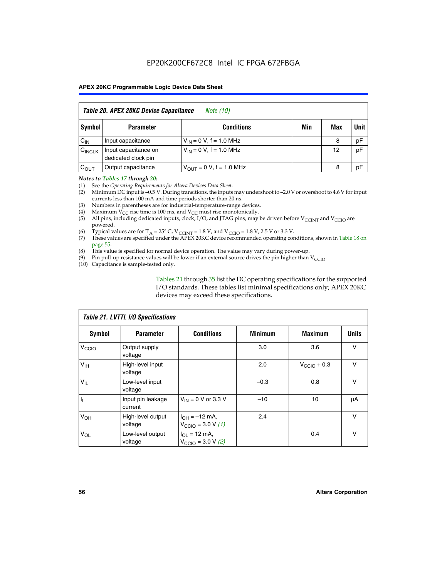# EP20K200CF672C8 Intel IC FPGA 672FBGA

### **APEX 20KC Programmable Logic Device Data Sheet**

| Table 20. APEX 20KC Device Capacitance<br><i>Note (10)</i> |                                             |                                |     |     |      |  |  |  |  |
|------------------------------------------------------------|---------------------------------------------|--------------------------------|-----|-----|------|--|--|--|--|
| Symbol                                                     | <b>Parameter</b>                            | <b>Conditions</b>              | Min | Max | Unit |  |  |  |  |
| $C_{IN}$                                                   | Input capacitance                           | $V_{IN} = 0 V$ , f = 1.0 MHz   |     | 8   | pF   |  |  |  |  |
| $C_{\text{INCLK}}$                                         | Input capacitance on<br>dedicated clock pin | $V_{IN} = 0 V$ , f = 1.0 MHz   |     | 12  | pF   |  |  |  |  |
| $C_{OUT}$                                                  | Output capacitance                          | $V_{OIII} = 0 V$ , f = 1.0 MHz |     | 8   | pF   |  |  |  |  |

#### *Notes to Tables 17 through 20:*

(1) See the *Operating Requirements for Altera Devices Data Sheet*.

- (2) Minimum DC input is –0.5 V. During transitions, the inputs may undershoot to –2.0 V or overshoot to 4.6 V for input currents less than 100 mA and time periods shorter than 20 ns.
- (3) Numbers in parentheses are for industrial-temperature-range devices.<br>(4) Maximum  $V_{CC}$  rise time is 100 ms, and  $V_{CC}$  must rise monotonically.
- (4) Maximum  $V_{CC}$  rise time is 100 ms, and  $V_{CC}$  must rise monotonically.<br>(5) All pins, including dedicated inputs, clock, I/O, and JTAG pins, may
- All pins, including dedicated inputs, clock, I/O, and JTAG pins, may be driven before  $V_{CCTN}$  and  $V_{CCTO}$  are powered.
- (6) Typical values are for T<sub>A</sub> = 25° C, V<sub>CCINT</sub> = 1.8 V, and V<sub>CCIO</sub> = 1.8 V, 2.5 V or 3.3 V.
- (7) These values are specified under the APEX 20KC device recommended operating conditions, shown in Table 18 on page 55.
- (8) This value is specified for normal device operation. The value may vary during power-up.
- (9) Pin pull-up resistance values will be lower if an external source drives the pin higher than  $V_{\text{CCIO}}$ .
- (10) Capacitance is sample-tested only.

Tables 21 through 35 list the DC operating specifications for the supported I/O standards. These tables list minimal specifications only; APEX 20KC devices may exceed these specifications.

| Table 21. LVTTL I/O Specifications |                              |                                                            |                |                         |              |  |  |  |  |
|------------------------------------|------------------------------|------------------------------------------------------------|----------------|-------------------------|--------------|--|--|--|--|
| Symbol                             | <b>Parameter</b>             | <b>Conditions</b>                                          | <b>Minimum</b> | <b>Maximum</b>          | <b>Units</b> |  |  |  |  |
| V <sub>CCIO</sub>                  | Output supply<br>voltage     |                                                            | 3.0            | 3.6                     | v            |  |  |  |  |
| V <sub>IH</sub>                    | High-level input<br>voltage  |                                                            | 2.0            | $V_{\text{CClO}} + 0.3$ | $\vee$       |  |  |  |  |
| $V_{IL}$                           | Low-level input<br>voltage   |                                                            | $-0.3$         | 0.8                     | v            |  |  |  |  |
| $\mathbf{I}_{1}$                   | Input pin leakage<br>current | $V_{IN}$ = 0 V or 3.3 V                                    | $-10$          | 10                      | μA           |  |  |  |  |
| V <sub>OH</sub>                    | High-level output<br>voltage | $I_{OH} = -12$ mA,<br>$V_{\text{CCIO}} = 3.0 V (1)$        | 2.4            |                         | v            |  |  |  |  |
| $V_{OL}$                           | Low-level output<br>voltage  | $I_{OL}$ = 12 mA,<br>$V_{\text{CCIO}} = 3.0 \text{ V}$ (2) |                | 0.4                     | $\vee$       |  |  |  |  |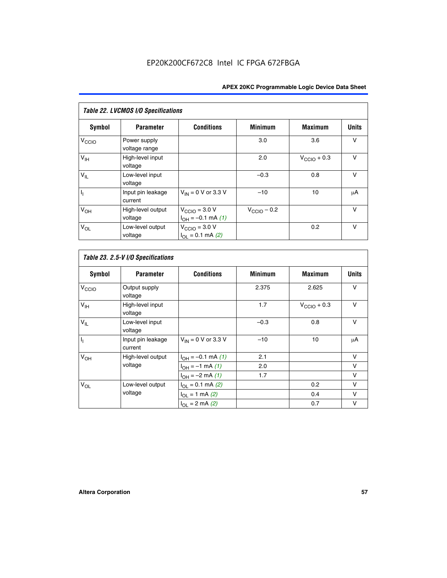| Table 22. LVCMOS I/O Specifications |                               |                                                          |                         |                         |              |  |  |  |  |  |
|-------------------------------------|-------------------------------|----------------------------------------------------------|-------------------------|-------------------------|--------------|--|--|--|--|--|
| Symbol                              | <b>Parameter</b>              | <b>Conditions</b>                                        | <b>Minimum</b>          | <b>Maximum</b>          | <b>Units</b> |  |  |  |  |  |
| V <sub>CCIO</sub>                   | Power supply<br>voltage range |                                                          | 3.0                     | 3.6                     | v            |  |  |  |  |  |
| $V_{\text{IH}}$                     | High-level input<br>voltage   |                                                          | 2.0                     | $V_{\text{CCIO}} + 0.3$ | $\vee$       |  |  |  |  |  |
| $V_{IL}$                            | Low-level input<br>voltage    |                                                          | $-0.3$                  | 0.8                     | $\vee$       |  |  |  |  |  |
| h                                   | Input pin leakage<br>current  | $V_{IN}$ = 0 V or 3.3 V                                  | $-10$                   | 10                      | μA           |  |  |  |  |  |
| V <sub>OH</sub>                     | High-level output<br>voltage  | $V_{\text{CCIO}} = 3.0 V$<br>$I_{OH} = -0.1$ mA $(1)$    | $V_{\text{CCIO}} - 0.2$ |                         | $\vee$       |  |  |  |  |  |
| $V_{OL}$                            | Low-level output<br>voltage   | $V_{\text{CCIO}} = 3.0 V$<br>$I_{\Omega I} = 0.1$ mA (2) |                         | 0.2                     | $\vee$       |  |  |  |  |  |

 $\overline{\phantom{a}}$ 

| <b>Symbol</b>     | <b>Parameter</b>             | <b>Conditions</b>        | <b>Minimum</b> | <b>Maximum</b>          | <b>Units</b> |
|-------------------|------------------------------|--------------------------|----------------|-------------------------|--------------|
| V <sub>CCIO</sub> | Output supply<br>voltage     |                          | 2.375          | 2.625                   | V            |
| V <sub>IH</sub>   | High-level input<br>voltage  |                          | 1.7            | $V_{\text{CCIO}} + 0.3$ | v            |
| $V_{IL}$          | Low-level input<br>voltage   |                          | $-0.3$         | 0.8                     | $\vee$       |
| $\overline{I_1}$  | Input pin leakage<br>current | $V_{IN}$ = 0 V or 3.3 V  | $-10$          | 10                      | $\mu$ A      |
| V <sub>OH</sub>   | High-level output            | $I_{OH} = -0.1$ mA $(1)$ | 2.1            |                         | $\vee$       |
|                   | voltage                      | $I_{OH} = -1$ mA (1)     | 2.0            |                         | v            |
|                   |                              | $I_{OH} = -2$ mA (1)     | 1.7            |                         | v            |
| $V_{OL}$          | Low-level output             | $I_{OL} = 0.1$ mA (2)    |                | 0.2                     | $\vee$       |
|                   | voltage                      | $I_{OL} = 1$ mA (2)      |                | 0.4                     | $\vee$       |
|                   |                              | $I_{OL} = 2$ mA (2)      |                | 0.7                     | v            |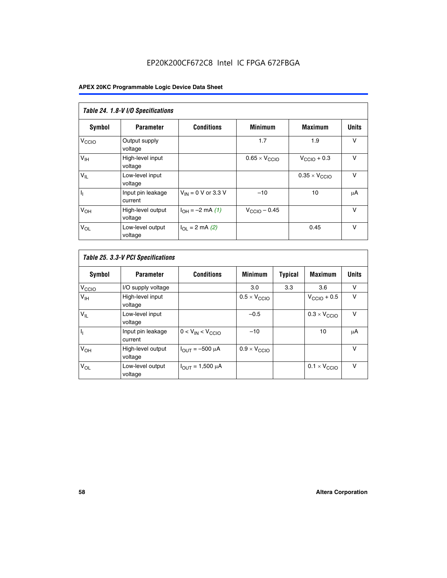# EP20K200CF672C8 Intel IC FPGA 672FBGA

| Table 24. 1.8-V I/O Specifications |                              |                           |                               |                               |              |  |  |  |  |  |
|------------------------------------|------------------------------|---------------------------|-------------------------------|-------------------------------|--------------|--|--|--|--|--|
| <b>Symbol</b>                      | <b>Parameter</b>             | <b>Conditions</b>         | <b>Minimum</b>                | <b>Maximum</b>                | <b>Units</b> |  |  |  |  |  |
| V <sub>CCIO</sub>                  | Output supply<br>voltage     |                           | 1.7                           | 1.9                           | $\vee$       |  |  |  |  |  |
| V <sub>IH</sub>                    | High-level input<br>voltage  |                           | $0.65 \times V_{\text{CCIO}}$ | $V_{\text{CCIO}} + 0.3$       | $\vee$       |  |  |  |  |  |
| $V_{IL}$                           | Low-level input<br>voltage   |                           |                               | $0.35 \times V_{\text{CCIO}}$ | $\vee$       |  |  |  |  |  |
| $I_1$                              | Input pin leakage<br>current | $V_{IN}$ = 0 V or 3.3 V   | $-10$                         | 10                            | μA           |  |  |  |  |  |
| V <sub>OH</sub>                    | High-level output<br>voltage | $I_{OH} = -2$ mA (1)      | $V_{\text{CCIO}} - 0.45$      |                               | V            |  |  |  |  |  |
| $V_{OL}$                           | Low-level output<br>voltage  | $I_{\Omega I}$ = 2 mA (2) |                               | 0.45                          | $\vee$       |  |  |  |  |  |

| Table 25. 3.3-V PCI Specifications |                              |                         |                              |                |                              |              |  |  |  |
|------------------------------------|------------------------------|-------------------------|------------------------------|----------------|------------------------------|--------------|--|--|--|
| <b>Symbol</b>                      | <b>Parameter</b>             | <b>Conditions</b>       | <b>Minimum</b>               | <b>Typical</b> | <b>Maximum</b>               | <b>Units</b> |  |  |  |
| V <sub>CCIO</sub>                  | I/O supply voltage           |                         | 3.0                          | 3.3            | 3.6                          | v            |  |  |  |
| $V_{\text{IH}}$                    | High-level input<br>voltage  |                         | $0.5 \times V_{\text{CCIO}}$ |                | $V_{\text{CCIO}} + 0.5$      | $\vee$       |  |  |  |
| $V_{IL}$                           | Low-level input<br>voltage   |                         | $-0.5$                       |                | $0.3 \times V_{\text{CCIO}}$ | $\vee$       |  |  |  |
| h                                  | Input pin leakage<br>current | $0 < V_{IN} < V_{CCIO}$ | $-10$                        |                | 10                           | μA           |  |  |  |
| $V_{OH}$                           | High-level output<br>voltage | $I_{OUT} = -500 \mu A$  | $0.9 \times V_{\text{CCIO}}$ |                |                              | V            |  |  |  |
| $V_{OL}$                           | Low-level output<br>voltage  | $I_{OUT} = 1,500 \mu A$ |                              |                | $0.1 \times V_{\text{CCIO}}$ | $\vee$       |  |  |  |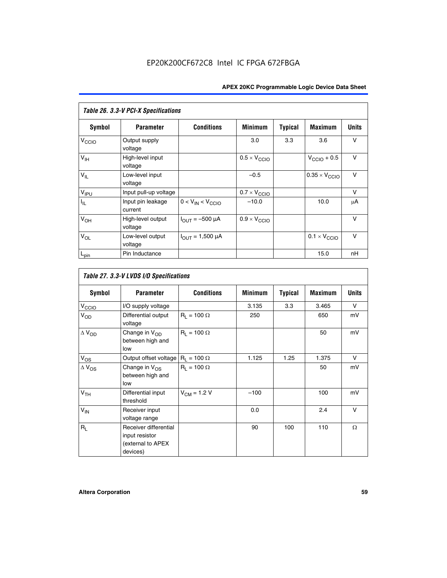| Table 26. 3.3-V PCI-X Specifications |                              |                                |                              |                |                              |              |  |  |  |
|--------------------------------------|------------------------------|--------------------------------|------------------------------|----------------|------------------------------|--------------|--|--|--|
| <b>Symbol</b>                        | <b>Parameter</b>             | <b>Conditions</b>              | <b>Minimum</b>               | <b>Typical</b> | <b>Maximum</b>               | <b>Units</b> |  |  |  |
| V <sub>CCIO</sub>                    | Output supply<br>voltage     |                                | 3.0                          | 3.3            | 3.6                          | v            |  |  |  |
| $V_{\text{IH}}$                      | High-level input<br>voltage  |                                | $0.5 \times V_{\text{CCIO}}$ |                | $V_{\text{CCIO}} + 0.5$      | $\vee$       |  |  |  |
| $V_{IL}$                             | Low-level input<br>voltage   |                                | $-0.5$                       |                | $0.35 \times V_{CCIO}$       | $\vee$       |  |  |  |
| V <sub>IPU</sub>                     | Input pull-up voltage        |                                | $0.7 \times V_{\text{CCIO}}$ |                |                              | v            |  |  |  |
| $ I_{\rm IL} $                       | Input pin leakage<br>current | $0 < V_{IN} < V_{CCIO}$        | $-10.0$                      |                | 10.0                         | μA           |  |  |  |
| $V_{OH}$                             | High-level output<br>voltage | $I_{\text{OUT}} = -500 \mu A$  | $0.9 \times V_{\text{CCIO}}$ |                |                              | $\vee$       |  |  |  |
| $V_{OL}$                             | Low-level output<br>voltage  | $I_{\text{OUT}} = 1,500 \mu A$ |                              |                | $0.1 \times V_{\text{CCIO}}$ | $\vee$       |  |  |  |
| $L_{pin}$                            | Pin Inductance               |                                |                              |                | 15.0                         | nH           |  |  |  |

|                          | Table 27. 3.3-V LVDS I/O Specifications                                  |                    |                |                |                |              |
|--------------------------|--------------------------------------------------------------------------|--------------------|----------------|----------------|----------------|--------------|
| Symbol                   | <b>Parameter</b>                                                         | <b>Conditions</b>  | <b>Minimum</b> | <b>Typical</b> | <b>Maximum</b> | <b>Units</b> |
| V <sub>C</sub> CO        | I/O supply voltage                                                       |                    | 3.135          | 3.3            | 3.465          | $\vee$       |
| $V_{OD}$                 | Differential output<br>voltage                                           | $R_1 = 100 \Omega$ | 250            |                | 650            | mV           |
| $\Delta$ V <sub>OD</sub> | Change in V <sub>OD</sub><br>between high and<br>low                     | $R_1 = 100 \Omega$ |                |                | 50             | mV           |
| $V_{OS}$                 | Output offset voltage $R_1 = 100 \Omega$                                 |                    | 1.125          | 1.25           | 1.375          | V            |
| $\Delta$ V <sub>OS</sub> | Change in $V_{OS}$<br>between high and<br>low                            | $R_1 = 100 \Omega$ |                |                | 50             | mV           |
| V <sub>TH</sub>          | Differential input<br>threshold                                          | $V_{CM} = 1.2 V$   | $-100$         |                | 100            | mV           |
| $V_{IN}$                 | Receiver input<br>voltage range                                          |                    | 0.0            |                | 2.4            | $\vee$       |
| $R_L$                    | Receiver differential<br>input resistor<br>(external to APEX<br>devices) |                    | 90             | 100            | 110            | $\Omega$     |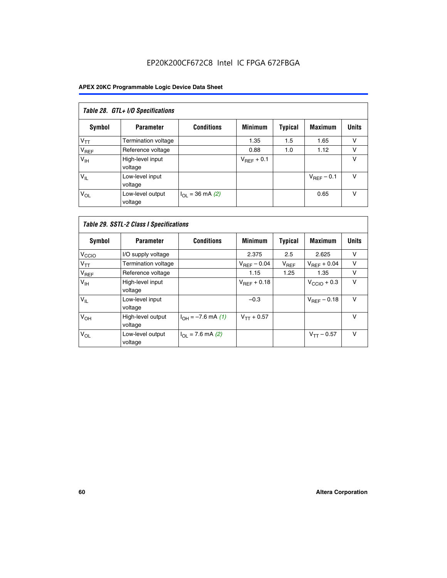# EP20K200CF672C8 Intel IC FPGA 672FBGA

| Table 28. GTL+ I/O Specifications |                             |                      |                 |                |                        |              |  |  |  |
|-----------------------------------|-----------------------------|----------------------|-----------------|----------------|------------------------|--------------|--|--|--|
| <b>Symbol</b>                     | <b>Parameter</b>            | <b>Conditions</b>    | <b>Minimum</b>  | <b>Typical</b> | <b>Maximum</b>         | <b>Units</b> |  |  |  |
| $V_{TT}$                          | <b>Termination voltage</b>  |                      | 1.35            | 1.5            | 1.65                   | v            |  |  |  |
| V <sub>REF</sub>                  | Reference voltage           |                      | 0.88            | 1.0            | 1.12                   | v            |  |  |  |
| V <sub>IH</sub>                   | High-level input<br>voltage |                      | $V_{REF}$ + 0.1 |                |                        | v            |  |  |  |
| $V_{IL}$                          | Low-level input<br>voltage  |                      |                 |                | $V_{\text{RFF}}$ – 0.1 | v            |  |  |  |
| $V_{OL}$                          | Low-level output<br>voltage | $I_{OL}$ = 36 mA (2) |                 |                | 0.65                   | v            |  |  |  |

| Table 29. SSTL-2 Class I Specifications |                              |                             |                         |                |                         |              |  |  |  |
|-----------------------------------------|------------------------------|-----------------------------|-------------------------|----------------|-------------------------|--------------|--|--|--|
| Symbol                                  | <b>Parameter</b>             | <b>Conditions</b>           | <b>Minimum</b>          | <b>Typical</b> | <b>Maximum</b>          | <b>Units</b> |  |  |  |
| V <sub>CCIO</sub>                       | I/O supply voltage           |                             | 2.375                   | 2.5            | 2.625                   | v            |  |  |  |
| $V_{TT}$                                | <b>Termination voltage</b>   |                             | $V_{\text{BFF}} - 0.04$ | $V_{REF}$      | $V_{REF}$ + 0.04        | $\vee$       |  |  |  |
| V <sub>REF</sub>                        | Reference voltage            |                             | 1.15                    | 1.25           | 1.35                    | v            |  |  |  |
| V <sub>IH</sub>                         | High-level input<br>voltage  |                             | $V_{\text{BFF}} + 0.18$ |                | $V_{\text{CCIO}} + 0.3$ | v            |  |  |  |
| $V_{IL}$                                | Low-level input<br>voltage   |                             | $-0.3$                  |                | $V_{BEF}$ – 0.18        | $\vee$       |  |  |  |
| V <sub>OH</sub>                         | High-level output<br>voltage | $I_{OH} = -7.6$ mA (1)      | $V_{TT} + 0.57$         |                |                         | $\vee$       |  |  |  |
| $V_{OL}$                                | Low-level output<br>voltage  | $I_{\Omega I}$ = 7.6 mA (2) |                         |                | $V_{TT} - 0.57$         | $\vee$       |  |  |  |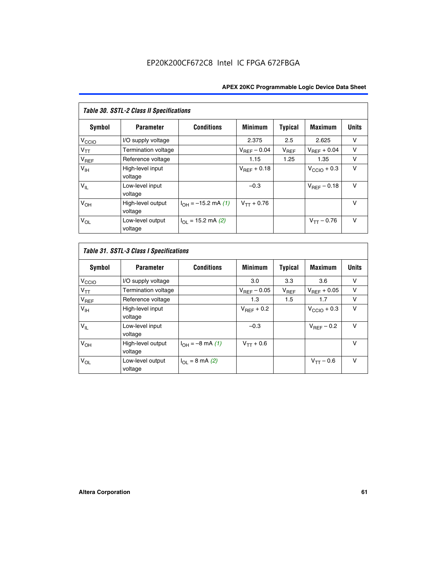| Table 30. SSTL-2 Class II Specifications |                              |                            |                         |                |                         |              |
|------------------------------------------|------------------------------|----------------------------|-------------------------|----------------|-------------------------|--------------|
| Symbol                                   | <b>Parameter</b>             | <b>Conditions</b>          | <b>Minimum</b>          | <b>Typical</b> | <b>Maximum</b>          | <b>Units</b> |
| $V_{\rm CCIO}$                           | I/O supply voltage           |                            | 2.375                   | 2.5            | 2.625                   | v            |
| $V_{TT}$                                 | <b>Termination voltage</b>   |                            | $V_{REF} - 0.04$        | $V_{REF}$      | $V_{BFF} + 0.04$        | $\vee$       |
| $V_{REF}$                                | Reference voltage            |                            | 1.15                    | 1.25           | 1.35                    | v            |
| V <sub>IH</sub>                          | High-level input<br>voltage  |                            | $V_{\text{RFF}} + 0.18$ |                | $V_{\text{CCIO}} + 0.3$ | $\vee$       |
| $V_{IL}$                                 | Low-level input<br>voltage   |                            | $-0.3$                  |                | $V_{BFE} - 0.18$        | $\vee$       |
| $V_{OH}$                                 | High-level output<br>voltage | $I_{OH} = -15.2$ mA (1)    | $V_{TT} + 0.76$         |                |                         | v            |
| $V_{OL}$                                 | Low-level output<br>voltage  | $I_{\Omega}$ = 15.2 mA (2) |                         |                | $V_{TT} - 0.76$         | $\vee$       |

| Symbol            | <b>Parameter</b>             | <b>Conditions</b>         | <b>Minimum</b>          | Typical   | <b>Maximum</b>          | <b>Units</b> |
|-------------------|------------------------------|---------------------------|-------------------------|-----------|-------------------------|--------------|
| V <sub>CCIO</sub> | I/O supply voltage           |                           | 3.0                     | 3.3       | 3.6                     | ν            |
| $V_{TT}$          | Termination voltage          |                           | $V_{\text{BFF}} - 0.05$ | $V_{REF}$ | $V_{\text{RFF}} + 0.05$ | v            |
| $V_{REF}$         | Reference voltage            |                           | 1.3                     | 1.5       | 1.7                     | v            |
| V <sub>IH</sub>   | High-level input<br>voltage  |                           | $V_{BFF}$ + 0.2         |           | $V_{\text{CCIO}} + 0.3$ | v            |
| $V_{IL}$          | Low-level input<br>voltage   |                           | $-0.3$                  |           | $V_{BFE}$ – 0.2         | $\vee$       |
| V <sub>OH</sub>   | High-level output<br>voltage | $I_{OH} = -8$ mA (1)      | $V_{TT} + 0.6$          |           |                         | v            |
| $V_{OL}$          | Low-level output<br>voltage  | $I_{\Omega I}$ = 8 mA (2) |                         |           | $V_{TT} - 0.6$          | $\vee$       |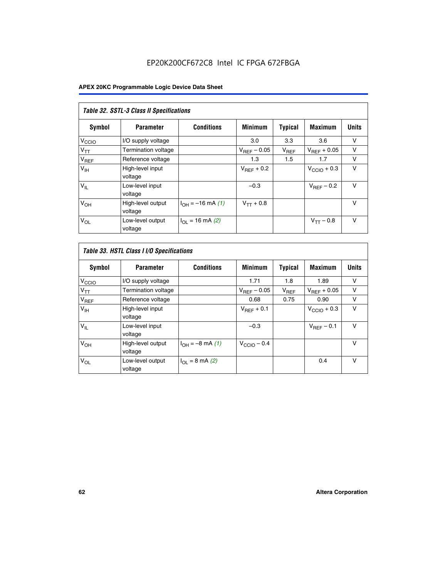# EP20K200CF672C8 Intel IC FPGA 672FBGA

| Table 32. SSTL-3 Class II Specifications |                              |                          |                        |           |                         |              |
|------------------------------------------|------------------------------|--------------------------|------------------------|-----------|-------------------------|--------------|
| <b>Symbol</b>                            | <b>Parameter</b>             | <b>Conditions</b>        | <b>Minimum</b>         | Typical   | <b>Maximum</b>          | <b>Units</b> |
| V <sub>CCIO</sub>                        | I/O supply voltage           |                          | 3.0                    | 3.3       | 3.6                     | v            |
| $V_{TT}$                                 | <b>Termination voltage</b>   |                          | $V_{REF}$ – 0.05       | $V_{REF}$ | $V_{REF}$ + 0.05        | v            |
| $V_{REF}$                                | Reference voltage            |                          | 1.3                    | 1.5       | 1.7                     | v            |
| $V_{\text{IH}}$                          | High-level input<br>voltage  |                          | $V_{\text{RFF}} + 0.2$ |           | $V_{\text{CCIO}} + 0.3$ | v            |
| $V_{IL}$                                 | Low-level input<br>voltage   |                          | $-0.3$                 |           | $V_{\text{RFF}}$ – 0.2  | $\vee$       |
| V <sub>OH</sub>                          | High-level output<br>voltage | $I_{OH} = -16$ mA (1)    | $V_{TT} + 0.8$         |           |                         | $\vee$       |
| $V_{OL}$                                 | Low-level output<br>voltage  | $I_{\Omega}$ = 16 mA (2) |                        |           | $V_{TT} - 0.8$          | $\vee$       |

| Table 33. HSTL Class I I/O Specifications |                              |                              |                         |                |                         |              |
|-------------------------------------------|------------------------------|------------------------------|-------------------------|----------------|-------------------------|--------------|
| <b>Symbol</b>                             | <b>Parameter</b>             | <b>Conditions</b>            | <b>Minimum</b>          | <b>Typical</b> | <b>Maximum</b>          | <b>Units</b> |
| V <sub>CCIO</sub>                         | I/O supply voltage           |                              | 1.71                    | 1.8            | 1.89                    | v            |
| $V_{TT}$                                  | Termination voltage          |                              | $V_{REF}$ – 0.05        | $V_{REF}$      | $V_{\text{RFF}} + 0.05$ | v            |
| $V_{REF}$                                 | Reference voltage            |                              | 0.68                    | 0.75           | 0.90                    | v            |
| $V_{\text{IH}}$                           | High-level input<br>voltage  |                              | $V_{\text{RFF}} + 0.1$  |                | $V_{\text{CCIO}} + 0.3$ | $\vee$       |
| $V_{IL}$                                  | Low-level input<br>voltage   |                              | $-0.3$                  |                | $V_{\text{RFF}}$ – 0.1  | $\vee$       |
| V <sub>OH</sub>                           | High-level output<br>voltage | $I_{OH} = -8 \text{ mA} (1)$ | $V_{\text{CCIO}} - 0.4$ |                |                         | v            |
| $V_{OL}$                                  | Low-level output<br>voltage  | $I_{\Omega}$ = 8 mA (2)      |                         |                | 0.4                     | $\vee$       |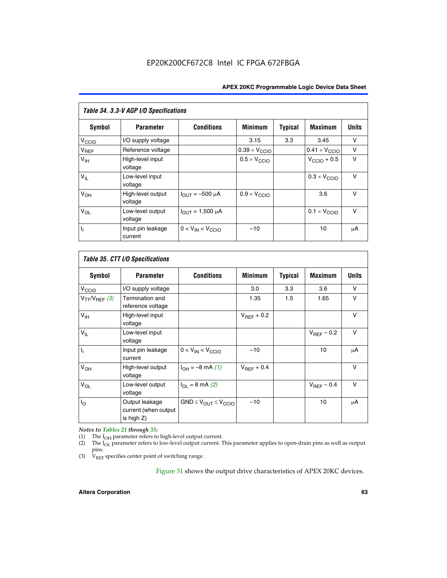| Table 34. 3.3-V AGP I/O Specifications |                              |                         |                              |                |                               |              |
|----------------------------------------|------------------------------|-------------------------|------------------------------|----------------|-------------------------------|--------------|
| Symbol                                 | <b>Parameter</b>             | <b>Conditions</b>       | <b>Minimum</b>               | <b>Typical</b> | <b>Maximum</b>                | <b>Units</b> |
| $V_{\text{CIO}}$                       | I/O supply voltage           |                         | 3.15                         | 3.3            | 3.45                          | v            |
| $V_{REF}$                              | Reference voltage            |                         | $0.39 \times V_{CCIO}$       |                | $0.41 \times V_{\text{CCIO}}$ | v            |
| V <sub>IH</sub>                        | High-level input<br>voltage  |                         | $0.5 \times V_{\text{CCIO}}$ |                | $V_{\text{CCIO}} + 0.5$       | v            |
| $V_{IL}$                               | Low-level input<br>voltage   |                         |                              |                | $0.3 \times V_{\text{CCIO}}$  | $\vee$       |
| V <sub>OH</sub>                        | High-level output<br>voltage | $I_{OUT} = -500 \mu A$  | $0.9 \times V_{\text{CCIO}}$ |                | 3.6                           | $\vee$       |
| $V_{OL}$                               | Low-level output<br>voltage  | $I_{OUT} = 1,500 \mu A$ |                              |                | $0.1 \times V_{\text{CCIO}}$  | $\vee$       |
| Γ,                                     | Input pin leakage<br>current | $0 < V_{IN} < V_{CCIO}$ | $-10$                        |                | 10                            | μA           |

| Table 35. CTT I/O Specifications |                                                      |                                  |                        |         |                        |              |
|----------------------------------|------------------------------------------------------|----------------------------------|------------------------|---------|------------------------|--------------|
| <b>Symbol</b>                    | <b>Parameter</b>                                     | <b>Conditions</b>                | <b>Minimum</b>         | Typical | <b>Maximum</b>         | <b>Units</b> |
| V <sub>CCIO</sub>                | I/O supply voltage                                   |                                  | 3.0                    | 3.3     | 3.6                    | v            |
| $V_{TT}/V_{REF}$ (3)             | Termination and<br>reference voltage                 |                                  | 1.35                   | 1.5     | 1.65                   | $\vee$       |
| $V_{\text{IH}}$                  | High-level input<br>voltage                          |                                  | $V_{REF}$ + 0.2        |         |                        | v            |
| $V_{IL}$                         | Low-level input<br>voltage                           |                                  |                        |         | $V_{\text{BFF}}$ – 0.2 | v            |
| $\overline{\mathsf{L}}$          | Input pin leakage<br>current                         | $0 < V_{IN} < V_{CCIO}$          | $-10$                  |         | 10                     | μA           |
| V <sub>OH</sub>                  | High-level output<br>voltage                         | $I_{OH} = -8$ mA (1)             | $V_{\text{RFF}} + 0.4$ |         |                        | $\vee$       |
| $V_{OL}$                         | Low-level output<br>voltage                          | $I_{\Omega I}$ = 8 mA (2)        |                        |         | $V_{\text{RFF}}$ – 0.4 | $\vee$       |
| $I_{\rm O}$                      | Output leakage<br>current (when output<br>is high Z) | $GND \leq V_{OUT} \leq V_{CCIO}$ | $-10$                  |         | 10                     | μA           |

*Notes to Tables 21 through 35:*

(1) The  $I_{OH}$  parameter refers to high-level output current.<br>
(2) The  $I_{OL}$  parameter refers to low-level output current. T

The I<sub>OL</sub> parameter refers to low-level output current. This parameter applies to open-drain pins as well as output pins.

(3)  $\hat{V}_{REF}$  specifies center point of switching range.

Figure 31 shows the output drive characteristics of APEX 20KC devices.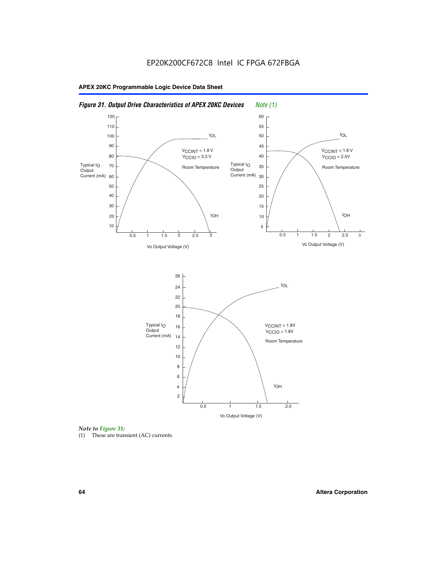



(1) These are transient (AC) currents.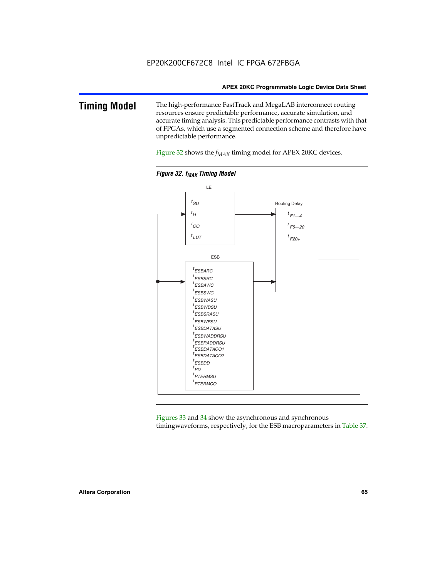### **Timing Model** The high-performance FastTrack and MegaLAB interconnect routing resources ensure predictable performance, accurate simulation, and accurate timing analysis. This predictable performance contrasts with that of FPGAs, which use a segmented connection scheme and therefore have unpredictable performance.

Figure 32 shows the  $f_{MAX}$  timing model for APEX 20KC devices.





Figures 33 and 34 show the asynchronous and synchronous timingwaveforms, respectively, for the ESB macroparameters in Table 37.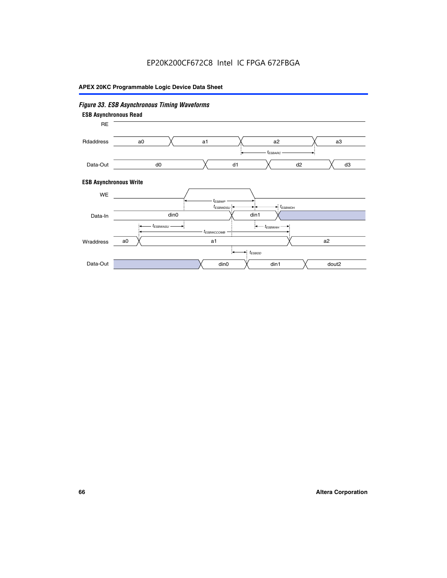# EP20K200CF672C8 Intel IC FPGA 672FBGA

# **APEX 20KC Programmable Logic Device Data Sheet**

# *Figure 33. ESB Asynchronous Timing Waveforms*

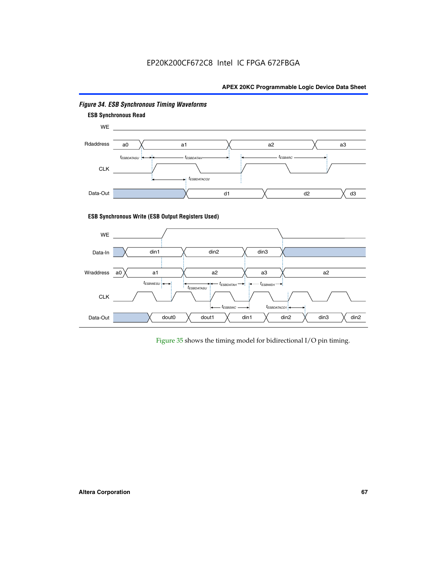

### *Figure 34. ESB Synchronous Timing Waveforms*

Figure 35 shows the timing model for bidirectional I/O pin timing.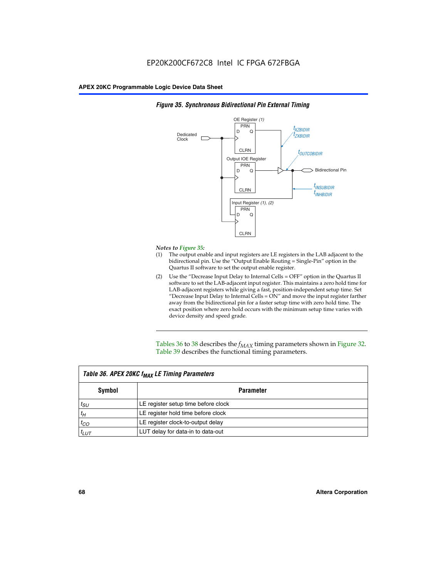

### *Figure 35. Synchronous Bidirectional Pin External Timing*

### *Notes to Figure 35:*

- (1) The output enable and input registers are LE registers in the LAB adjacent to the bidirectional pin. Use the "Output Enable Routing = Single-Pin" option in the Quartus II software to set the output enable register.
- (2) Use the "Decrease Input Delay to Internal Cells = OFF" option in the Quartus II software to set the LAB-adjacent input register. This maintains a zero hold time for LAB-adjacent registers while giving a fast, position-independent setup time. Set "Decrease Input Delay to Internal Cells  $= ON''$  and move the input register farther away from the bidirectional pin for a faster setup time with zero hold time. The exact position where zero hold occurs with the minimum setup time varies with device density and speed grade.

Tables 36 to 38 describes the  $f_{MAX}$  timing parameters shown in Figure 32. Table 39 describes the functional timing parameters.

| Table 36. APEX 20KC f <sub>MAX</sub> LE Timing Parameters |                                     |  |  |  |  |
|-----------------------------------------------------------|-------------------------------------|--|--|--|--|
| Symbol                                                    | <b>Parameter</b>                    |  |  |  |  |
| $t_{SU}$                                                  | LE register setup time before clock |  |  |  |  |
| $t_H$                                                     | LE register hold time before clock  |  |  |  |  |
| $t_{CO}$                                                  | LE register clock-to-output delay   |  |  |  |  |
| $t_{LUT}$                                                 | LUT delay for data-in to data-out   |  |  |  |  |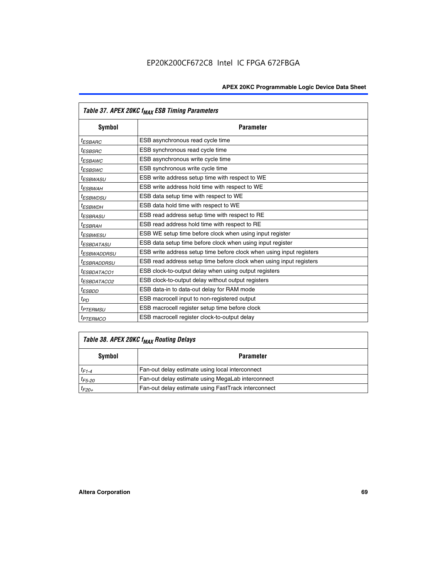|                         | Table 37. APEX 20KC f <sub>MAX</sub> ESB Timing Parameters           |
|-------------------------|----------------------------------------------------------------------|
| Symbol                  | <b>Parameter</b>                                                     |
| <sup>t</sup> ESBARC     | ESB asynchronous read cycle time                                     |
| <sup>t</sup> ESBSRC     | ESB synchronous read cycle time                                      |
| <sup>t</sup> ESBAWC     | ESB asynchronous write cycle time                                    |
| <sup>t</sup> ESBSWC     | ESB synchronous write cycle time                                     |
| <sup>t</sup> ESBWASU    | ESB write address setup time with respect to WE                      |
| <sup>t</sup> ESBWАН     | ESB write address hold time with respect to WE                       |
| <sup>t</sup> ESBWDSU    | ESB data setup time with respect to WE                               |
| t <sub>ESBWDН</sub>     | ESB data hold time with respect to WE                                |
| <sup>t</sup> ESBRASU    | ESB read address setup time with respect to RE                       |
| <sup>t</sup> ESBRAH     | ESB read address hold time with respect to RE                        |
| <sup>I</sup> ESBWESU    | ESB WE setup time before clock when using input register             |
| <sup>t</sup> ESBDATASU  | ESB data setup time before clock when using input register           |
| <sup>I</sup> ESBWADDRSU | ESB write address setup time before clock when using input registers |
| <sup>t</sup> ESBRADDRSU | ESB read address setup time before clock when using input registers  |
| <sup>I</sup> ESBDATACO1 | ESB clock-to-output delay when using output registers                |
| <sup>t</sup> ESBDATACO2 | ESB clock-to-output delay without output registers                   |
| <sup>t</sup> ESBDD      | ESB data-in to data-out delay for RAM mode                           |
| t <sub>PD</sub>         | ESB macrocell input to non-registered output                         |
| <sup>t</sup> PTERMSU    | ESB macrocell register setup time before clock                       |
| <sup>t</sup> PTERMCO    | ESB macrocell register clock-to-output delay                         |

# *Table 38. APEX 20KC fMAX Routing Delays*

| Symbol      | <b>Parameter</b>                                    |
|-------------|-----------------------------------------------------|
| $t_{F1-4}$  | Fan-out delay estimate using local interconnect     |
| $t_{F5-20}$ | Fan-out delay estimate using MegaLab interconnect   |
| $t_{F20+}$  | Fan-out delay estimate using FastTrack interconnect |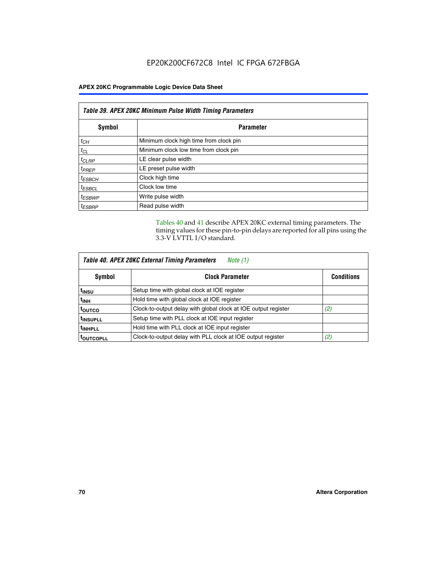| Table 39. APEX 20KC Minimum Pulse Width Timing Parameters |                                        |  |  |
|-----------------------------------------------------------|----------------------------------------|--|--|
| Symbol                                                    | <b>Parameter</b>                       |  |  |
| $t_{CH}$                                                  | Minimum clock high time from clock pin |  |  |
| $t_{CL}$                                                  | Minimum clock low time from clock pin  |  |  |
| $t_{CLRP}$                                                | LE clear pulse width                   |  |  |
| $t_{PREF}$                                                | LE preset pulse width                  |  |  |
| $t_{ESBCH}$                                               | Clock high time                        |  |  |
| $t_{ESBCL}$                                               | Clock low time                         |  |  |
| <sup>t</sup> ESBWP                                        | Write pulse width                      |  |  |
| <sup>t</sup> ESBRP                                        | Read pulse width                       |  |  |

Tables 40 and 41 describe APEX 20KC external timing parameters. The timing values for these pin-to-pin delays are reported for all pins using the 3.3-V LVTTL I/O standard.

| Table 40. APEX 20KC External Timing Parameters<br>Note (1) |                                                                |     |  |  |
|------------------------------------------------------------|----------------------------------------------------------------|-----|--|--|
| Symbol                                                     | <b>Clock Parameter</b><br><b>Conditions</b>                    |     |  |  |
| t <sub>insu</sub>                                          | Setup time with global clock at IOE register                   |     |  |  |
| t <sub>inh</sub>                                           | Hold time with global clock at IOE register                    |     |  |  |
| toutco                                                     | Clock-to-output delay with global clock at IOE output register | (2) |  |  |
| <sup>t</sup> INSUPLL                                       | Setup time with PLL clock at IOE input register                |     |  |  |
| <sup>t</sup> INHPLL                                        | Hold time with PLL clock at IOE input register                 |     |  |  |
| <b>TOUTCOPLL</b>                                           | Clock-to-output delay with PLL clock at IOE output register    | (2) |  |  |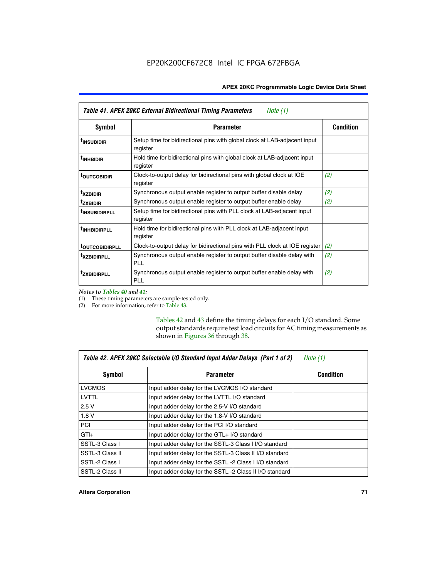| Table 41. APEX 20KC External Bidirectional Timing Parameters<br>Note (1) |                                                                                       |                  |  |
|--------------------------------------------------------------------------|---------------------------------------------------------------------------------------|------------------|--|
| Symbol                                                                   | <b>Parameter</b>                                                                      | <b>Condition</b> |  |
| <sup>t</sup> INSUBIDIR                                                   | Setup time for bidirectional pins with global clock at LAB-adjacent input<br>register |                  |  |
| <sup>t</sup> inhbidir                                                    | Hold time for bidirectional pins with global clock at LAB-adjacent input<br>register  |                  |  |
| <sup>t</sup> OUTCOBIDIR                                                  | Clock-to-output delay for bidirectional pins with global clock at IOE<br>register     | (2)              |  |
| <sup>t</sup> xzbidir                                                     | Synchronous output enable register to output buffer disable delay                     | (2)              |  |
| <sup>T</sup> ZXBIDIR                                                     | Synchronous output enable register to output buffer enable delay                      | (2)              |  |
| <sup>t</sup> insubidirpll                                                | Setup time for bidirectional pins with PLL clock at LAB-adjacent input<br>register    |                  |  |
| <b>TINHBIDIRPLL</b>                                                      | Hold time for bidirectional pins with PLL clock at LAB-adjacent input<br>register     |                  |  |
| <b>TOUTCOBIDIRPLL</b>                                                    | Clock-to-output delay for bidirectional pins with PLL clock at IOE register           | (2)              |  |
| <sup>T</sup> XZBIDIRPLL                                                  | Synchronous output enable register to output buffer disable delay with<br><b>PLL</b>  | (2)              |  |
| <sup>t</sup> zxbidirpli                                                  | Synchronous output enable register to output buffer enable delay with<br><b>PLL</b>   | (2)              |  |

*Notes to Tables 40 and 41:*

(1) These timing parameters are sample-tested only.

(2) For more information, refer to Table 43.

Tables 42 and 43 define the timing delays for each I/O standard. Some output standards require test load circuits for AC timing measurements as shown in Figures 36 through 38.

| Table 42. APEX 20KC Selectable I/O Standard Input Adder Delays (Part 1 of 2)<br>Note $(1)$ |                                                         |                  |  |
|--------------------------------------------------------------------------------------------|---------------------------------------------------------|------------------|--|
| Symbol                                                                                     | <b>Parameter</b>                                        | <b>Condition</b> |  |
| <b>LVCMOS</b>                                                                              | Input adder delay for the LVCMOS I/O standard           |                  |  |
| LVTTL                                                                                      | Input adder delay for the LVTTL I/O standard            |                  |  |
| 2.5V                                                                                       | Input adder delay for the 2.5-V I/O standard            |                  |  |
| 1.8V                                                                                       | Input adder delay for the 1.8-V I/O standard            |                  |  |
| <b>PCI</b>                                                                                 | Input adder delay for the PCI I/O standard              |                  |  |
| $GTI +$                                                                                    | Input adder delay for the GTL+ I/O standard             |                  |  |
| SSTL-3 Class I                                                                             | Input adder delay for the SSTL-3 Class I I/O standard   |                  |  |
| SSTL-3 Class II                                                                            | Input adder delay for the SSTL-3 Class II I/O standard  |                  |  |
| SSTL-2 Class I                                                                             | Input adder delay for the SSTL -2 Class I I/O standard  |                  |  |
| SSTL-2 Class II                                                                            | Input adder delay for the SSTL -2 Class II I/O standard |                  |  |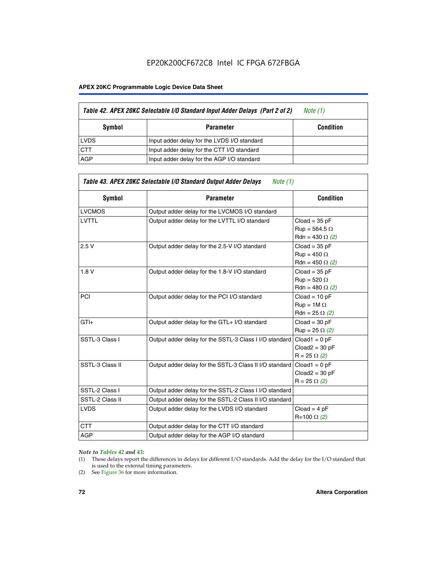#### **APEX 20KC Programmable Logic Device Data Sheet**

|             | Table 42. APEX 20KC Selectable I/O Standard Input Adder Delays (Part 2 of 2) | Note (1)         |
|-------------|------------------------------------------------------------------------------|------------------|
| Symbol      | Parameter                                                                    | <b>Condition</b> |
| <b>LVDS</b> | Input adder delay for the LVDS I/O standard                                  |                  |
| <b>CTT</b>  | Input adder delay for the CTT I/O standard                                   |                  |
| <b>AGP</b>  | Input adder delay for the AGP I/O standard                                   |                  |

| <b>Symbol</b>   | <b>Parameter</b>                                        | <b>Condition</b>                                                  |
|-----------------|---------------------------------------------------------|-------------------------------------------------------------------|
| <b>LVCMOS</b>   | Output adder delay for the LVCMOS I/O standard          |                                                                   |
| <b>LVTTL</b>    | Output adder delay for the LVTTL I/O standard           | $Cloud = 35 pF$<br>$Run = 564.5 \Omega$<br>Rdn = 430 $\Omega$ (2) |
| 2.5V            | Output adder delay for the 2.5-V I/O standard           | $Cloud = 35 pF$<br>$Run = 450 \Omega$<br>Rdn = 450 $\Omega$ (2)   |
| 1.8V            | Output adder delay for the 1.8-V I/O standard           | $Cloud = 35 pF$<br>$Run = 520 \Omega$<br>Rdn = 480 $\Omega$ (2)   |
| <b>PCI</b>      | Output adder delay for the PCI I/O standard             | $Cloud = 10 pF$<br>$Run = 1M \Omega$<br>$Rdn = 25 \Omega (2)$     |
| $GTI +$         | Output adder delay for the GTL+ I/O standard            | $Cloud = 30 pF$<br>$Run = 25 \Omega (2)$                          |
| SSTL-3 Class I  | Output adder delay for the SSTL-3 Class I I/O standard  | $Cloud1 = 0 pF$<br>$Cloud2 = 30 pF$<br>$R = 25 \Omega (2)$        |
| SSTL-3 Class II | Output adder delay for the SSTL-3 Class II I/O standard | $Cloud1 = 0 pF$<br>$Cloud2 = 30 pF$<br>$R = 25 \Omega (2)$        |
| SSTL-2 Class I  | Output adder delay for the SSTL-2 Class I I/O standard  |                                                                   |
| SSTL-2 Class II | Output adder delay for the SSTL-2 Class II I/O standard |                                                                   |
| <b>LVDS</b>     | Output adder delay for the LVDS I/O standard            | $Cloud = 4 pF$<br>R=100 Ω (2)                                     |
| <b>CTT</b>      | Output adder delay for the CTT I/O standard             |                                                                   |
| <b>AGP</b>      | Output adder delay for the AGP I/O standard             |                                                                   |
|                 |                                                         |                                                                   |

#### *Note to Tables 42 and 43:*

- (1) These delays report the differences in delays for different I/O standards. Add the delay for the I/O standard that is used to the external timing parameters.
- (2) See Figure 36 for more information.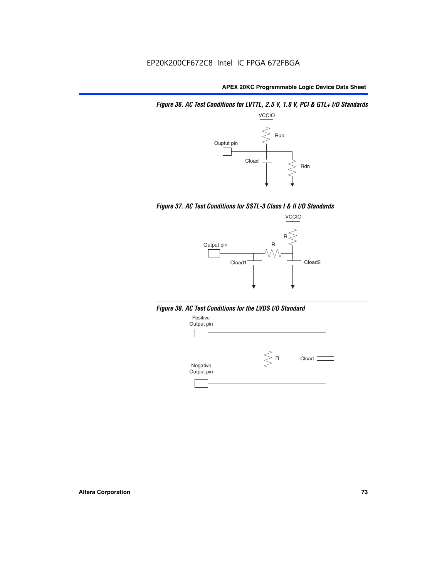*Figure 36. AC Test Conditions for LVTTL, 2.5 V, 1.8 V, PCI & GTL+ I/O Standards*







*Figure 38. AC Test Conditions for the LVDS I/O Standard*

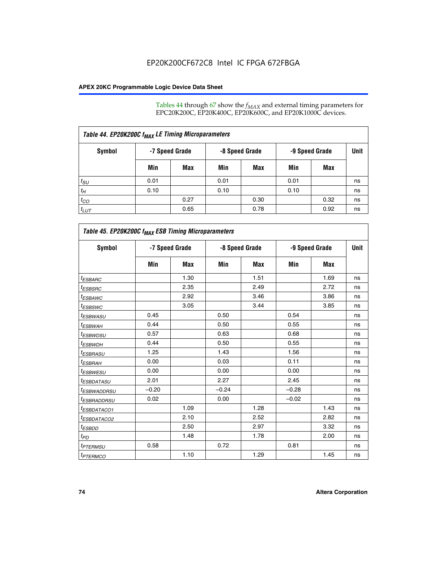Tables 44 through 67 show the  $f_{MAX}$  and external timing parameters for EPC20K200C, EP20K400C, EP20K600C, and EP20K1000C devices.

| Table 44. EP20K200C f <sub>MAX</sub> LE Timing Microparameters |                |      |                |      |                |      |      |  |  |  |
|----------------------------------------------------------------|----------------|------|----------------|------|----------------|------|------|--|--|--|
| Symbol                                                         | -7 Speed Grade |      | -8 Speed Grade |      | -9 Speed Grade |      | Unit |  |  |  |
|                                                                | Min            | Max  | Min            | Max  | Min            | Max  |      |  |  |  |
| $t_{SU}$                                                       | 0.01           |      | 0.01           |      | 0.01           |      | ns   |  |  |  |
| $t_H$                                                          | 0.10           |      | 0.10           |      | 0.10           |      | ns   |  |  |  |
| $t_{CO}$                                                       |                | 0.27 |                | 0.30 |                | 0.32 | ns   |  |  |  |
| $t_{LUT}$                                                      |                | 0.65 |                | 0.78 |                | 0.92 | ns   |  |  |  |

| Table 45. EP20K200C f <sub>MAX</sub> ESB Timing Microparameters |         |                |         |                |         |                |    |  |  |  |
|-----------------------------------------------------------------|---------|----------------|---------|----------------|---------|----------------|----|--|--|--|
| <b>Symbol</b>                                                   |         | -7 Speed Grade |         | -8 Speed Grade |         | -9 Speed Grade |    |  |  |  |
|                                                                 | Min     | <b>Max</b>     | Min     | <b>Max</b>     | Min     | Max            |    |  |  |  |
| <sup>t</sup> ESBARC                                             |         | 1.30           |         | 1.51           |         | 1.69           | ns |  |  |  |
| <sup>t</sup> ESBSRC                                             |         | 2.35           |         | 2.49           |         | 2.72           | ns |  |  |  |
| <sup>t</sup> ESBAWC                                             |         | 2.92           |         | 3.46           |         | 3.86           | ns |  |  |  |
| t <sub>ESBSWC</sub>                                             |         | 3.05           |         | 3.44           |         | 3.85           | ns |  |  |  |
| t <sub>ESBWASU</sub>                                            | 0.45    |                | 0.50    |                | 0.54    |                | ns |  |  |  |
| <sup>t</sup> ESBWAH                                             | 0.44    |                | 0.50    |                | 0.55    |                | ns |  |  |  |
| <sup>t</sup> ESBWDSU                                            | 0.57    |                | 0.63    |                | 0.68    |                | ns |  |  |  |
| <sup>t</sup> ESBWDH                                             | 0.44    |                | 0.50    |                | 0.55    |                | ns |  |  |  |
| <sup>t</sup> ESBRASU                                            | 1.25    |                | 1.43    |                | 1.56    |                | ns |  |  |  |
| <sup>t</sup> ESBRAH                                             | 0.00    |                | 0.03    |                | 0.11    |                | ns |  |  |  |
| <sup>t</sup> ESBWESU                                            | 0.00    |                | 0.00    |                | 0.00    |                | ns |  |  |  |
| <sup>t</sup> ESBDATASU                                          | 2.01    |                | 2.27    |                | 2.45    |                | ns |  |  |  |
| t <sub>ESBWADDRSU</sub>                                         | $-0.20$ |                | $-0.24$ |                | $-0.28$ |                | ns |  |  |  |
| <sup>t</sup> ESBRADDRSU                                         | 0.02    |                | 0.00    |                | $-0.02$ |                | ns |  |  |  |
| <sup>t</sup> ESBDATACO1                                         |         | 1.09           |         | 1.28           |         | 1.43           | ns |  |  |  |
| <sup>t</sup> ESBDATACO2                                         |         | 2.10           |         | 2.52           |         | 2.82           | ns |  |  |  |
| <sup>t</sup> ESBDD                                              |         | 2.50           |         | 2.97           |         | 3.32           | ns |  |  |  |
| $t_{PD}$                                                        |         | 1.48           |         | 1.78           |         | 2.00           | ns |  |  |  |
| <sup>t</sup> PTERMSU                                            | 0.58    |                | 0.72    |                | 0.81    |                | ns |  |  |  |
| t <sub>PTERMCO</sub>                                            |         | 1.10           |         | 1.29           |         | 1.45           | ns |  |  |  |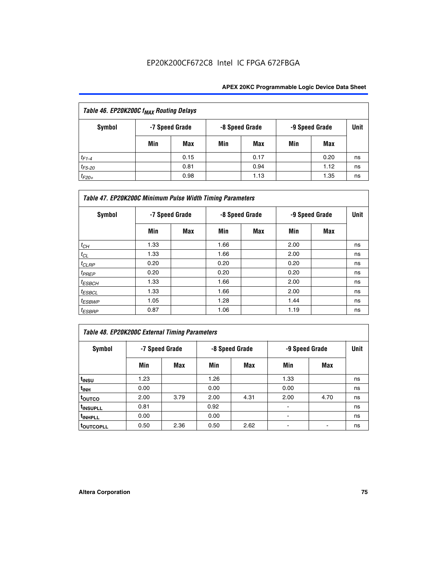| Table 46. EP20K200C f <sub>MAX</sub> Routing Delays |     |                |     |                |                |      |      |  |  |
|-----------------------------------------------------|-----|----------------|-----|----------------|----------------|------|------|--|--|
| <b>Symbol</b>                                       |     | -7 Speed Grade |     | -8 Speed Grade | -9 Speed Grade |      | Unit |  |  |
|                                                     | Min | Max            | Min | Max            | Min            | Max  |      |  |  |
| $t_{F1-4}$                                          |     | 0.15           |     | 0.17           |                | 0.20 | ns   |  |  |
| $t_{F5-20}$                                         |     | 0.81           |     | 0.94           |                | 1.12 | ns   |  |  |
| $t_{F20+}$                                          |     | 0.98           |     | 1.13           |                | 1.35 | ns   |  |  |

| Table 47. EP20K200C Minimum Pulse Width Timing Parameters |                |     |      |                |      |                |      |  |  |  |
|-----------------------------------------------------------|----------------|-----|------|----------------|------|----------------|------|--|--|--|
| Symbol                                                    | -7 Speed Grade |     |      | -8 Speed Grade |      | -9 Speed Grade | Unit |  |  |  |
|                                                           | Min            | Max | Min  | Max            | Min  | Max            |      |  |  |  |
| $t_{CH}$                                                  | 1.33           |     | 1.66 |                | 2.00 |                | ns   |  |  |  |
| $t_{CL}$                                                  | 1.33           |     | 1.66 |                | 2.00 |                | ns   |  |  |  |
| $t_{CLRP}$                                                | 0.20           |     | 0.20 |                | 0.20 |                | ns   |  |  |  |
| $t_{PREF}$                                                | 0.20           |     | 0.20 |                | 0.20 |                | ns   |  |  |  |
| $t_{ESBCH}$                                               | 1.33           |     | 1.66 |                | 2.00 |                | ns   |  |  |  |
| $t_{ESBCL}$                                               | 1.33           |     | 1.66 |                | 2.00 |                | ns   |  |  |  |
| $t_{ESBWP}$                                               | 1.05           |     | 1.28 |                | 1.44 |                | ns   |  |  |  |
| <sup>t</sup> ESBRP                                        | 0.87           |     | 1.06 |                | 1.19 |                | ns   |  |  |  |

# *Table 48. EP20K200C External Timing Parameters*

| Symbol                |      | -7 Speed Grade |      | -8 Speed Grade | -9 Speed Grade | <b>Unit</b> |    |
|-----------------------|------|----------------|------|----------------|----------------|-------------|----|
|                       | Min  | Max            | Min  | Max            | Min            | Max         |    |
| t <sub>INSU</sub>     | 1.23 |                | 1.26 |                | 1.33           |             | ns |
| t <sub>INH</sub>      | 0.00 |                | 0.00 |                | 0.00           |             | ns |
| toutco                | 2.00 | 3.79           | 2.00 | 4.31           | 2.00           | 4.70        | ns |
| t <sub>INSUPLL</sub>  | 0.81 |                | 0.92 |                | ٠              |             | ns |
| t <sub>INHPLL</sub>   | 0.00 |                | 0.00 |                |                |             | ns |
| t <sub>outcopll</sub> | 0.50 | 2.36           | 0.50 | 2.62           |                |             | ns |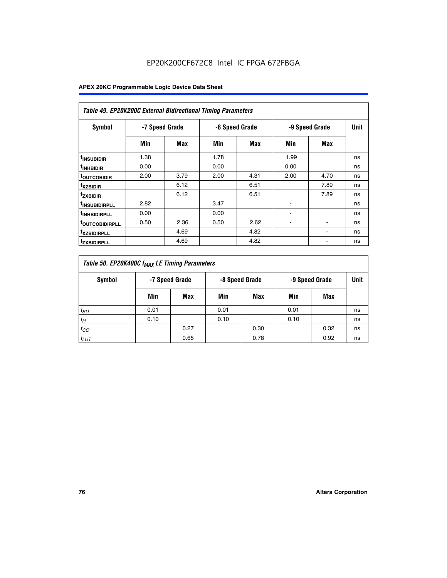| Table 49. EP20K200C External Bidirectional Timing Parameters |      |                |      |                |                          |             |    |  |  |  |
|--------------------------------------------------------------|------|----------------|------|----------------|--------------------------|-------------|----|--|--|--|
| Symbol                                                       |      | -7 Speed Grade |      | -8 Speed Grade | -9 Speed Grade           | <b>Unit</b> |    |  |  |  |
|                                                              | Min  | Max            | Min  | Max            | Min                      | Max         |    |  |  |  |
| <sup>t</sup> INSUBIDIR                                       | 1.38 |                | 1.78 |                | 1.99                     |             | ns |  |  |  |
| <sup>t</sup> INHBIDIR                                        | 0.00 |                | 0.00 |                | 0.00                     |             | ns |  |  |  |
| <b><sup>t</sup>OUTCOBIDIR</b>                                | 2.00 | 3.79           | 2.00 | 4.31           | 2.00                     | 4.70        | ns |  |  |  |
| <sup>t</sup> xzbidir                                         |      | 6.12           |      | 6.51           |                          | 7.89        | ns |  |  |  |
| <sup>t</sup> zxbidir                                         |      | 6.12           |      | 6.51           |                          | 7.89        | ns |  |  |  |
| <sup>t</sup> insubidirpll                                    | 2.82 |                | 3.47 |                | $\overline{\phantom{a}}$ |             | ns |  |  |  |
| <sup>t</sup> INHBIDIRPLL                                     | 0.00 |                | 0.00 |                |                          |             | ns |  |  |  |
| <b>TOUTCOBIDIRPLL</b>                                        | 0.50 | 2.36           | 0.50 | 2.62           | ٠                        |             | ns |  |  |  |
| <sup>T</sup> XZBIDIRPLL                                      |      | 4.69           |      | 4.82           |                          |             | ns |  |  |  |
| <sup>I</sup> ZXBIDIRPLL                                      |      | 4.69           |      | 4.82           |                          |             | ns |  |  |  |

| Table 50. EP20K400C f <sub>MAX</sub> LE Timing Parameters |                |      |      |                |      |                |             |  |  |
|-----------------------------------------------------------|----------------|------|------|----------------|------|----------------|-------------|--|--|
| Symbol                                                    | -7 Speed Grade |      |      | -8 Speed Grade |      | -9 Speed Grade | <b>Unit</b> |  |  |
|                                                           | Min            | Max  | Min  | Max            | Min  | Max            |             |  |  |
| $t_{SU}$                                                  | 0.01           |      | 0.01 |                | 0.01 |                | ns          |  |  |
| $t_H$                                                     | 0.10           |      | 0.10 |                | 0.10 |                | ns          |  |  |
| $t_{CO}$                                                  |                | 0.27 |      | 0.30           |      | 0.32           | ns          |  |  |
| $t_{LUT}$                                                 |                | 0.65 |      | 0.78           |      | 0.92           | ns          |  |  |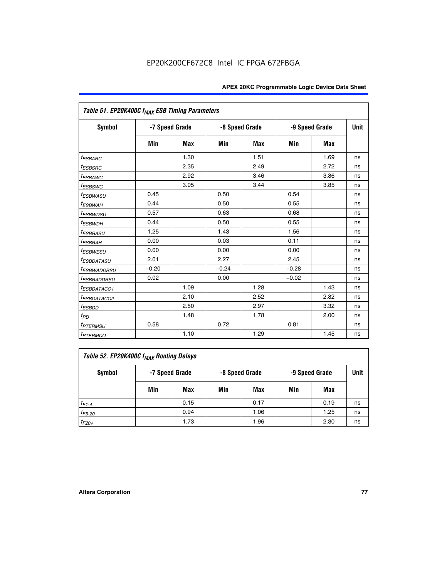| Table 51. EP20K400C f <sub>MAX</sub> ESB Timing Parameters |                |            |         |                |         |                |    |  |  |  |
|------------------------------------------------------------|----------------|------------|---------|----------------|---------|----------------|----|--|--|--|
| <b>Symbol</b>                                              | -7 Speed Grade |            |         | -8 Speed Grade |         | -9 Speed Grade |    |  |  |  |
|                                                            | Min            | <b>Max</b> | Min     | <b>Max</b>     | Min     | <b>Max</b>     |    |  |  |  |
| $t_{ESBARC}$                                               |                | 1.30       |         | 1.51           |         | 1.69           | ns |  |  |  |
| $t_{ESBSRC}$                                               |                | 2.35       |         | 2.49           |         | 2.72           | ns |  |  |  |
| <sup>t</sup> ESBAWC                                        |                | 2.92       |         | 3.46           |         | 3.86           | ns |  |  |  |
| <sup>t</sup> ESBSWC                                        |                | 3.05       |         | 3.44           |         | 3.85           | ns |  |  |  |
| <i>t<sub>ESBWASU</sub></i>                                 | 0.45           |            | 0.50    |                | 0.54    |                | ns |  |  |  |
| <sup>t</sup> ESBWAH                                        | 0.44           |            | 0.50    |                | 0.55    |                | ns |  |  |  |
| <sup>t</sup> ESBWDSU                                       | 0.57           |            | 0.63    |                | 0.68    |                | ns |  |  |  |
| <sup>t</sup> ESBWDH                                        | 0.44           |            | 0.50    |                | 0.55    |                | ns |  |  |  |
| <i><b>ESBRASU</b></i>                                      | 1.25           |            | 1.43    |                | 1.56    |                | ns |  |  |  |
| <sup>t</sup> ESBRAH                                        | 0.00           |            | 0.03    |                | 0.11    |                | ns |  |  |  |
| <sup>t</sup> ESBWESU                                       | 0.00           |            | 0.00    |                | 0.00    |                | ns |  |  |  |
| <sup>t</sup> ESBDATASU                                     | 2.01           |            | 2.27    |                | 2.45    |                | ns |  |  |  |
| <sup>t</sup> ESBWADDRSU                                    | $-0.20$        |            | $-0.24$ |                | $-0.28$ |                | ns |  |  |  |
| <i>t<sub>ESBRADDRSU</sub></i>                              | 0.02           |            | 0.00    |                | $-0.02$ |                | ns |  |  |  |
| <i>ESBDATACO1</i>                                          |                | 1.09       |         | 1.28           |         | 1.43           | ns |  |  |  |
| <sup>I</sup> ESBDATACO2                                    |                | 2.10       |         | 2.52           |         | 2.82           | ns |  |  |  |
| $t_{ESBDD}$                                                |                | 2.50       |         | 2.97           |         | 3.32           | ns |  |  |  |
| $t_{PD}$                                                   |                | 1.48       |         | 1.78           |         | 2.00           | ns |  |  |  |
| <i><b><i>EPTERMSU</i></b></i>                              | 0.58           |            | 0.72    |                | 0.81    |                | ns |  |  |  |
| <b>t</b> <sub>PTERMCO</sub>                                |                | 1.10       |         | 1.29           |         | 1.45           | ns |  |  |  |

| Table 52. EP20K400C f <sub>MAX</sub> Routing Delays |     |                |                |      |                |      |             |  |  |
|-----------------------------------------------------|-----|----------------|----------------|------|----------------|------|-------------|--|--|
| Symbol                                              |     | -7 Speed Grade | -8 Speed Grade |      | -9 Speed Grade |      | <b>Unit</b> |  |  |
|                                                     | Min | Max            | Min            | Max  | Min            | Max  |             |  |  |
| $t_{F1-4}$                                          |     | 0.15           |                | 0.17 |                | 0.19 | ns          |  |  |
| $t_{F5-20}$                                         |     | 0.94           |                | 1.06 |                | 1.25 | ns          |  |  |
| $t_{F20+}$                                          |     | 1.73           |                | 1.96 |                | 2.30 | ns          |  |  |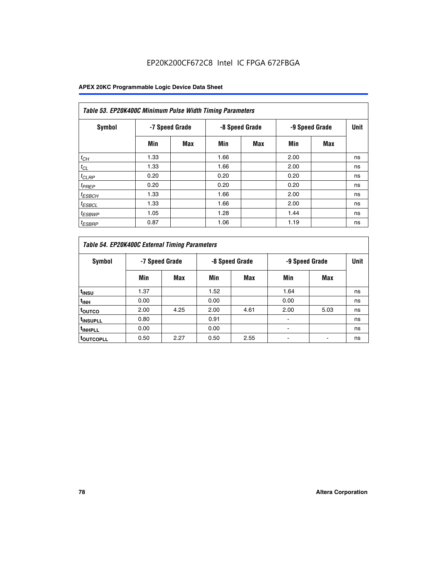| Table 53. EP20K400C Minimum Pulse Width Timing Parameters |      |                |      |                |      |                |      |  |  |  |
|-----------------------------------------------------------|------|----------------|------|----------------|------|----------------|------|--|--|--|
| Symbol                                                    |      | -7 Speed Grade |      | -8 Speed Grade |      | -9 Speed Grade | Unit |  |  |  |
|                                                           | Min  | Max            | Min  | <b>Max</b>     | Min  | <b>Max</b>     |      |  |  |  |
| $t_{CH}$                                                  | 1.33 |                | 1.66 |                | 2.00 |                | ns   |  |  |  |
| $t_{CL}$                                                  | 1.33 |                | 1.66 |                | 2.00 |                | ns   |  |  |  |
| $t_{CLRP}$                                                | 0.20 |                | 0.20 |                | 0.20 |                | ns   |  |  |  |
| $t_{PREF}$                                                | 0.20 |                | 0.20 |                | 0.20 |                | ns   |  |  |  |
| <sup>t</sup> ESBCH                                        | 1.33 |                | 1.66 |                | 2.00 |                | ns   |  |  |  |
| <sup>t</sup> ESBCL                                        | 1.33 |                | 1.66 |                | 2.00 |                | ns   |  |  |  |
| $t_{ESBWP}$                                               | 1.05 |                | 1.28 |                | 1.44 |                | ns   |  |  |  |
| <sup>t</sup> ESBRP                                        | 0.87 |                | 1.06 |                | 1.19 |                | ns   |  |  |  |

| Table 54. EP20K400C External Timing Parameters |      |                |                |      |                |      |      |  |  |  |  |  |
|------------------------------------------------|------|----------------|----------------|------|----------------|------|------|--|--|--|--|--|
| <b>Symbol</b>                                  |      | -7 Speed Grade | -8 Speed Grade |      | -9 Speed Grade |      | Unit |  |  |  |  |  |
|                                                | Min  | Max            | Min            | Max  | Min            | Max  |      |  |  |  |  |  |
| t <sub>INSU</sub>                              | 1.37 |                | 1.52           |      | 1.64           |      | ns   |  |  |  |  |  |
| $t_{\rm INH}$                                  | 0.00 |                | 0.00           |      | 0.00           |      | ns   |  |  |  |  |  |
| <sup>t</sup> outco                             | 2.00 | 4.25           | 2.00           | 4.61 | 2.00           | 5.03 | ns   |  |  |  |  |  |
| <sup>t</sup> INSUPLL                           | 0.80 |                | 0.91           |      |                |      | ns   |  |  |  |  |  |
| <sup>t</sup> INHPLL                            | 0.00 |                | 0.00           |      | -              |      | ns   |  |  |  |  |  |
| <b>LOUTCOPLL</b>                               | 0.50 | 2.27           | 0.50           | 2.55 |                |      | ns   |  |  |  |  |  |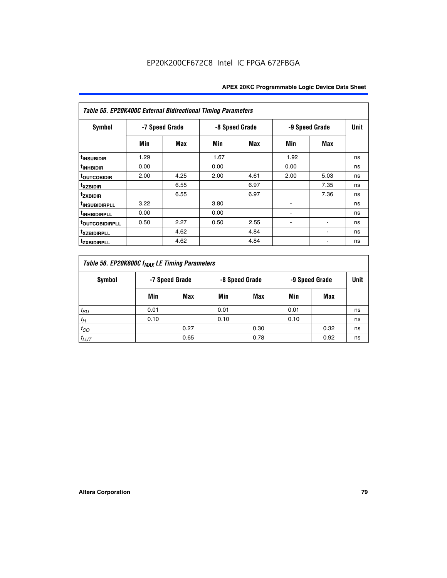| Table 55. EP20K400C External Bidirectional Timing Parameters |                |      |      |                |      |                |             |  |  |  |  |
|--------------------------------------------------------------|----------------|------|------|----------------|------|----------------|-------------|--|--|--|--|
| <b>Symbol</b>                                                | -7 Speed Grade |      |      | -8 Speed Grade |      | -9 Speed Grade | <b>Unit</b> |  |  |  |  |
|                                                              | Min            | Max  | Min  | Max            | Min  | Max            |             |  |  |  |  |
| t <sub>INSUBIDIR</sub>                                       | 1.29           |      | 1.67 |                | 1.92 |                | ns          |  |  |  |  |
| <sup>t</sup> INHBIDIR                                        | 0.00           |      | 0.00 |                | 0.00 |                | ns          |  |  |  |  |
| <sup>t</sup> OUTCOBIDIR                                      | 2.00           | 4.25 | 2.00 | 4.61           | 2.00 | 5.03           | ns          |  |  |  |  |
| <sup>t</sup> xzbidir                                         |                | 6.55 |      | 6.97           |      | 7.35           | ns          |  |  |  |  |
| <sup>t</sup> zxbidir                                         |                | 6.55 |      | 6.97           |      | 7.36           | ns          |  |  |  |  |
| <sup>t</sup> INSUBIDIRPLL                                    | 3.22           |      | 3.80 |                |      |                | ns          |  |  |  |  |
| <sup>t</sup> INHBIDIRPLL                                     | 0.00           |      | 0.00 |                |      |                | ns          |  |  |  |  |
| <b><i>toutcobidirpll</i></b>                                 | 0.50           | 2.27 | 0.50 | 2.55           | ۰    | $\blacksquare$ | ns          |  |  |  |  |
| <sup>t</sup> xzbidirpll                                      |                | 4.62 |      | 4.84           |      | ٠              | ns          |  |  |  |  |
| <sup>t</sup> zxbidirpll                                      |                | 4.62 |      | 4.84           |      | ٠              | ns          |  |  |  |  |

| Table 56. EP20K600C f <sub>MAX</sub> LE Timing Parameters |      |                |      |                                  |      |      |      |  |  |  |  |
|-----------------------------------------------------------|------|----------------|------|----------------------------------|------|------|------|--|--|--|--|
| <b>Symbol</b>                                             |      | -7 Speed Grade |      | -8 Speed Grade<br>-9 Speed Grade |      |      | Unit |  |  |  |  |
|                                                           | Min  | Max            | Min  | Max                              | Min  | Max  |      |  |  |  |  |
| $t_{SU}$                                                  | 0.01 |                | 0.01 |                                  | 0.01 |      | ns   |  |  |  |  |
| $t_H$                                                     | 0.10 |                | 0.10 |                                  | 0.10 |      | ns   |  |  |  |  |
| $t_{CO}$                                                  |      | 0.27           |      | 0.30                             |      | 0.32 | ns   |  |  |  |  |
| $t_{LUT}$                                                 |      | 0.65           |      | 0.78                             |      | 0.92 | ns   |  |  |  |  |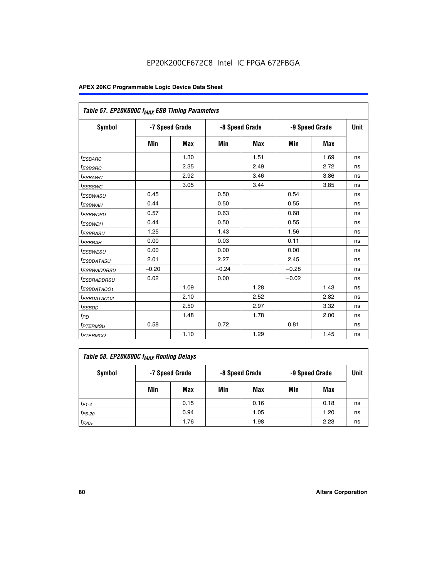|                            | Table 57. EP20K600C f <sub>MAX</sub> ESB Timing Parameters |            |                |      |                |             |    |  |  |  |  |
|----------------------------|------------------------------------------------------------|------------|----------------|------|----------------|-------------|----|--|--|--|--|
| Symbol                     | -7 Speed Grade                                             |            | -8 Speed Grade |      | -9 Speed Grade | <b>Unit</b> |    |  |  |  |  |
|                            | Min                                                        | <b>Max</b> | Min            | Max  | Min            | Max         |    |  |  |  |  |
| <sup>t</sup> ESBARC        |                                                            | 1.30       |                | 1.51 |                | 1.69        | ns |  |  |  |  |
| <i>t<sub>ESBSRC</sub></i>  |                                                            | 2.35       |                | 2.49 |                | 2.72        | ns |  |  |  |  |
| <sup>t</sup> ESBAWC        |                                                            | 2.92       |                | 3.46 |                | 3.86        | ns |  |  |  |  |
| <sup>t</sup> ESBSWC        |                                                            | 3.05       |                | 3.44 |                | 3.85        | ns |  |  |  |  |
| <sup>t</sup> ESBWASU       | 0.45                                                       |            | 0.50           |      | 0.54           |             | ns |  |  |  |  |
| <sup>t</sup> ESBWAH        | 0.44                                                       |            | 0.50           |      | 0.55           |             | ns |  |  |  |  |
| <sup>t</sup> ESBWDSU       | 0.57                                                       |            | 0.63           |      | 0.68           |             | ns |  |  |  |  |
| <sup>t</sup> ESBWDH        | 0.44                                                       |            | 0.50           |      | 0.55           |             | ns |  |  |  |  |
| <i>ESBRASU</i>             | 1.25                                                       |            | 1.43           |      | 1.56           |             | ns |  |  |  |  |
| <sup>t</sup> ESBRAH        | 0.00                                                       |            | 0.03           |      | 0.11           |             | ns |  |  |  |  |
| <sup>t</sup> ESBWESU       | 0.00                                                       |            | 0.00           |      | 0.00           |             | ns |  |  |  |  |
| <sup>t</sup> ESBDATASU     | 2.01                                                       |            | 2.27           |      | 2.45           |             | ns |  |  |  |  |
| <sup>I</sup> ESBWADDRSU    | $-0.20$                                                    |            | $-0.24$        |      | $-0.28$        |             | ns |  |  |  |  |
| <sup>t</sup> ESBRADDRSU    | 0.02                                                       |            | 0.00           |      | $-0.02$        |             | ns |  |  |  |  |
| <sup>t</sup> ESBDATACO1    |                                                            | 1.09       |                | 1.28 |                | 1.43        | ns |  |  |  |  |
| <sup>t</sup> ESBDATACO2    |                                                            | 2.10       |                | 2.52 |                | 2.82        | ns |  |  |  |  |
| <sup>t</sup> ESBDD         |                                                            | 2.50       |                | 2.97 |                | 3.32        | ns |  |  |  |  |
| $t_{\scriptsize{PD}}$      |                                                            | 1.48       |                | 1.78 |                | 2.00        | ns |  |  |  |  |
| <sup>t</sup> PTERMSU       | 0.58                                                       |            | 0.72           |      | 0.81           |             | ns |  |  |  |  |
| <i>t<sub>PTERMCO</sub></i> |                                                            | 1.10       |                | 1.29 |                | 1.45        | ns |  |  |  |  |

| Table 58. EP20K600C f <sub>MAX</sub> Routing Delays |                |      |                |      |                |      |      |  |  |  |
|-----------------------------------------------------|----------------|------|----------------|------|----------------|------|------|--|--|--|
| Symbol                                              | -7 Speed Grade |      | -8 Speed Grade |      | -9 Speed Grade |      | Unit |  |  |  |
|                                                     | Min            | Max  | Min            | Max  | Min            | Max  |      |  |  |  |
| $t_{F1-4}$                                          |                | 0.15 |                | 0.16 |                | 0.18 | ns   |  |  |  |
| $t_{F5-20}$                                         |                | 0.94 |                | 1.05 |                | 1.20 | ns   |  |  |  |
| $t_{F20+}$                                          |                | 1.76 |                | 1.98 |                | 2.23 | ns   |  |  |  |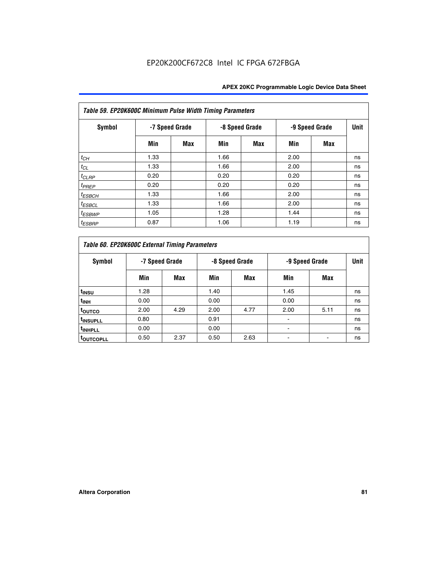| Table 59. EP20K600C Minimum Pulse Width Timing Parameters |                |     |                |     |                |     |             |  |  |  |  |
|-----------------------------------------------------------|----------------|-----|----------------|-----|----------------|-----|-------------|--|--|--|--|
| Symbol                                                    | -7 Speed Grade |     | -8 Speed Grade |     | -9 Speed Grade |     | <b>Unit</b> |  |  |  |  |
|                                                           | Min            | Max | Min            | Max | Min            | Max |             |  |  |  |  |
| $t_{CH}$                                                  | 1.33           |     | 1.66           |     | 2.00           |     | ns          |  |  |  |  |
| $t_{CL}$                                                  | 1.33           |     | 1.66           |     | 2.00           |     | ns          |  |  |  |  |
| $t_{CLRP}$                                                | 0.20           |     | 0.20           |     | 0.20           |     | ns          |  |  |  |  |
| $t_{PREF}$                                                | 0.20           |     | 0.20           |     | 0.20           |     | ns          |  |  |  |  |
| $t_{ESBCH}$                                               | 1.33           |     | 1.66           |     | 2.00           |     | ns          |  |  |  |  |
| <sup>t</sup> ESBCL                                        | 1.33           |     | 1.66           |     | 2.00           |     | ns          |  |  |  |  |
| <sup>t</sup> ESBWP                                        | 1.05           |     | 1.28           |     | 1.44           |     | ns          |  |  |  |  |
| <sup>t</sup> ESBRP                                        | 0.87           |     | 1.06           |     | 1.19           |     | ns          |  |  |  |  |

| Table 60. EP20K600C External Timing Parameters |      |                |      |                |                |      |    |  |  |  |  |  |
|------------------------------------------------|------|----------------|------|----------------|----------------|------|----|--|--|--|--|--|
| Symbol                                         |      | -7 Speed Grade |      | -8 Speed Grade | -9 Speed Grade | Unit |    |  |  |  |  |  |
|                                                | Min  | Max            | Min  | Max            | Min            | Max  |    |  |  |  |  |  |
| t <sub>INSU</sub>                              | 1.28 |                | 1.40 |                | 1.45           |      | ns |  |  |  |  |  |
| <sup>t</sup> INH                               | 0.00 |                | 0.00 |                | 0.00           |      | ns |  |  |  |  |  |
| toutco                                         | 2.00 | 4.29           | 2.00 | 4.77           | 2.00           | 5.11 | ns |  |  |  |  |  |
| <sup>t</sup> INSUPLL                           | 0.80 |                | 0.91 |                |                |      | ns |  |  |  |  |  |
| <sup>t</sup> INHPLL                            | 0.00 |                | 0.00 |                |                |      | ns |  |  |  |  |  |
| <b>TOUTCOPLL</b>                               | 0.50 | 2.37           | 0.50 | 2.63           |                |      | ns |  |  |  |  |  |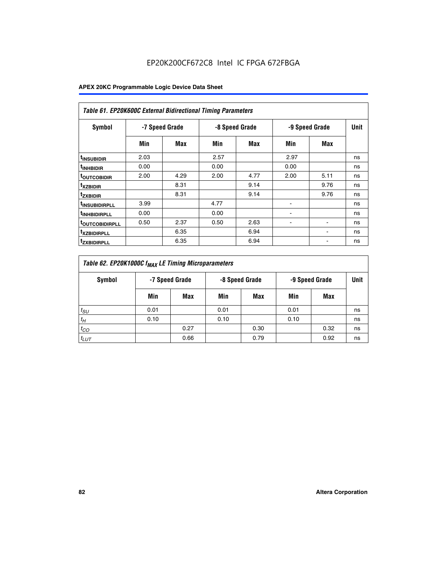| <b>Table 61. EP20K600C External Bidirectional Timing Parameters</b> |                |      |      |                |      |                |             |  |  |  |  |
|---------------------------------------------------------------------|----------------|------|------|----------------|------|----------------|-------------|--|--|--|--|
| <b>Symbol</b>                                                       | -7 Speed Grade |      |      | -8 Speed Grade |      | -9 Speed Grade | <b>Unit</b> |  |  |  |  |
|                                                                     | Min            | Max  | Min  | Max            | Min  | Max            |             |  |  |  |  |
| <sup>t</sup> INSUBIDIR                                              | 2.03           |      | 2.57 |                | 2.97 |                | ns          |  |  |  |  |
| <sup>t</sup> INHBIDIR                                               | 0.00           |      | 0.00 |                | 0.00 |                | ns          |  |  |  |  |
| <b><sup>t</sup>OUTCOBIDIR</b>                                       | 2.00           | 4.29 | 2.00 | 4.77           | 2.00 | 5.11           | ns          |  |  |  |  |
| <sup>t</sup> xzbidir                                                |                | 8.31 |      | 9.14           |      | 9.76           | ns          |  |  |  |  |
| <sup>t</sup> zxbidir                                                |                | 8.31 |      | 9.14           |      | 9.76           | ns          |  |  |  |  |
| <sup>t</sup> insubidirpll                                           | 3.99           |      | 4.77 |                |      |                | ns          |  |  |  |  |
| <sup>t</sup> inhbidirpll                                            | 0.00           |      | 0.00 |                |      |                | ns          |  |  |  |  |
| <sup>T</sup> OUTCOBIDIRPLL                                          | 0.50           | 2.37 | 0.50 | 2.63           | ۰    | ٠              | ns          |  |  |  |  |
| <sup>T</sup> XZBIDIRPLL                                             |                | 6.35 |      | 6.94           |      |                | ns          |  |  |  |  |
| <sup>I</sup> ZXBIDIRPLL                                             |                | 6.35 |      | 6.94           |      |                | ns          |  |  |  |  |

| Table 62. EP20K1000C f <sub>MAX</sub> LE Timing Microparameters |                |      |                |      |                |      |      |  |  |  |  |
|-----------------------------------------------------------------|----------------|------|----------------|------|----------------|------|------|--|--|--|--|
| Symbol                                                          | -7 Speed Grade |      | -8 Speed Grade |      | -9 Speed Grade |      | Unit |  |  |  |  |
|                                                                 | Min            | Max  | Min            | Max  | Min            | Max  |      |  |  |  |  |
| $t_{SU}$                                                        | 0.01           |      | 0.01           |      | 0.01           |      | ns   |  |  |  |  |
| $t_H$                                                           | 0.10           |      | 0.10           |      | 0.10           |      | ns   |  |  |  |  |
| $t_{CO}$                                                        |                | 0.27 |                | 0.30 |                | 0.32 | ns   |  |  |  |  |
| $t_{LUT}$                                                       |                | 0.66 |                | 0.79 |                | 0.92 | ns   |  |  |  |  |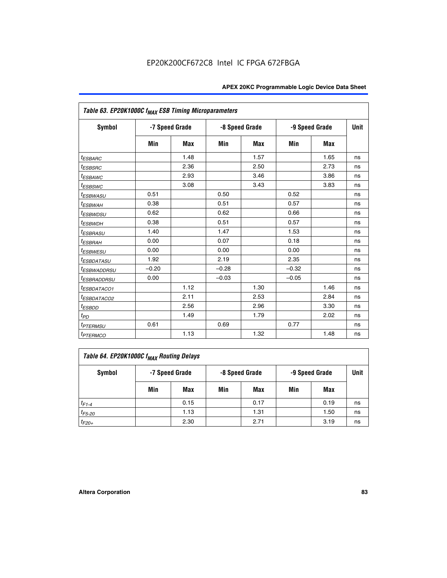| Table 63. EP20K1000C f <sub>MAX</sub> ESB Timing Microparameters |                |            |         |                |                |             |    |  |  |  |
|------------------------------------------------------------------|----------------|------------|---------|----------------|----------------|-------------|----|--|--|--|
| <b>Symbol</b>                                                    | -7 Speed Grade |            |         | -8 Speed Grade | -9 Speed Grade | <b>Unit</b> |    |  |  |  |
|                                                                  | Min            | <b>Max</b> | Min     | <b>Max</b>     | Min            | <b>Max</b>  |    |  |  |  |
| <i>t<sub>ESBARC</sub></i>                                        |                | 1.48       |         | 1.57           |                | 1.65        | ns |  |  |  |
| $t_{ESBSRC}$                                                     |                | 2.36       |         | 2.50           |                | 2.73        | ns |  |  |  |
| <sup>t</sup> ESBAWC                                              |                | 2.93       |         | 3.46           |                | 3.86        | ns |  |  |  |
| <i>t</i> <sub>ESBSWC</sub>                                       |                | 3.08       |         | 3.43           |                | 3.83        | ns |  |  |  |
| <sup>t</sup> ESBWASU                                             | 0.51           |            | 0.50    |                | 0.52           |             | ns |  |  |  |
| <sup>t</sup> ESBWAH                                              | 0.38           |            | 0.51    |                | 0.57           |             | ns |  |  |  |
| <i>t<sub>ESBWDSU</sub></i>                                       | 0.62           |            | 0.62    |                | 0.66           |             | ns |  |  |  |
| <sup>t</sup> ESBWDH                                              | 0.38           |            | 0.51    |                | 0.57           |             | ns |  |  |  |
| <sup>t</sup> ESBRASU                                             | 1.40           |            | 1.47    |                | 1.53           |             | ns |  |  |  |
| <sup>t</sup> ESBRAH                                              | 0.00           |            | 0.07    |                | 0.18           |             | ns |  |  |  |
| <i>t<sub>ESBWESU</sub></i>                                       | 0.00           |            | 0.00    |                | 0.00           |             | ns |  |  |  |
| <sup>t</sup> ESBDATASU                                           | 1.92           |            | 2.19    |                | 2.35           |             | ns |  |  |  |
| <sup>t</sup> ESBWADDRSU                                          | $-0.20$        |            | $-0.28$ |                | $-0.32$        |             | ns |  |  |  |
| <i>t<sub>ESBRADDRSU</sub></i>                                    | 0.00           |            | $-0.03$ |                | $-0.05$        |             | ns |  |  |  |
| <sup>t</sup> ESBDATACO1                                          |                | 1.12       |         | 1.30           |                | 1.46        | ns |  |  |  |
| <sup>t</sup> ESBDATACO2                                          |                | 2.11       |         | 2.53           |                | 2.84        | ns |  |  |  |
| <sup>t</sup> ESBDD                                               |                | 2.56       |         | 2.96           |                | 3.30        | ns |  |  |  |
| t <sub>PD</sub>                                                  |                | 1.49       |         | 1.79           |                | 2.02        | ns |  |  |  |
| <i><b>TPTERMSU</b></i>                                           | 0.61           |            | 0.69    |                | 0.77           |             | ns |  |  |  |
| <b>t</b> <sub>PTERMCO</sub>                                      |                | 1.13       |         | 1.32           |                | 1.48        | ns |  |  |  |

| Table 64. EP20K1000C f <sub>MAX</sub> Routing Delays |     |                |     |                |     |                |      |  |  |  |
|------------------------------------------------------|-----|----------------|-----|----------------|-----|----------------|------|--|--|--|
| Symbol                                               |     | -7 Speed Grade |     | -8 Speed Grade |     | -9 Speed Grade | Unit |  |  |  |
|                                                      | Min | Max            | Min | Max            | Min | Max            |      |  |  |  |
| $t_{F1-4}$                                           |     | 0.15           |     | 0.17           |     | 0.19           | ns   |  |  |  |
| $t_{F5-20}$                                          |     | 1.13           |     | 1.31           |     | 1.50           | ns   |  |  |  |
| $t_{F20+}$                                           |     | 2.30           |     | 2.71           |     | 3.19           | ns   |  |  |  |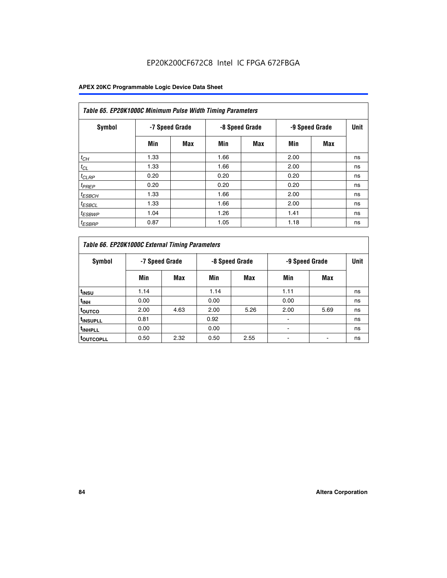| Table 65. EP20K1000C Minimum Pulse Width Timing Parameters |                |     |                |            |                |            |      |  |  |  |  |
|------------------------------------------------------------|----------------|-----|----------------|------------|----------------|------------|------|--|--|--|--|
| Symbol                                                     | -7 Speed Grade |     | -8 Speed Grade |            | -9 Speed Grade |            | Unit |  |  |  |  |
|                                                            | Min            | Max | Min            | <b>Max</b> | Min            | <b>Max</b> |      |  |  |  |  |
| $t_{CH}$                                                   | 1.33           |     | 1.66           |            | 2.00           |            | ns   |  |  |  |  |
| $t_{CL}$                                                   | 1.33           |     | 1.66           |            | 2.00           |            | ns   |  |  |  |  |
| $t_{CLRP}$                                                 | 0.20           |     | 0.20           |            | 0.20           |            | ns   |  |  |  |  |
| $t_{PREF}$                                                 | 0.20           |     | 0.20           |            | 0.20           |            | ns   |  |  |  |  |
| $t_{ESBCH}$                                                | 1.33           |     | 1.66           |            | 2.00           |            | ns   |  |  |  |  |
| $t_{ESBCL}$                                                | 1.33           |     | 1.66           |            | 2.00           |            | ns   |  |  |  |  |
| $t_{ESBWP}$                                                | 1.04           |     | 1.26           |            | 1.41           |            | ns   |  |  |  |  |
| <sup>t</sup> ESBRP                                         | 0.87           |     | 1.05           |            | 1.18           |            | ns   |  |  |  |  |

| Table 66. EP20K1000C External Timing Parameters |                |      |                |      |                |      |             |
|-------------------------------------------------|----------------|------|----------------|------|----------------|------|-------------|
| Symbol                                          | -7 Speed Grade |      | -8 Speed Grade |      | -9 Speed Grade |      | <b>Unit</b> |
|                                                 | Min            | Max  | Min            | Max  | Min            | Max  |             |
| t <sub>insu</sub>                               | 1.14           |      | 1.14           |      | 1.11           |      | ns          |
| t <sub>INH</sub>                                | 0.00           |      | 0.00           |      | 0.00           |      | ns          |
| t <sub>outco</sub>                              | 2.00           | 4.63 | 2.00           | 5.26 | 2.00           | 5.69 | ns          |
| <sup>t</sup> INSUPLL                            | 0.81           |      | 0.92           |      |                |      | ns          |
| <sup>t</sup> INHPLL                             | 0.00           |      | 0.00           |      |                |      | ns          |
| <b>LOUTCOPLL</b>                                | 0.50           | 2.32 | 0.50           | 2.55 |                |      | ns          |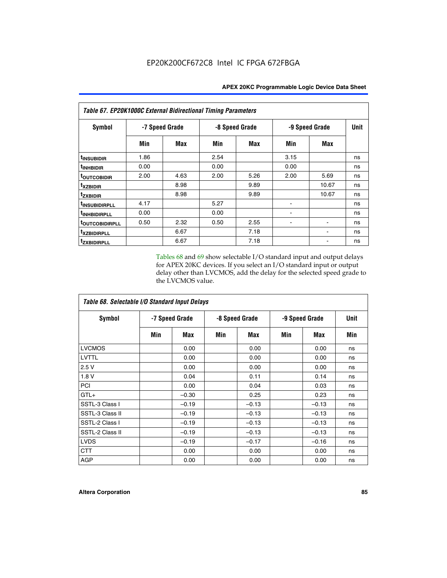| Table 67. EP20K1000C External Bidirectional Timing Parameters |                |      |                |      |                |       |             |
|---------------------------------------------------------------|----------------|------|----------------|------|----------------|-------|-------------|
| <b>Symbol</b>                                                 | -7 Speed Grade |      | -8 Speed Grade |      | -9 Speed Grade |       | <b>Unit</b> |
|                                                               | Min            | Max  | Min            | Max  | Min            | Max   |             |
| <sup>t</sup> INSUBIDIR                                        | 1.86           |      | 2.54           |      | 3.15           |       | ns          |
| <sup>t</sup> INHBIDIR                                         | 0.00           |      | 0.00           |      | 0.00           |       | ns          |
| <b>toutcobidir</b>                                            | 2.00           | 4.63 | 2.00           | 5.26 | 2.00           | 5.69  | ns          |
| <sup>t</sup> xzbidir                                          |                | 8.98 |                | 9.89 |                | 10.67 | ns          |
| <sup>t</sup> zxbidir                                          |                | 8.98 |                | 9.89 |                | 10.67 | ns          |
| <sup>t</sup> insubidirpll                                     | 4.17           |      | 5.27           |      |                |       | ns          |
| <sup>t</sup> INHBIDIRPLL                                      | 0.00           |      | 0.00           |      |                |       | ns          |
| <b><i>LOUTCOBIDIRPLL</i></b>                                  | 0.50           | 2.32 | 0.50           | 2.55 |                |       | ns          |
| <sup>t</sup> xzbidirpll                                       |                | 6.67 |                | 7.18 |                |       | ns          |
| tzxbidirpll                                                   |                | 6.67 |                | 7.18 |                |       | ns          |

Tables 68 and 69 show selectable I/O standard input and output delays for APEX 20KC devices. If you select an I/O standard input or output delay other than LVCMOS, add the delay for the selected speed grade to the LVCMOS value.

| Table 68. Selectable I/O Standard Input Delays |                |         |                |         |                |         |             |  |
|------------------------------------------------|----------------|---------|----------------|---------|----------------|---------|-------------|--|
| <b>Symbol</b>                                  | -7 Speed Grade |         | -8 Speed Grade |         | -9 Speed Grade |         | <b>Unit</b> |  |
|                                                | Min            | Max     | Min            | Max     | Min            | Max     | Min         |  |
| <b>LVCMOS</b>                                  |                | 0.00    |                | 0.00    |                | 0.00    | ns          |  |
| <b>LVTTL</b>                                   |                | 0.00    |                | 0.00    |                | 0.00    | ns          |  |
| 2.5V                                           |                | 0.00    |                | 0.00    |                | 0.00    | ns          |  |
| 1.8 V                                          |                | 0.04    |                | 0.11    |                | 0.14    | ns          |  |
| PCI                                            |                | 0.00    |                | 0.04    |                | 0.03    | ns          |  |
| $GTL+$                                         |                | $-0.30$ |                | 0.25    |                | 0.23    | ns          |  |
| SSTL-3 Class I                                 |                | $-0.19$ |                | $-0.13$ |                | $-0.13$ | ns          |  |
| SSTL-3 Class II                                |                | $-0.19$ |                | $-0.13$ |                | $-0.13$ | ns          |  |
| SSTL-2 Class I                                 |                | $-0.19$ |                | $-0.13$ |                | $-0.13$ | ns          |  |
| SSTL-2 Class II                                |                | $-0.19$ |                | $-0.13$ |                | $-0.13$ | ns          |  |
| <b>LVDS</b>                                    |                | $-0.19$ |                | $-0.17$ |                | $-0.16$ | ns          |  |
| <b>CTT</b>                                     |                | 0.00    |                | 0.00    |                | 0.00    | ns          |  |
| <b>AGP</b>                                     |                | 0.00    |                | 0.00    |                | 0.00    | ns          |  |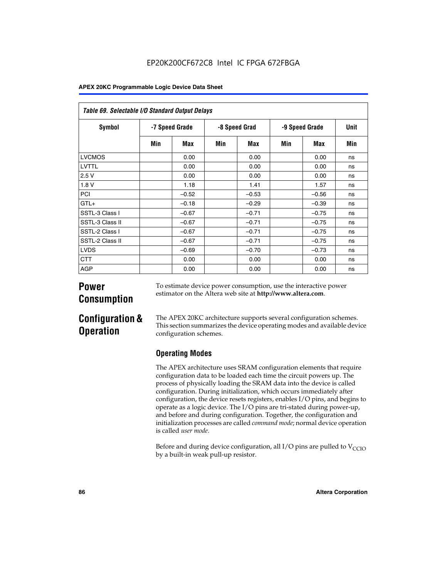| Table 69. Selectable I/O Standard Output Delays |                |         |               |         |                |            |      |
|-------------------------------------------------|----------------|---------|---------------|---------|----------------|------------|------|
| <b>Symbol</b>                                   | -7 Speed Grade |         | -8 Speed Grad |         | -9 Speed Grade |            | Unit |
|                                                 | Min            | Max     | Min           | Max     | Min            | <b>Max</b> | Min  |
| <b>LVCMOS</b>                                   |                | 0.00    |               | 0.00    |                | 0.00       | ns   |
| LVTTL                                           |                | 0.00    |               | 0.00    |                | 0.00       | ns   |
| 2.5V                                            |                | 0.00    |               | 0.00    |                | 0.00       | ns   |
| 1.8V                                            |                | 1.18    |               | 1.41    |                | 1.57       | ns   |
| PCI                                             |                | $-0.52$ |               | $-0.53$ |                | $-0.56$    | ns   |
| $GTL+$                                          |                | $-0.18$ |               | $-0.29$ |                | $-0.39$    | ns   |
| SSTL-3 Class I                                  |                | $-0.67$ |               | $-0.71$ |                | $-0.75$    | ns   |
| SSTL-3 Class II                                 |                | $-0.67$ |               | $-0.71$ |                | $-0.75$    | ns   |
| SSTL-2 Class I                                  |                | $-0.67$ |               | $-0.71$ |                | $-0.75$    | ns   |
| SSTL-2 Class II                                 |                | $-0.67$ |               | $-0.71$ |                | $-0.75$    | ns   |
| <b>LVDS</b>                                     |                | $-0.69$ |               | $-0.70$ |                | $-0.73$    | ns   |
| <b>CTT</b>                                      |                | 0.00    |               | 0.00    |                | 0.00       | ns   |
| AGP                                             |                | 0.00    |               | 0.00    |                | 0.00       | ns   |

# **Power Consumption**

To estimate device power consumption, use the interactive power estimator on the Altera web site at **http://www.altera.com**.

# **Configuration & Operation**

The APEX 20KC architecture supports several configuration schemes. This section summarizes the device operating modes and available device configuration schemes.

# **Operating Modes**

The APEX architecture uses SRAM configuration elements that require configuration data to be loaded each time the circuit powers up. The process of physically loading the SRAM data into the device is called configuration. During initialization, which occurs immediately after configuration, the device resets registers, enables I/O pins, and begins to operate as a logic device. The I/O pins are tri-stated during power-up, and before and during configuration. Together, the configuration and initialization processes are called *command mode*; normal device operation is called *user mode*.

Before and during device configuration, all I/O pins are pulled to  $V_{CCIO}$ by a built-in weak pull-up resistor.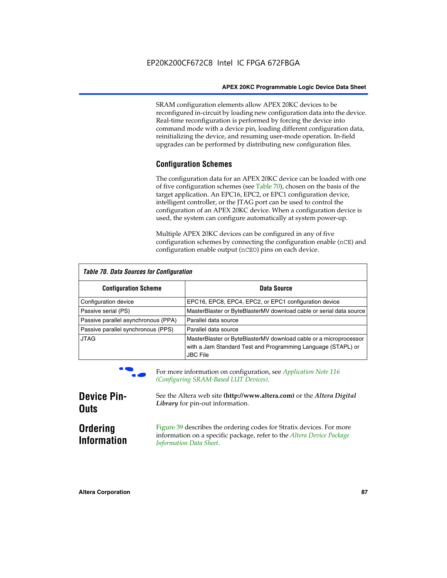SRAM configuration elements allow APEX 20KC devices to be reconfigured in-circuit by loading new configuration data into the device. Real-time reconfiguration is performed by forcing the device into command mode with a device pin, loading different configuration data, reinitializing the device, and resuming user-mode operation. In-field upgrades can be performed by distributing new configuration files.

## **Configuration Schemes**

The configuration data for an APEX 20KC device can be loaded with one of five configuration schemes (see Table 70), chosen on the basis of the target application. An EPC16, EPC2, or EPC1 configuration device, intelligent controller, or the JTAG port can be used to control the configuration of an APEX 20KC device. When a configuration device is used, the system can configure automatically at system power-up.

Multiple APEX 20KC devices can be configured in any of five configuration schemes by connecting the configuration enable (nCE) and configuration enable output (nCEO) pins on each device.

| Table 70. Data Sources for Configuration |                                                                                                                                                      |  |  |  |  |
|------------------------------------------|------------------------------------------------------------------------------------------------------------------------------------------------------|--|--|--|--|
| <b>Configuration Scheme</b>              | Data Source                                                                                                                                          |  |  |  |  |
| Configuration device                     | EPC16, EPC8, EPC4, EPC2, or EPC1 configuration device                                                                                                |  |  |  |  |
| Passive serial (PS)                      | MasterBlaster or ByteBlasterMV download cable or serial data source                                                                                  |  |  |  |  |
| Passive parallel asynchronous (PPA)      | Parallel data source                                                                                                                                 |  |  |  |  |
| Passive parallel synchronous (PPS)       | Parallel data source                                                                                                                                 |  |  |  |  |
| <b>JTAG</b>                              | MasterBlaster or ByteBlasterMV download cable or a microprocessor<br>with a Jam Standard Test and Programming Language (STAPL) or<br><b>JBC File</b> |  |  |  |  |



For more information on configuration, see *Application Note* 116 *(Configuring SRAM-Based LUT Devices).*

| <b>Device Pin-</b>                    | See the Altera web site (http://www.altera.com) or the Altera Digital                                                                                                    |
|---------------------------------------|--------------------------------------------------------------------------------------------------------------------------------------------------------------------------|
| <b>Outs</b>                           | Library for pin-out information.                                                                                                                                         |
| <b>Ordering</b><br><b>Information</b> | Figure 39 describes the ordering codes for Stratix devices. For more<br>information on a specific package, refer to the Altera Device Package<br>Information Data Sheet. |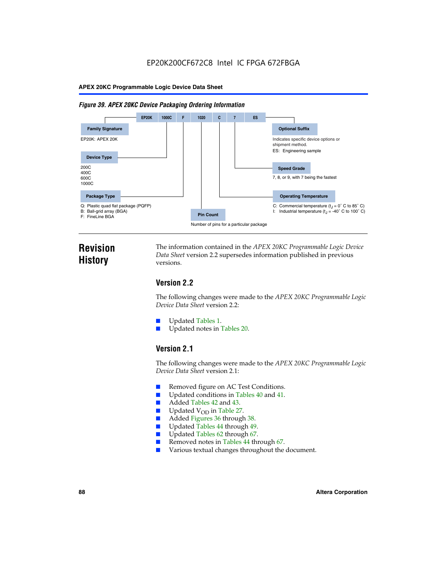#### *Figure 39. APEX 20KC Device Packaging Ordering Information*



# **Revision History**

The information contained in the *APEX 20KC Programmable Logic Device Data Sheet* version 2.2 supersedes information published in previous versions.

# **Version 2.2**

The following changes were made to the *APEX 20KC Programmable Logic Device Data Sheet* version 2.2:

- Updated Tables 1.
- Updated notes in Tables 20.

# **Version 2.1**

The following changes were made to the *APEX 20KC Programmable Logic Device Data Sheet* version 2.1:

- Removed figure on AC Test Conditions.
- Updated conditions in Tables 40 and 41.
- Added Tables 42 and 43.
- $\blacksquare$  Updated V<sub>OD</sub> in Table 27.<br>Added Figures 36 through
- Added Figures 36 through 38.
- Updated Tables 44 through 49.
- Updated Tables 62 through 67.
- Removed notes in Tables 44 through 67.
- Various textual changes throughout the document.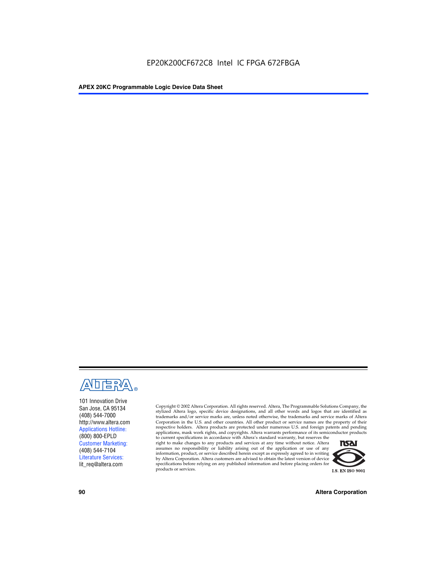

101 Innovation Drive San Jose, CA 95134 (408) 544-7000 http://www.altera.com Applications Hotline: (800) 800-EPLD Customer Marketing: (408) 544-7104 Literature Services: lit\_req@altera.com

Copyright © 2002 Altera Corporation. All rights reserved. Altera, The Programmable Solutions Company, the stylized Altera logo, specific device designations, and all other words and logos that are identified as trademarks and/or service marks are, unless noted otherwise, the trademarks and service marks of Altera Corporation in the U.S. and other countries. All other product or service names are the property of their respective holders. Altera products are protected under numerous U.S. and foreign patents and pending applications, mask work rights, and copyrights. Altera warrants performance of its semiconductor products

to current specifications in accordance with Altera's standard warranty, but reserves the right to make changes to any products and services at any time without notice. Altera assumes no responsibility or liability arising out of the application or use of any information, product, or service described herein except as expressly agreed to in writing by Altera Corporation. Altera customers are advised to obtain the latest version of device specifications before relying on any published information and before placing orders for products or services.



**90 Altera Corporation**